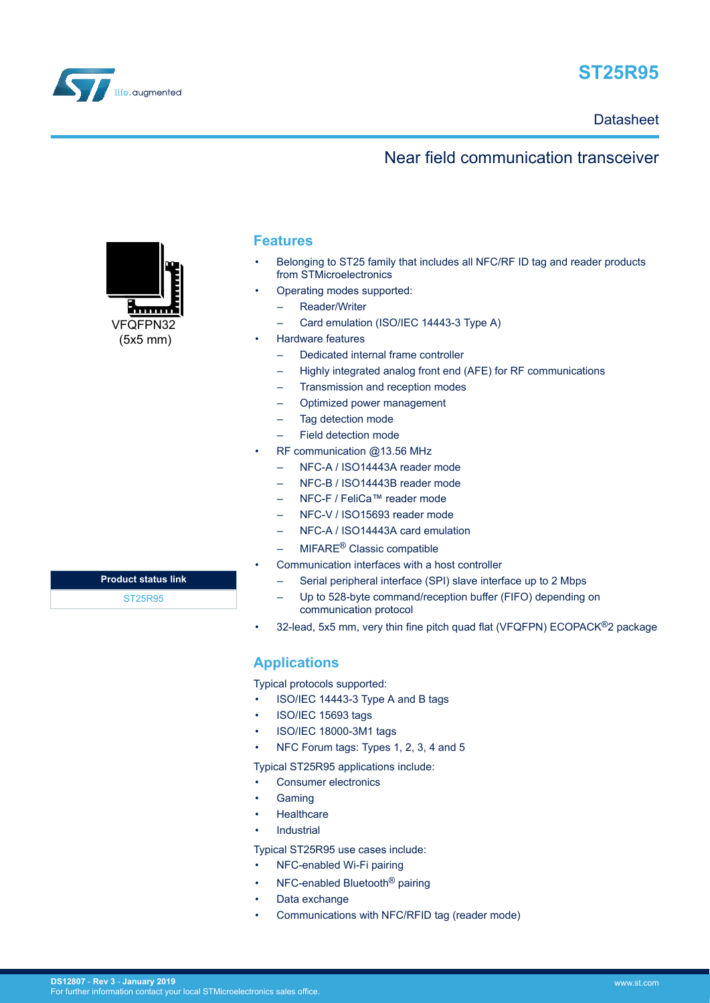



# **Datasheet**

# Near field communication transceiver



# **Features**

- Belonging to ST25 family that includes all NFC/RF ID tag and reader products from STMicroelectronics
- Operating modes supported:
	- Reader/Writer
	- Card emulation (ISO/IEC 14443-3 Type A)
- Hardware features
	- Dedicated internal frame controller
	- Highly integrated analog front end (AFE) for RF communications
	- Transmission and reception modes
	- Optimized power management
	- Tag detection mode
	- Field detection mode
- RF communication @13.56 MHz
	- NFC-A / ISO14443A reader mode
	- NFC-B / ISO14443B reader mode
	- NFC-F / FeliCa™ reader mode
	- NFC-V / ISO15693 reader mode
	- NFC-A / ISO14443A card emulation
	- MIFARE® Classic compatible
- Communication interfaces with a host controller
	- Serial peripheral interface (SPI) slave interface up to 2 Mbps
	- Up to 528-byte command/reception buffer (FIFO) depending on communication protocol
- 32-lead, 5x5 mm, very thin fine pitch quad flat (VFQFPN) ECOPACK®2 package

# **Applications**

Typical protocols supported:

- ISO/IEC 14443-3 Type A and B tags
- ISO/IEC 15693 tags
- ISO/IEC 18000-3M1 tags
- NFC Forum tags: Types 1, 2, 3, 4 and 5

Typical ST25R95 applications include:

- Consumer electronics
- **Gaming**
- Healthcare
- **Industrial**

Typical ST25R95 use cases include:

- NFC-enabled Wi-Fi pairing
- NFC-enabled Bluetooth® pairing
- Data exchange
- Communications with NFC/RFID tag (reader mode)

| <b>Product status link</b> |  |
|----------------------------|--|
| ST25R95                    |  |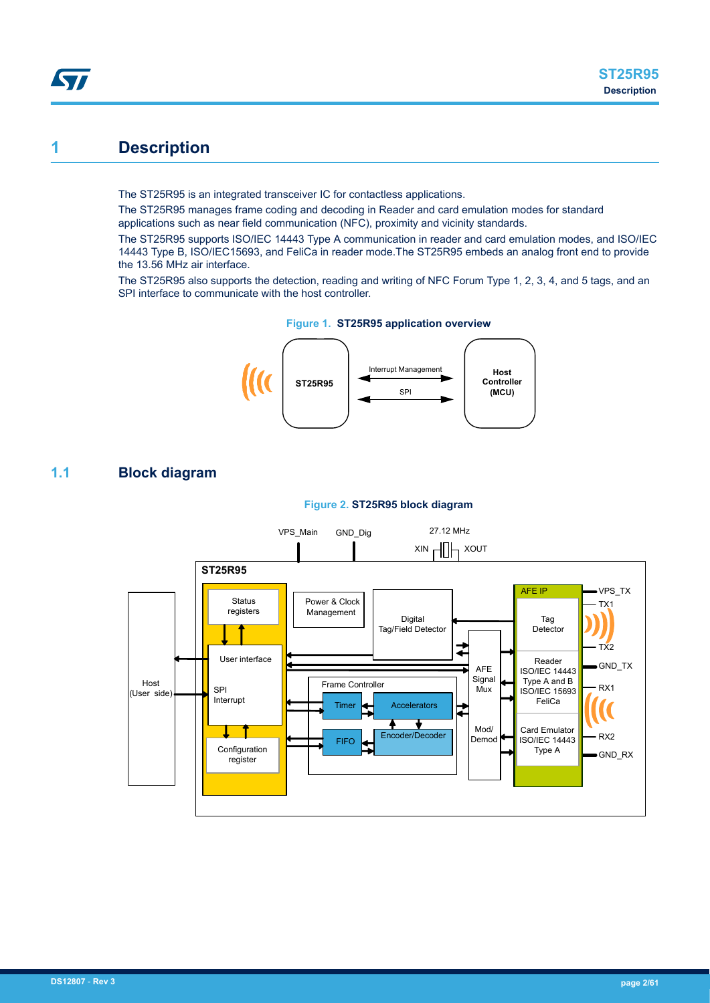# **1 Description**

<span id="page-1-0"></span>57

The ST25R95 is an integrated transceiver IC for contactless applications.

The ST25R95 manages frame coding and decoding in Reader and card emulation modes for standard applications such as near field communication (NFC), proximity and vicinity standards.

The ST25R95 supports ISO/IEC 14443 Type A communication in reader and card emulation modes, and ISO/IEC 14443 Type B, ISO/IEC15693, and FeliCa in reader mode.The ST25R95 embeds an analog front end to provide the 13.56 MHz air interface.

The ST25R95 also supports the detection, reading and writing of NFC Forum Type 1, 2, 3, 4, and 5 tags, and an SPI interface to communicate with the host controller.





# **1.1 Block diagram**



# **Figure 2. ST25R95 block diagram**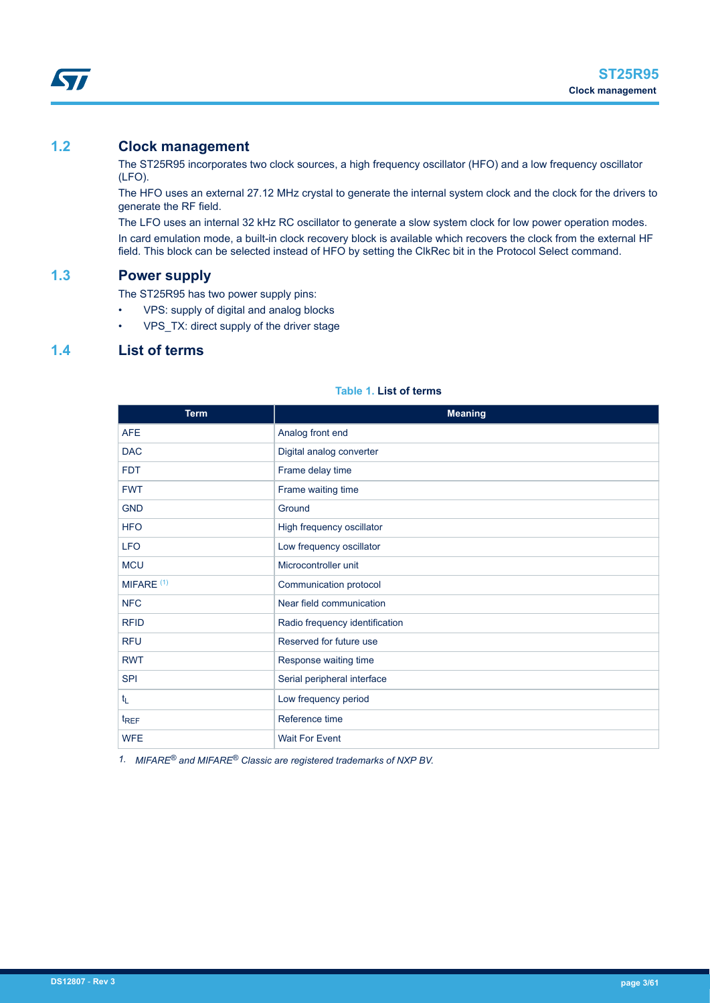<span id="page-2-0"></span>

# **1.2 Clock management**

The ST25R95 incorporates two clock sources, a high frequency oscillator (HFO) and a low frequency oscillator (LFO).

The HFO uses an external 27.12 MHz crystal to generate the internal system clock and the clock for the drivers to generate the RF field.

The LFO uses an internal 32 kHz RC oscillator to generate a slow system clock for low power operation modes. In card emulation mode, a built-in clock recovery block is available which recovers the clock from the external HF field. This block can be selected instead of HFO by setting the ClkRec bit in the Protocol Select command.

# **1.3 Power supply**

The ST25R95 has two power supply pins:

- VPS: supply of digital and analog blocks
- VPS\_TX: direct supply of the driver stage

# **1.4 List of terms**

| <b>Term</b>      | <b>Meaning</b>                 |  |
|------------------|--------------------------------|--|
| <b>AFE</b>       | Analog front end               |  |
| <b>DAC</b>       | Digital analog converter       |  |
| <b>FDT</b>       | Frame delay time               |  |
| <b>FWT</b>       | Frame waiting time             |  |
| <b>GND</b>       | Ground                         |  |
| <b>HFO</b>       | High frequency oscillator      |  |
| <b>LFO</b>       | Low frequency oscillator       |  |
| <b>MCU</b>       | Microcontroller unit           |  |
| MIFARE $(1)$     | Communication protocol         |  |
| <b>NFC</b>       | Near field communication       |  |
| <b>RFID</b>      | Radio frequency identification |  |
| <b>RFU</b>       | Reserved for future use        |  |
| <b>RWT</b>       | Response waiting time          |  |
| <b>SPI</b>       | Serial peripheral interface    |  |
| $t_L$            | Low frequency period           |  |
| t <sub>REF</sub> | Reference time                 |  |
| <b>WFE</b>       | <b>Wait For Event</b>          |  |

### **Table 1. List of terms**

*1. MIFARE® and MIFARE® Classic are registered trademarks of NXP BV.*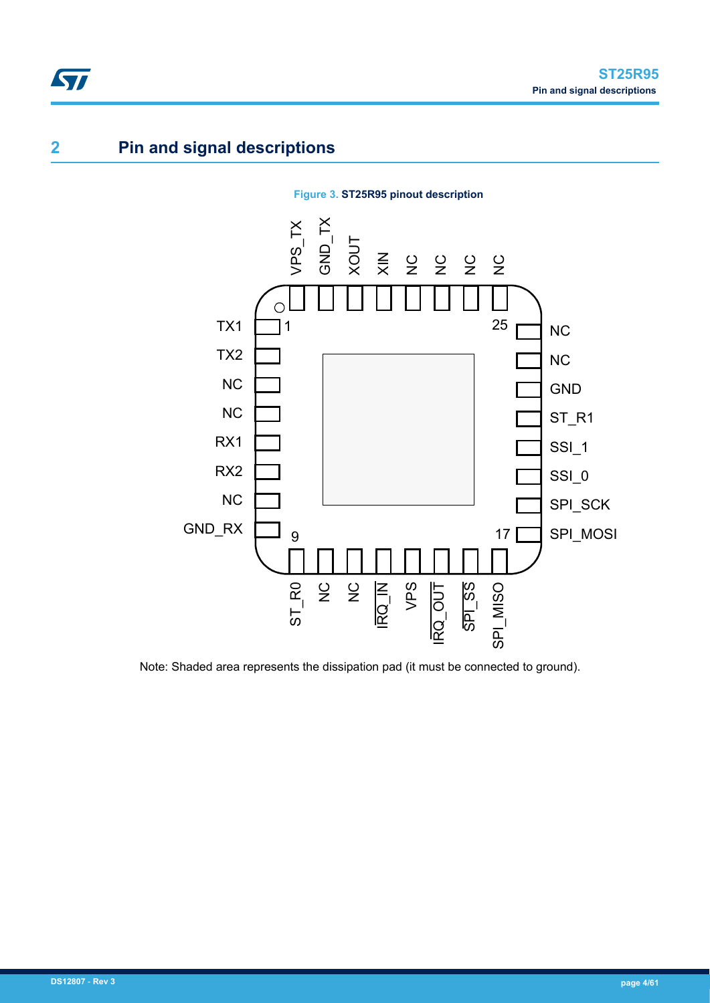# **2 Pin and signal descriptions**

<span id="page-3-0"></span>ST



# **Figure 3. ST25R95 pinout description**

Note: Shaded area represents the dissipation pad (it must be connected to ground).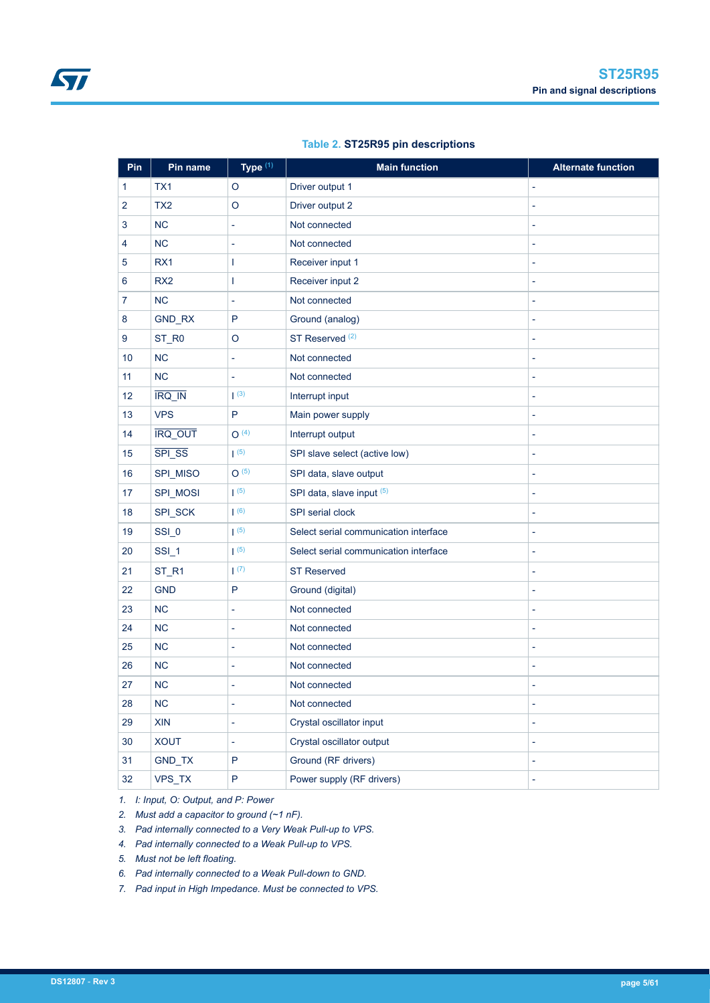<span id="page-4-0"></span>

| Pin                     | Pin name                    | Type <sup>(1)</sup>      | <b>Main function</b>                       | <b>Alternate function</b> |
|-------------------------|-----------------------------|--------------------------|--------------------------------------------|---------------------------|
| 1                       | TX1                         | O                        | Driver output 1                            | L                         |
| $\overline{2}$          | TX <sub>2</sub>             | O                        | Driver output 2                            | L                         |
| 3                       | <b>NC</b>                   | $\overline{\phantom{a}}$ | Not connected                              | L,                        |
| $\overline{\mathbf{4}}$ | <b>NC</b>                   | $\overline{\phantom{a}}$ | Not connected                              | L,                        |
| 5                       | RX1                         | 1                        | Receiver input 1                           | L                         |
| 6                       | RX <sub>2</sub>             | T                        | Receiver input 2                           | L,                        |
| $\overline{7}$          | <b>NC</b>                   | $\overline{\phantom{a}}$ | Not connected                              | L                         |
| 8                       | GND_RX                      | $\mathsf{P}$             | Ground (analog)                            | L,                        |
| 9                       | ST_R0                       | $\circ$                  | ST Reserved <sup>(2)</sup>                 | L,                        |
| 10                      | <b>NC</b>                   | ÷,                       | Not connected                              | L,                        |
| 11                      | <b>NC</b>                   | L,                       | Not connected                              | L                         |
| 12                      | $\overline{\text{IRQ\_IN}}$ | (3)                      | Interrupt input                            | L,                        |
| 13                      | <b>VPS</b>                  | P                        | Main power supply                          | L,                        |
| 14                      | <b>IRQ_OUT</b>              | O <sup>(4)</sup>         | Interrupt output                           | $\overline{a}$            |
| 15                      | SPI_SS                      | (5)                      | SPI slave select (active low)              | L,                        |
| 16                      | SPI_MISO                    | O(5)                     | SPI data, slave output                     | L                         |
| 17                      | SPI_MOSI                    | $\vert$ (5)              | SPI data, slave input (5)                  | L                         |
| 18                      | SPI_SCK                     | (6)                      | SPI serial clock                           | L                         |
| 19                      | SSI_0                       | $\vert$ (5)              | Select serial communication interface      | L,                        |
| 20                      | SSI_1                       | $\vert$ (5)              | Select serial communication interface<br>L |                           |
| 21                      | ST_R1                       | (7)                      | <b>ST Reserved</b>                         | L                         |
| 22                      | <b>GND</b>                  | P                        | Ground (digital)                           | L,                        |
| 23                      | <b>NC</b>                   | ä,                       | Not connected                              | L                         |
| 24                      | <b>NC</b>                   | $\overline{\phantom{a}}$ | Not connected                              | L,                        |
| 25                      | <b>NC</b>                   | $\overline{\phantom{a}}$ | Not connected<br>L,                        |                           |
| 26                      | <b>NC</b>                   | ä,                       | Not connected<br>L                         |                           |
| 27                      | <b>NC</b>                   |                          | Not connected                              |                           |
| 28                      | NC                          | $\overline{\phantom{a}}$ | Not connected<br>4                         |                           |
| 29                      | XIN                         | $\overline{\phantom{a}}$ | Crystal oscillator input                   |                           |
| 30                      | <b>XOUT</b>                 | ä,                       | Crystal oscillator output<br>L             |                           |
| 31                      | GND_TX                      | $\mathsf{P}$             | Ground (RF drivers)<br>÷,                  |                           |
| 32                      | VPS_TX                      | ${\sf P}$                | Power supply (RF drivers)<br>L,            |                           |

# **Table 2. ST25R95 pin descriptions**

*1. I: Input, O: Output, and P: Power*

*2. Must add a capacitor to ground (~1 nF).*

*3. Pad internally connected to a Very Weak Pull-up to VPS.*

*4. Pad internally connected to a Weak Pull-up to VPS.*

*5. Must not be left floating.*

*6. Pad internally connected to a Weak Pull-down to GND.*

*7. Pad input in High Impedance. Must be connected to VPS.*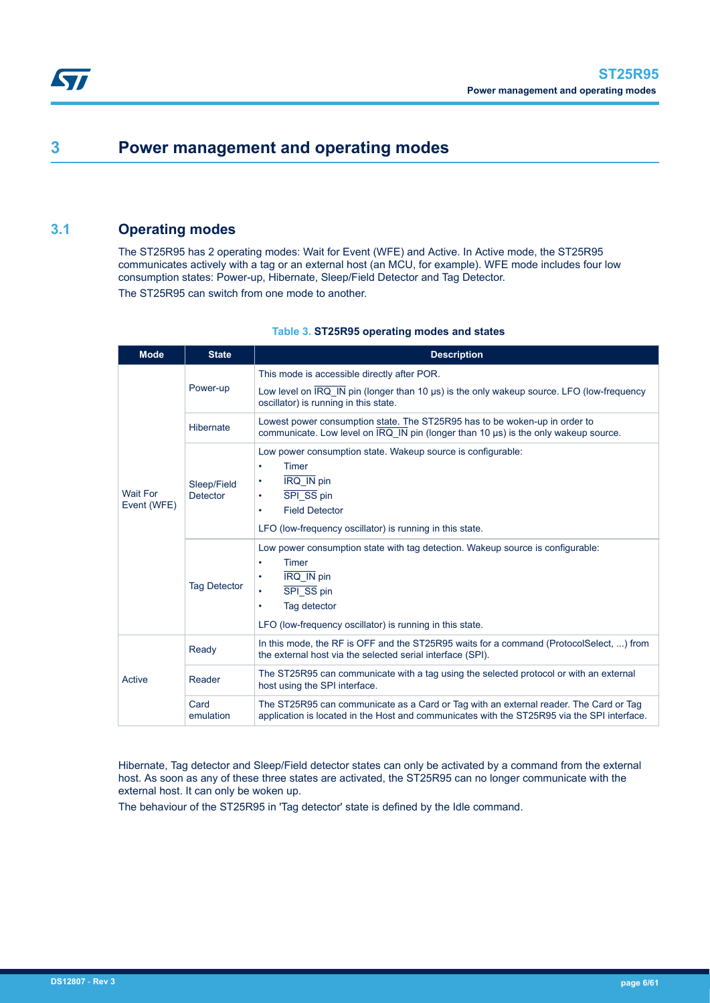# **3 Power management and operating modes**

# **3.1 Operating modes**

The ST25R95 has 2 operating modes: Wait for Event (WFE) and Active. In Active mode, the ST25R95 communicates actively with a tag or an external host (an MCU, for example). WFE mode includes four low consumption states: Power-up, Hibernate, Sleep/Field Detector and Tag Detector. The ST25R95 can switch from one mode to another.

| <b>Mode</b>                    | <b>State</b>                   | <b>Description</b>                                                                                                                                                                                                          |  |  |
|--------------------------------|--------------------------------|-----------------------------------------------------------------------------------------------------------------------------------------------------------------------------------------------------------------------------|--|--|
|                                | Power-up                       | This mode is accessible directly after POR.<br>Low level on IRQ_IN pin (longer than 10 µs) is the only wakeup source. LFO (low-frequency<br>oscillator) is running in this state.                                           |  |  |
|                                | Hibernate                      | Lowest power consumption state. The ST25R95 has to be woken-up in order to<br>communicate. Low level on IRQ IN pin (longer than 10 µs) is the only wakeup source.                                                           |  |  |
| <b>Wait For</b><br>Event (WFE) | Sleep/Field<br><b>Detector</b> | Low power consumption state. Wakeup source is configurable:<br><b>Timer</b><br>$\bullet$<br>IRQ_IN pin<br>٠<br>SPI_SS pin<br>٠<br><b>Field Detector</b><br>٠<br>LFO (low-frequency oscillator) is running in this state.    |  |  |
|                                | <b>Tag Detector</b>            | Low power consumption state with tag detection. Wakeup source is configurable:<br>Timer<br>٠<br>IRQ_IN pin<br>٠<br>SPI_SS pin<br>٠<br>Tag detector<br>$\bullet$<br>LFO (low-frequency oscillator) is running in this state. |  |  |
|                                | Ready                          | In this mode, the RF is OFF and the ST25R95 waits for a command (ProtocolSelect, ) from<br>the external host via the selected serial interface (SPI).                                                                       |  |  |
| Active                         | Reader                         | The ST25R95 can communicate with a tag using the selected protocol or with an external<br>host using the SPI interface.                                                                                                     |  |  |
|                                | Card<br>emulation              | The ST25R95 can communicate as a Card or Tag with an external reader. The Card or Tag<br>application is located in the Host and communicates with the ST25R95 via the SPI interface.                                        |  |  |

### **Table 3. ST25R95 operating modes and states**

Hibernate, Tag detector and Sleep/Field detector states can only be activated by a command from the external host. As soon as any of these three states are activated, the ST25R95 can no longer communicate with the external host. It can only be woken up.

The behaviour of the ST25R95 in 'Tag detector' state is defined by the Idle command.

<span id="page-5-0"></span>**STI**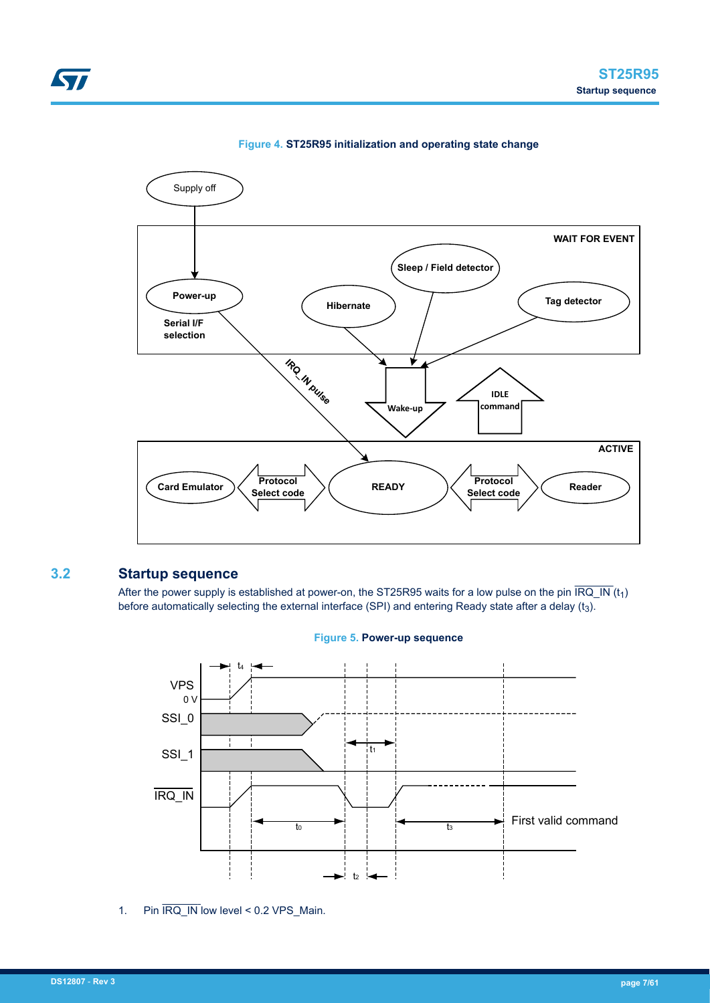





# **3.2 Startup sequence**

<span id="page-6-0"></span>ST

After the power supply is established at power-on, the ST25R95 waits for a low pulse on the pin  $\overline{\mathsf{IRQ\_IN}}(t_1)$ before automatically selecting the external interface (SPI) and entering Ready state after a delay  $(t<sub>3</sub>)$ .



### **Figure 5. Power-up sequence**

1. Pin  $\overline{\text{IRQ\_IN}}$  low level < 0.2 VPS\_Main.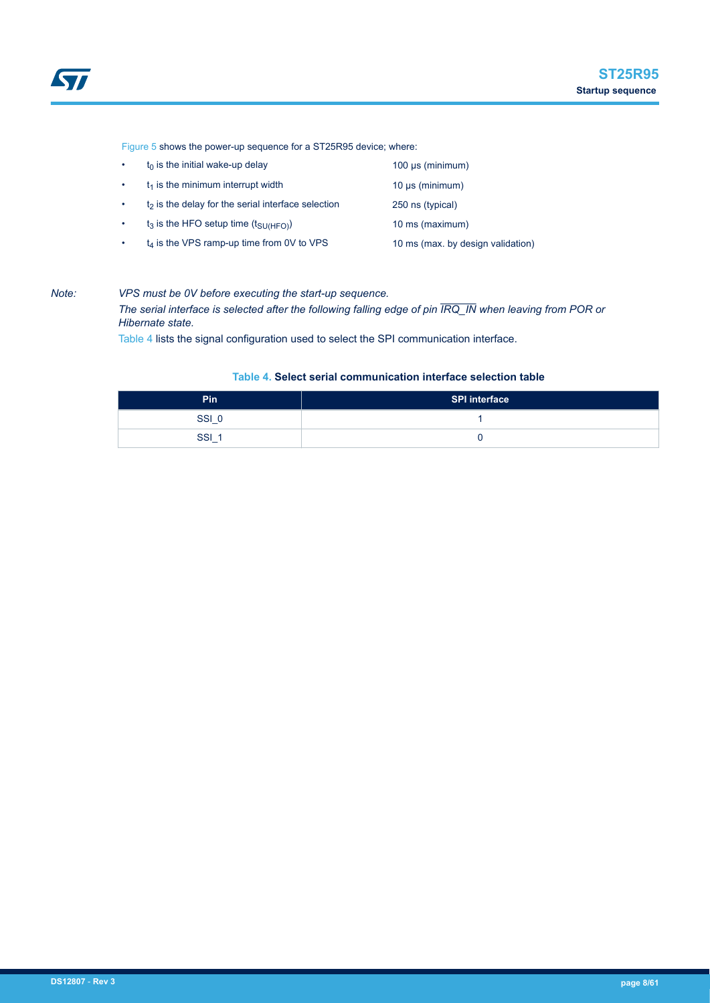<span id="page-7-0"></span>[Figure 5](#page-6-0) shows the power-up sequence for a ST25R95 device; where:

- $t_0$  is the initial wake-up delay 100 μs (minimum)
- $t_1$  is the minimum interrupt width  $t_1$  is the minimum)
- $t_2$  is the delay for the serial interface selection 250 ns (typical)
- $t_3$  is the HFO setup time  $(t_{\text{SU(HFO)}})$  10 ms (maximum)
- 
- $t_4$  is the VPS ramp-up time from 0V to VPS 10 ms (max. by design validation)
	-

### *Note: VPS must be 0V before executing the start-up sequence.*

*The serial interface is selected after the following falling edge of pin IRQ\_IN when leaving from POR or Hibernate state.*

Table 4 lists the signal configuration used to select the SPI communication interface.

# **Table 4. Select serial communication interface selection table**

| Pin | SPI interface |
|-----|---------------|
| SSI |               |
| SSI |               |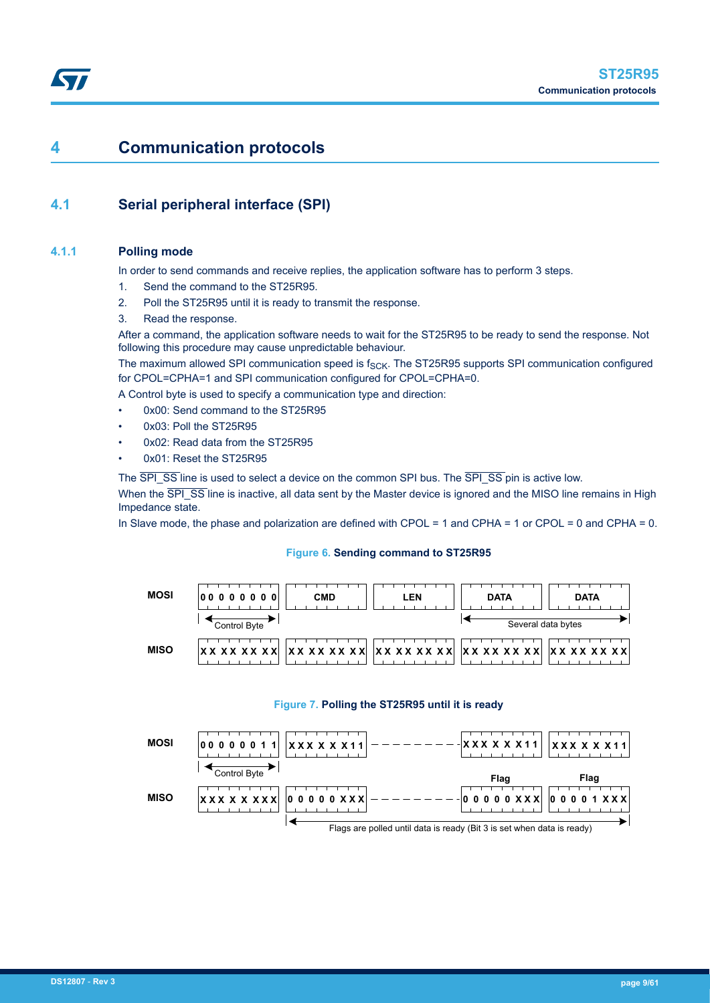# <span id="page-8-0"></span>**4 Communication protocols**

# **4.1 Serial peripheral interface (SPI)**

# **4.1.1 Polling mode**

In order to send commands and receive replies, the application software has to perform 3 steps.

- 1. Send the command to the ST25R95.
- 2. Poll the ST25R95 until it is ready to transmit the response.
- 3. Read the response.

After a command, the application software needs to wait for the ST25R95 to be ready to send the response. Not following this procedure may cause unpredictable behaviour.

The maximum allowed SPI communication speed is  $f_{SCK}$ . The ST25R95 supports SPI communication configured for CPOL=CPHA=1 and SPI communication configured for CPOL=CPHA=0.

A Control byte is used to specify a communication type and direction:

- 0x00: Send command to the ST25R95
- 0x03: Poll the ST25R95
- 0x02: Read data from the ST25R95
- 0x01: Reset the ST25R95

The  $\overline{SPI}$  SS line is used to select a device on the common SPI bus. The  $\overline{SPI}$  SS pin is active low.

When the SPI\_SS line is inactive, all data sent by the Master device is ignored and the MISO line remains in High Impedance state.

In Slave mode, the phase and polarization are defined with CPOL = 1 and CPHA = 1 or CPOL = 0 and CPHA = 0.

# **Figure 6. Sending command to ST25R95**

| <b>MOSI</b> | <b>CMD</b><br>00000000 | LEN | <b>DATA</b> | <b>DATA</b>        |
|-------------|------------------------|-----|-------------|--------------------|
|             | Control Byte           |     |             | Several data bytes |
| <b>MISO</b> |                        |     |             | X X X X X X X      |

#### **Figure 7. Polling the ST25R95 until it is ready**

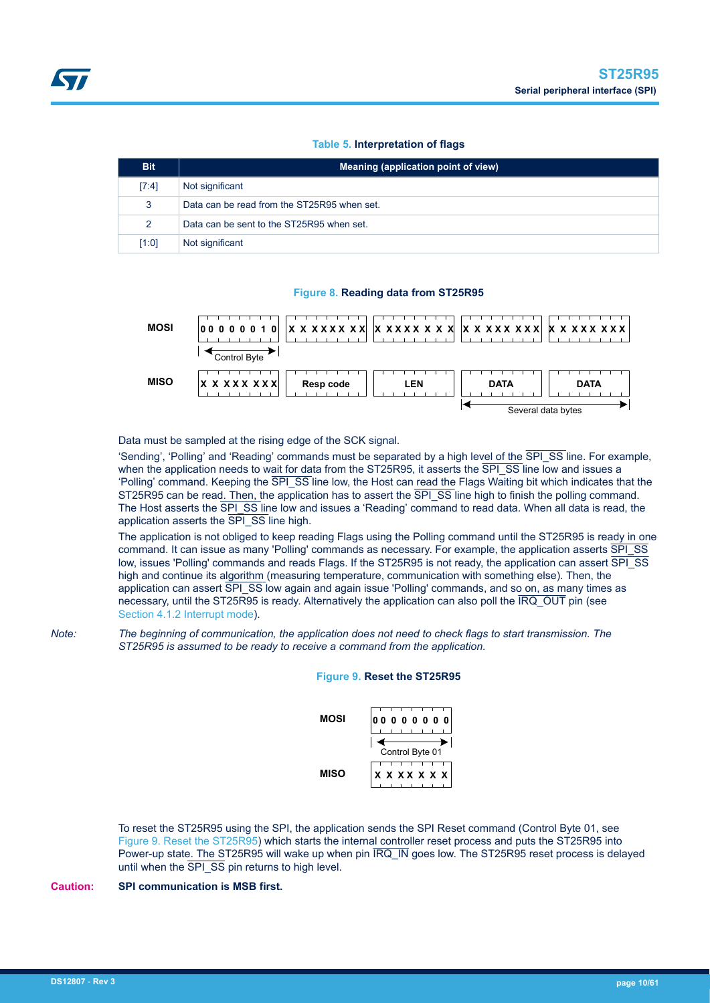### **Table 5. Interpretation of flags**

<span id="page-9-0"></span>

| <b>Bit</b>    | Meaning (application point of view)         |  |  |
|---------------|---------------------------------------------|--|--|
| [7:4]         | Not significant                             |  |  |
| 3             | Data can be read from the ST25R95 when set. |  |  |
| $\mathcal{P}$ | Data can be sent to the ST25R95 when set.   |  |  |
| [1:0]         | Not significant                             |  |  |

#### **Figure 8. Reading data from ST25R95**



Data must be sampled at the rising edge of the SCK signal.

'Sending', 'Polling' and 'Reading' commands must be separated by a high level of the SPI\_SS line. For example, when the application needs to wait for data from the ST25R95, it asserts the SPI\_SS line low and issues a 'Polling' command. Keeping the SPI\_SS line low, the Host can read the Flags Waiting bit which indicates that the ST25R95 can be read. Then, the application has to assert the SPI\_SS line high to finish the polling command. The Host asserts the SPI\_SS line low and issues a 'Reading' command to read data. When all data is read, the application asserts the SPI\_SS line high.

The application is not obliged to keep reading Flags using the Polling command until the ST25R95 is ready in one command. It can issue as many 'Polling' commands as necessary. For example, the application asserts SPI\_SS low, issues 'Polling' commands and reads Flags. If the ST25R95 is not ready, the application can assert SPI\_SS high and continue its algorithm (measuring temperature, communication with something else). Then, the application can assert SPI\_SS low again and again issue 'Polling' commands, and so on, as many times as necessary, until the ST25R95 is ready. Alternatively the application can also poll the IRQ\_OUT pin (see Section 4.1.2 Interrupt mode).

*Note: The beginning of communication, the application does not need to check flags to start transmission. The ST25R95 is assumed to be ready to receive a command from the application.*

#### **Figure 9. Reset the ST25R95**



To reset the ST25R95 using the SPI, the application sends the SPI Reset command (Control Byte 01, see Figure 9. Reset the ST25R95) which starts the internal controller reset process and puts the ST25R95 into Power-up state. The ST25R95 will wake up when pin  $\overline{RQ}$  IN goes low. The ST25R95 reset process is delayed until when the  $\overline{SPI}$   $\overline{SS}$  pin returns to high level.

#### **Caution: SPI communication is MSB first.**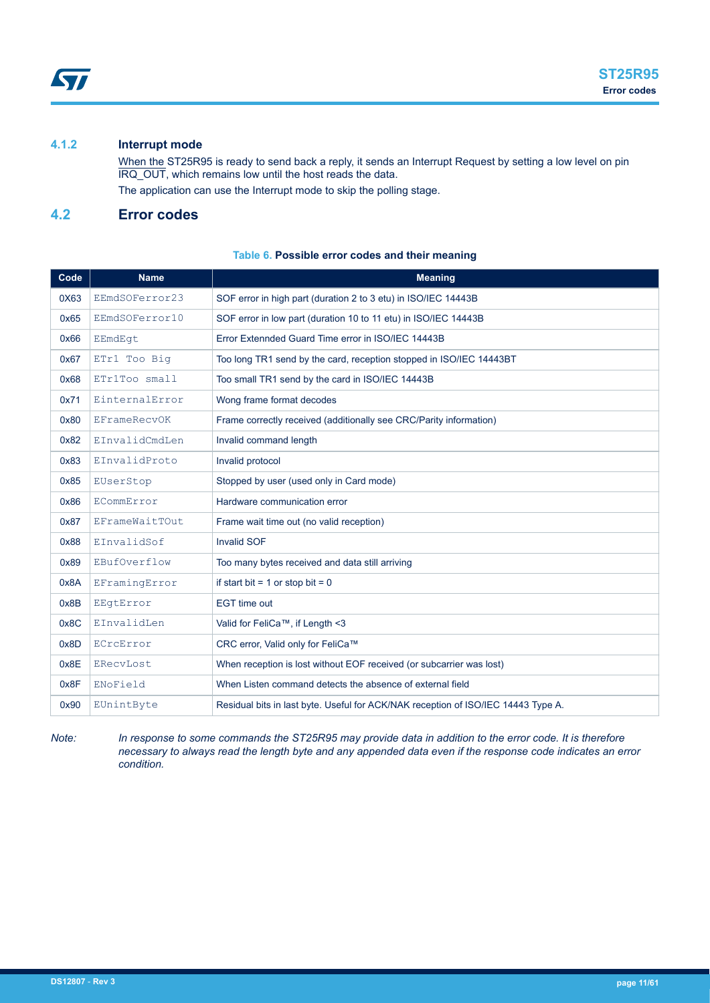# <span id="page-10-0"></span>**4.1.2 Interrupt mode**

When the ST25R95 is ready to send back a reply, it sends an Interrupt Request by setting a low level on pin IRQ\_OUT, which remains low until the host reads the data. The application can use the Interrupt mode to skip the polling stage.

# **4.2 Error codes**

# **Table 6. Possible error codes and their meaning**

| Code | <b>Name</b>         | <b>Meaning</b>                                                                    |  |  |
|------|---------------------|-----------------------------------------------------------------------------------|--|--|
| 0X63 | EEmdSOFerror23      | SOF error in high part (duration 2 to 3 etu) in ISO/IEC 14443B                    |  |  |
| 0x65 | EEmdSOFerror10      | SOF error in low part (duration 10 to 11 etu) in ISO/IEC 14443B                   |  |  |
| 0x66 | EEmdEqt             | Error Extennded Guard Time error in ISO/IEC 14443B                                |  |  |
| 0x67 | ETr1 Too Big        | Too long TR1 send by the card, reception stopped in ISO/IEC 14443BT               |  |  |
| 0x68 | ETr1Too small       | Too small TR1 send by the card in ISO/IEC 14443B                                  |  |  |
| 0x71 | EinternalError      | Wong frame format decodes                                                         |  |  |
| 0x80 | <b>EFrameRecvOK</b> | Frame correctly received (additionally see CRC/Parity information)                |  |  |
| 0x82 | EInvalidCmdLen      | Invalid command length                                                            |  |  |
| 0x83 | EInvalidProto       | Invalid protocol                                                                  |  |  |
| 0x85 | EUserStop           | Stopped by user (used only in Card mode)                                          |  |  |
| 0x86 | ECommError          | Hardware communication error                                                      |  |  |
| 0x87 | EFrameWaitTOut      | Frame wait time out (no valid reception)                                          |  |  |
| 0x88 | EInvalidSof         | <b>Invalid SOF</b>                                                                |  |  |
| 0x89 | EBufOverflow        | Too many bytes received and data still arriving                                   |  |  |
| 0x8A | EFramingError       | if start bit = $1$ or stop bit = $0$                                              |  |  |
| 0x8B | EEqtError           | <b>EGT</b> time out                                                               |  |  |
| 0x8C | EInvalidLen         | Valid for FeliCa™, if Length <3                                                   |  |  |
| 0x8D | ECrcError           | CRC error, Valid only for FeliCa™                                                 |  |  |
| 0x8E | ERecyLost           | When reception is lost without EOF received (or subcarrier was lost)              |  |  |
| 0x8F | ENoField            | When Listen command detects the absence of external field                         |  |  |
| 0x90 | EUnintByte          | Residual bits in last byte. Useful for ACK/NAK reception of ISO/IEC 14443 Type A. |  |  |

*Note: In response to some commands the ST25R95 may provide data in addition to the error code. It is therefore necessary to always read the length byte and any appended data even if the response code indicates an error condition.*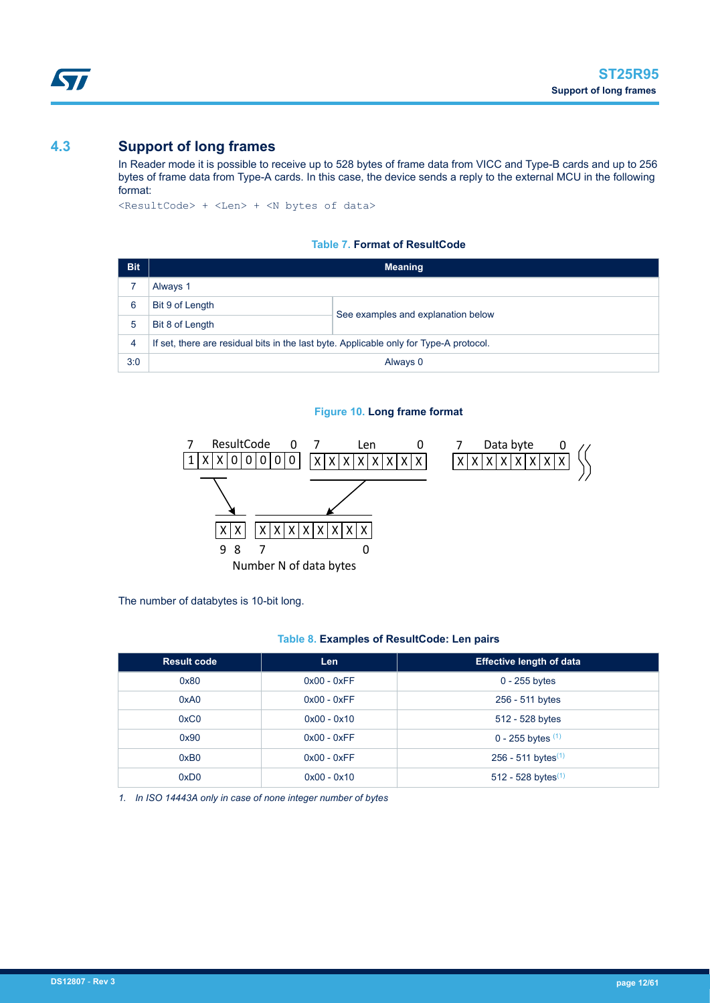# <span id="page-11-0"></span>**4.3 Support of long frames**

In Reader mode it is possible to receive up to 528 bytes of frame data from VICC and Type-B cards and up to 256 bytes of frame data from Type-A cards. In this case, the device sends a reply to the external MCU in the following format:

<ResultCode> + <Len> + <N bytes of data>

#### **Table 7. Format of ResultCode**

| <b>Bit</b> | <b>Meaning</b>                                                                         |                                    |  |
|------------|----------------------------------------------------------------------------------------|------------------------------------|--|
|            | Always 1                                                                               |                                    |  |
| 6          | Bit 9 of Length                                                                        | See examples and explanation below |  |
| 5          | Bit 8 of Length                                                                        |                                    |  |
| 4          | If set, there are residual bits in the last byte. Applicable only for Type-A protocol. |                                    |  |
| 3:0        | Always 0                                                                               |                                    |  |

#### **Figure 10. Long frame format**



The number of databytes is 10-bit long.

#### **Table 8. Examples of ResultCode: Len pairs**

| <b>Result code</b> | Len           | <b>Effective length of data</b> |
|--------------------|---------------|---------------------------------|
| 0x80               | $0x00 - 0xFF$ | $0 - 255$ bytes                 |
| 0xA0               | $0x00 - 0xFF$ | 256 - 511 bytes                 |
| 0xC0               | $0x00 - 0x10$ | 512 - 528 bytes                 |
| 0x90               | $0x00 - 0xFF$ | 0 - 255 bytes $(1)$             |
| 0xB0               | $0x00 - 0xFF$ | 256 - 511 bytes <sup>(1)</sup>  |
| 0xD0               | $0x00 - 0x10$ | 512 - 528 bytes $(1)$           |

*1. In ISO 14443A only in case of none integer number of bytes*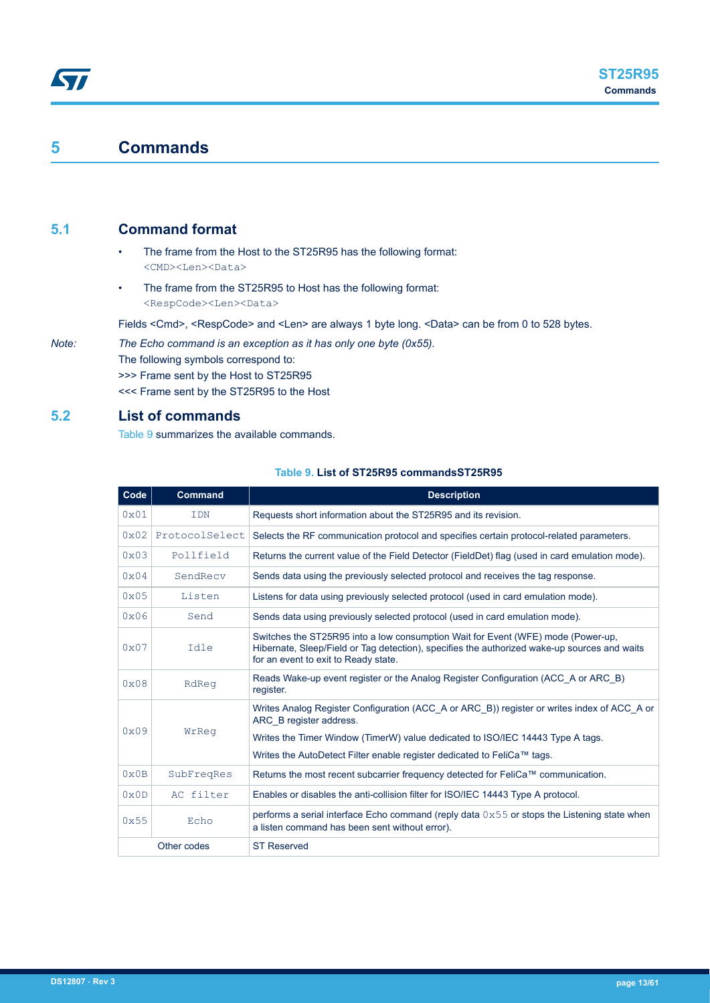# **5 Commands**

<span id="page-12-0"></span>ST

# **5.1 Command format**

- The frame from the Host to the ST25R95 has the following format: <CMD><Len><Data>
- The frame from the ST25R95 to Host has the following format: <RespCode><Len><Data>

Fields <Cmd>, <RespCode> and <Len> are always 1 byte long. <Data> can be from 0 to 528 bytes.

*Note: The Echo command is an exception as it has only one byte (0x55).* The following symbols correspond to: >>> Frame sent by the Host to ST25R95 <<< Frame sent by the ST25R95 to the Host

# **5.2 List of commands**

Table 9 summarizes the available commands.

| Code          | <b>Command</b> | <b>Description</b>                                                                                                                                                                                                       |  |  |
|---------------|----------------|--------------------------------------------------------------------------------------------------------------------------------------------------------------------------------------------------------------------------|--|--|
| 0x01          | <b>IDN</b>     | Requests short information about the ST25R95 and its revision.                                                                                                                                                           |  |  |
| 0x02          | ProtocolSelect | Selects the RF communication protocol and specifies certain protocol-related parameters.                                                                                                                                 |  |  |
| 0x03          | Pollfield      | Returns the current value of the Field Detector (FieldDet) flag (used in card emulation mode).                                                                                                                           |  |  |
| $0 \times 04$ | SendRecy       | Sends data using the previously selected protocol and receives the tag response.                                                                                                                                         |  |  |
| 0x05          | Listen         | Listens for data using previously selected protocol (used in card emulation mode).                                                                                                                                       |  |  |
| 0x06          | Send           | Sends data using previously selected protocol (used in card emulation mode).                                                                                                                                             |  |  |
| 0x07          | Idle           | Switches the ST25R95 into a low consumption Wait for Event (WFE) mode (Power-up.<br>Hibernate, Sleep/Field or Tag detection), specifies the authorized wake-up sources and waits<br>for an event to exit to Ready state. |  |  |
| 0x08          | RdReq          | Reads Wake-up event register or the Analog Register Configuration (ACC A or ARC B)<br>register.                                                                                                                          |  |  |
|               |                | Writes Analog Register Configuration (ACC A or ARC B)) register or writes index of ACC A or<br>ARC B register address.                                                                                                   |  |  |
| 0x09          | WrReq          | Writes the Timer Window (TimerW) value dedicated to ISO/IEC 14443 Type A tags.                                                                                                                                           |  |  |
|               |                | Writes the AutoDetect Filter enable register dedicated to FeliCa™ tags.                                                                                                                                                  |  |  |
| $0 \times 0B$ | SubFreqRes     | Returns the most recent subcarrier frequency detected for FeliCa™ communication.                                                                                                                                         |  |  |
| 0x0D          | AC filter      | Enables or disables the anti-collision filter for ISO/IEC 14443 Type A protocol.                                                                                                                                         |  |  |
| 0x55          | Echo           | performs a serial interface Echo command (reply data $0 \times 55$ or stops the Listening state when<br>a listen command has been sent without error).                                                                   |  |  |
|               | Other codes    | <b>ST Reserved</b>                                                                                                                                                                                                       |  |  |

#### **Table 9. List of ST25R95 commandsST25R95**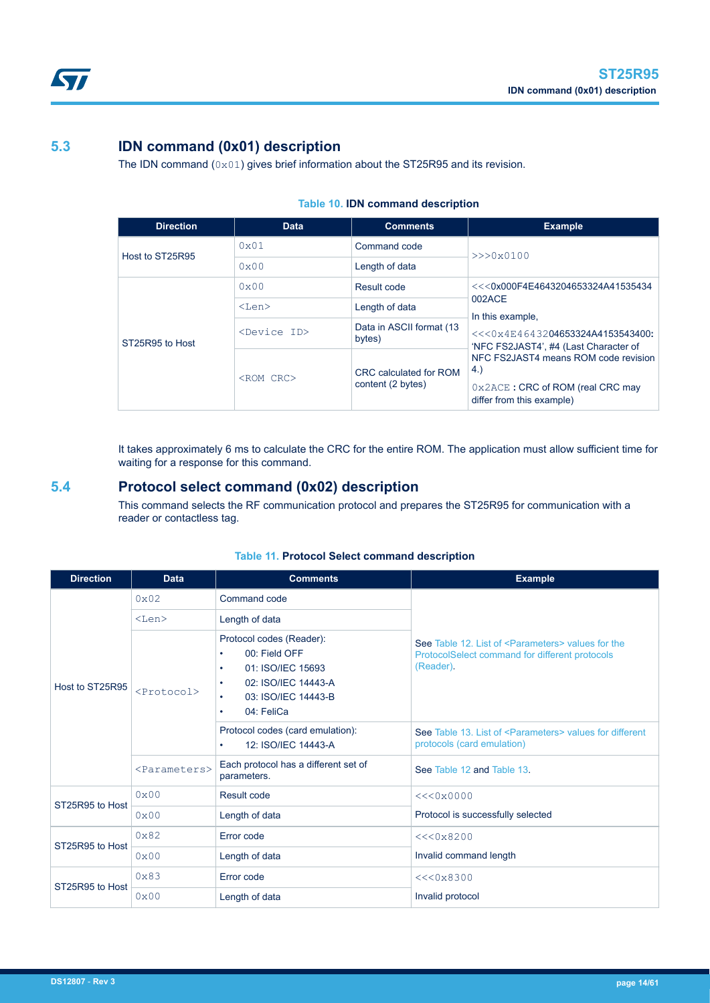# **5.3 IDN command (0x01) description**

The IDN command  $(0x01)$  gives brief information about the ST25R95 and its revision.

| <b>Direction</b> | <b>Data</b>             | <b>Comments</b>                             | <b>Example</b>                                                                                                         |
|------------------|-------------------------|---------------------------------------------|------------------------------------------------------------------------------------------------------------------------|
| Host to ST25R95  | $0 \times 01$           | Command code                                | $>>$ $0x0100$                                                                                                          |
|                  | 0x00                    | Length of data                              |                                                                                                                        |
|                  | $0 \times 00$           | Result code                                 | $<<$ 0x000F4E4643204653324A41535434                                                                                    |
|                  | $<$ Len $>$             | Length of data                              | 002ACE<br>In this example.                                                                                             |
| ST25R95 to Host  | <device id=""></device> | Data in ASCII format (13<br>bytes)          | $<<$ $0 \times 4E4643204653324A4153543400$ :<br>'NFC FS2JAST4', #4 (Last Character of                                  |
|                  | <rom crc=""></rom>      | CRC calculated for ROM<br>content (2 bytes) | NFC FS2JAST4 means ROM code revision<br>4.)<br>$0 \times 2$ ACE: CRC of ROM (real CRC may<br>differ from this example) |

#### **Table 10. IDN command description**

It takes approximately 6 ms to calculate the CRC for the entire ROM. The application must allow sufficient time for waiting for a response for this command.

# **5.4 Protocol select command (0x02) description**

This command selects the RF communication protocol and prepares the ST25R95 for communication with a reader or contactless tag.

| <b>Direction</b> | <b>Data</b>               | <b>Comments</b>                                                                                                                                                | <b>Example</b>                                                                                                                  |  |
|------------------|---------------------------|----------------------------------------------------------------------------------------------------------------------------------------------------------------|---------------------------------------------------------------------------------------------------------------------------------|--|
|                  | $0 \times 02$             | Command code                                                                                                                                                   | See Table 12. List of <parameters> values for the<br/>ProtocolSelect command for different protocols<br/>(Reader).</parameters> |  |
| Host to ST25R95  | $<$ Len $>$               | Length of data                                                                                                                                                 |                                                                                                                                 |  |
|                  | $<$ Protocol $>$          | Protocol codes (Reader):<br>00: Field OFF<br>01: ISO/IEC 15693<br>٠<br>02: ISO/IEC 14443-A<br>$\bullet$<br>03: ISO/IEC 14443-B<br>٠<br>04: FeliCa<br>$\bullet$ |                                                                                                                                 |  |
|                  |                           | Protocol codes (card emulation):<br>12: ISO/IEC 14443-A<br>$\bullet$                                                                                           | See Table 13. List of <parameters> values for different<br/>protocols (card emulation)</parameters>                             |  |
|                  | <parameters></parameters> | Each protocol has a different set of<br>parameters.                                                                                                            | See Table 12 and Table 13.                                                                                                      |  |
| ST25R95 to Host  | $0 \times 00$             | Result code                                                                                                                                                    | <<0x0000                                                                                                                        |  |
|                  | 0x00                      | Length of data                                                                                                                                                 | Protocol is successfully selected                                                                                               |  |
|                  | $0 \times 82$             | Error code                                                                                                                                                     | <<0x8200                                                                                                                        |  |
| ST25R95 to Host  | 0x00                      | Length of data                                                                                                                                                 | Invalid command length                                                                                                          |  |
| ST25R95 to Host  | $0 \times 83$             | Error code                                                                                                                                                     | <<0x8300                                                                                                                        |  |
|                  | 0x00                      | Length of data                                                                                                                                                 | Invalid protocol                                                                                                                |  |

# **Table 11. Protocol Select command description**

<span id="page-13-0"></span>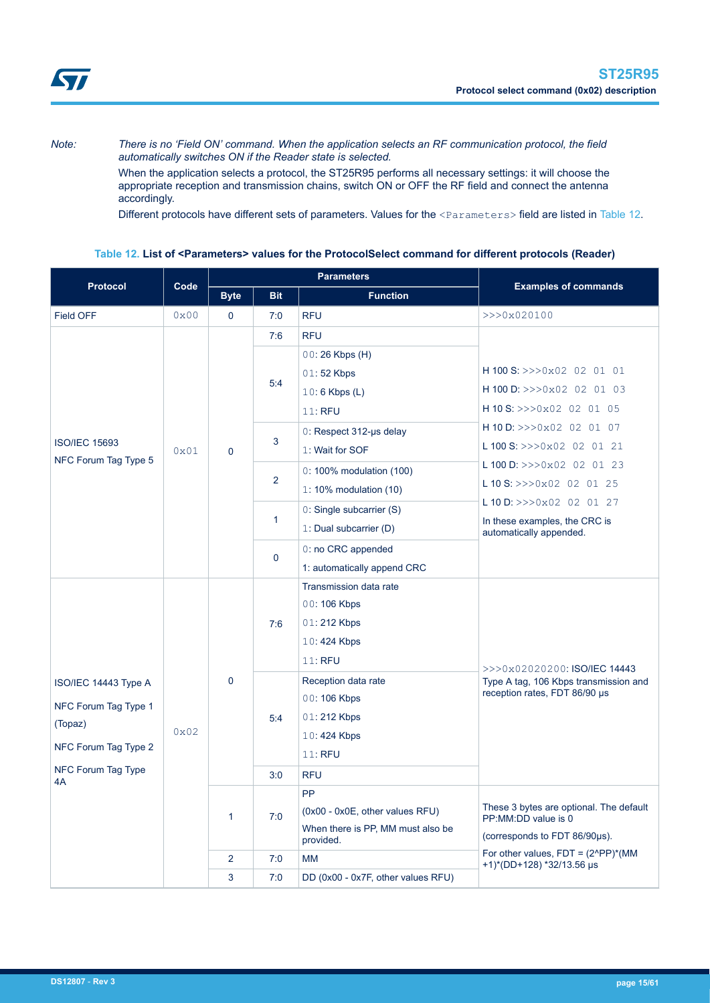<span id="page-14-0"></span>

*Note: There is no 'Field ON' command. When the application selects an RF communication protocol, the field automatically switches ON if the Reader state is selected.*

> When the application selects a protocol, the ST25R95 performs all necessary settings: it will choose the appropriate reception and transmission chains, switch ON or OFF the RF field and connect the antenna accordingly.

Different protocols have different sets of parameters. Values for the <Parameters> field are listed in Table 12.

# **Table 12. List of <Parameters> values for the ProtocolSelect command for different protocols (Reader)**

| <b>Protocol</b>          | Code          | <b>Parameters</b> |                |                                                | <b>Examples of commands</b>                                                 |  |
|--------------------------|---------------|-------------------|----------------|------------------------------------------------|-----------------------------------------------------------------------------|--|
|                          |               | <b>Byte</b>       | <b>Bit</b>     | <b>Function</b>                                |                                                                             |  |
| Field OFF                | 0x00          | 0                 | 7:0            | <b>RFU</b>                                     | >>>0x020100                                                                 |  |
|                          |               |                   | 7:6            | <b>RFU</b>                                     |                                                                             |  |
|                          |               |                   |                | $00:26$ Kbps $(H)$                             |                                                                             |  |
|                          |               |                   |                | 01:52 Kbps                                     | H 100 S: $>>0x02$ 02 01 01                                                  |  |
|                          |               |                   | 5:4            | $10:6$ Kbps (L)                                | H 100 D: $>>0x02$ 02 01 03                                                  |  |
|                          |               |                   |                | 11: RFU                                        | H 10 S: >>>0x02 02 01 05                                                    |  |
|                          |               |                   |                | $0:$ Respect 312-us delay                      | H 10 D: >>>0x02 02 01 07                                                    |  |
| <b>ISO/IEC 15693</b>     | 0x01          | $\Omega$          | 3              | 1: Wait for SOF                                | L 100 S: $>>0x02$ 02 01 21                                                  |  |
| NFC Forum Tag Type 5     |               |                   |                | $0:100\%$ modulation (100)                     | L 100 D: $>>0x02$ 02 01 23                                                  |  |
|                          |               |                   | $\overline{2}$ | 1: 10% modulation $(10)$                       | L 10 S: $>>$ 0x02 02 01 25                                                  |  |
|                          |               |                   |                | 0: Single subcarrier (S)                       | L 10 D: $>>0x02$ 02 01 27                                                   |  |
|                          |               |                   | $\mathbf{1}$   | 1: Dual subcarrier (D)                         | In these examples, the CRC is<br>automatically appended.                    |  |
|                          |               |                   | $\mathbf 0$    | 0: no CRC appended                             |                                                                             |  |
|                          |               |                   |                | 1: automatically append CRC                    |                                                                             |  |
|                          |               | $\Omega$          |                | Transmission data rate                         |                                                                             |  |
|                          |               |                   | 7:6            | 00:106 Kbps                                    |                                                                             |  |
|                          |               |                   |                | 01:212 Kbps                                    |                                                                             |  |
|                          |               |                   |                | 10:424 Kbps                                    |                                                                             |  |
|                          |               |                   |                | 11: RFU                                        | >>>0x02020200: ISO/IEC 14443                                                |  |
| ISO/IEC 14443 Type A     |               |                   |                | Reception data rate                            | Type A tag, 106 Kbps transmission and                                       |  |
| NFC Forum Tag Type 1     |               |                   |                | 00:106 Kbps                                    | reception rates, FDT 86/90 µs                                               |  |
| (Topaz)                  |               |                   | 5:4            | 01:212 Kbps                                    |                                                                             |  |
| NFC Forum Tag Type 2     | $0 \times 02$ |                   |                | $10:424$ Kbps                                  |                                                                             |  |
|                          |               |                   |                | 11: RFU                                        |                                                                             |  |
| NFC Forum Tag Type<br>4A |               |                   | 3:0            | <b>RFU</b>                                     |                                                                             |  |
|                          |               |                   |                | PP                                             |                                                                             |  |
|                          |               | $\mathbf{1}$      | 7:0            | (0x00 - 0x0E, other values RFU)                | These 3 bytes are optional. The default<br>PP:MM:DD value is 0              |  |
|                          |               |                   |                | When there is PP, MM must also be<br>provided. | (corresponds to FDT 86/90µs).                                               |  |
|                          |               | $\overline{2}$    | 7:0            | <b>MM</b>                                      | For other values, $FDT = (2^{\wedge}PP)^*(MM)$<br>+1)*(DD+128) *32/13.56 µs |  |
|                          |               | 3                 | 7:0            | DD (0x00 - 0x7F, other values RFU)             |                                                                             |  |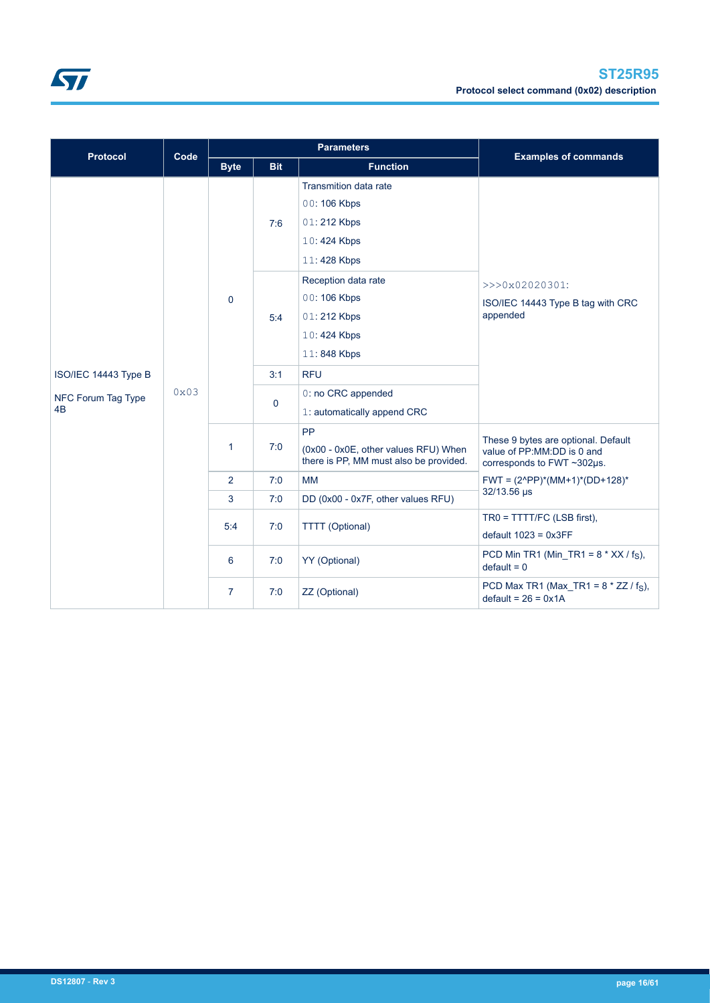

| <b>Protocol</b>                                  | Code | <b>Parameters</b> |                     |                                                                                             | <b>Examples of commands</b>                                                                     |  |
|--------------------------------------------------|------|-------------------|---------------------|---------------------------------------------------------------------------------------------|-------------------------------------------------------------------------------------------------|--|
|                                                  |      | <b>Byte</b>       | <b>Bit</b>          | <b>Function</b>                                                                             |                                                                                                 |  |
|                                                  | 0x03 |                   | 7:6                 | <b>Transmition data rate</b><br>00:106 Kbps<br>01:212 Kbps<br>10:424 Kbps<br>11:428 Kbps    |                                                                                                 |  |
|                                                  |      | $\mathbf 0$       | 5:4                 | Reception data rate<br>00:106 Kbps<br>01:212 Kbps<br>10:424 Kbps<br>11:848 Kbps             | >>>0x02020301:<br>ISO/IEC 14443 Type B tag with CRC<br>appended                                 |  |
| ISO/IEC 14443 Type B<br>NFC Forum Tag Type<br>4B |      |                   | 3:1<br>$\mathbf{0}$ | <b>RFU</b><br>0: no CRC appended<br>1: automatically append CRC                             |                                                                                                 |  |
|                                                  |      | 1                 | 7:0                 | <b>PP</b><br>(0x00 - 0x0E, other values RFU) When<br>there is PP, MM must also be provided. | These 9 bytes are optional. Default<br>value of PP:MM:DD is 0 and<br>corresponds to FWT ~302µs. |  |
|                                                  |      | $\overline{2}$    | 7:0                 | <b>MM</b>                                                                                   | $FWT = (2^{\wedge}PP)^*(MM+1)^*(DD+128)^*$<br>32/13.56 µs                                       |  |
|                                                  |      | 3                 | 7:0                 | DD (0x00 - 0x7F, other values RFU)                                                          |                                                                                                 |  |
|                                                  |      | 5:4               | 7:0                 | <b>TTTT</b> (Optional)                                                                      | TR0 = TTTT/FC (LSB first),<br>$default 1023 = 0x3FF$                                            |  |
|                                                  |      | 6                 | 7:0                 | YY (Optional)                                                                               | PCD Min TR1 (Min TR1 = $8 * XX / f_S$ ),<br>$default = 0$                                       |  |
|                                                  |      | $\overline{7}$    | 7:0                 | ZZ (Optional)                                                                               | PCD Max TR1 (Max_TR1 = $8 * ZZ / f_S$ ),<br>$default = 26 = 0x1A$                               |  |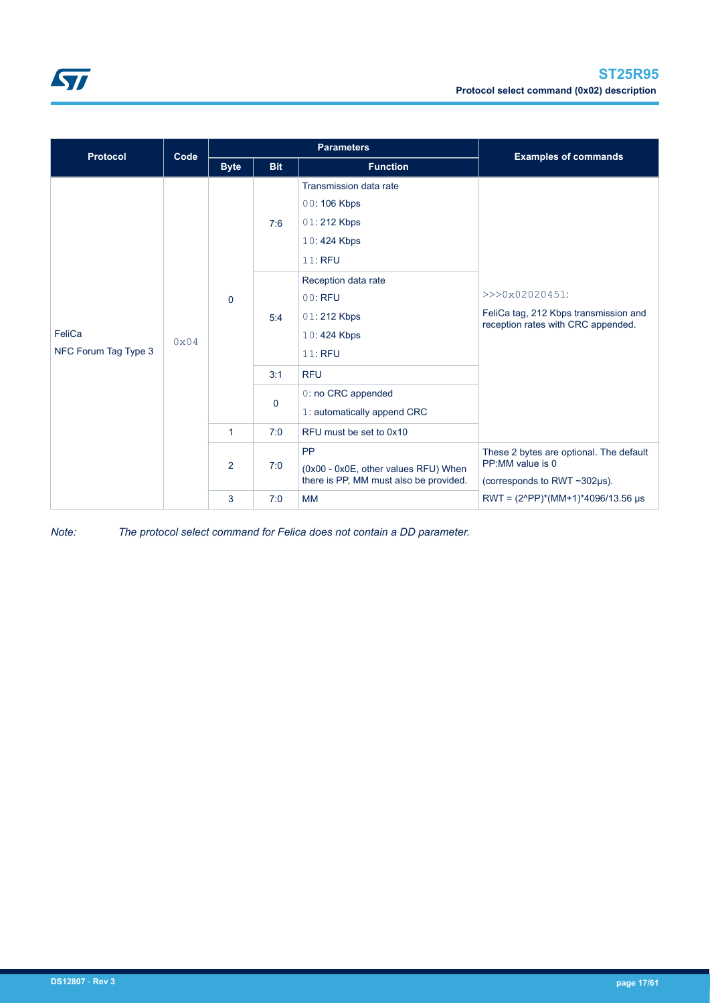

| <b>Protocol</b>                | Code | <b>Parameters</b> |              |                                                                                             | <b>Examples of commands</b>                                                                             |  |
|--------------------------------|------|-------------------|--------------|---------------------------------------------------------------------------------------------|---------------------------------------------------------------------------------------------------------|--|
|                                |      | <b>Byte</b>       | <b>Bit</b>   | <b>Function</b>                                                                             |                                                                                                         |  |
| FeliCa<br>NFC Forum Tag Type 3 | 0x04 |                   | 7:6          | Transmission data rate<br>00:106 Kbps<br>01:212 Kbps<br>10:424 Kbps<br>11: RFU              |                                                                                                         |  |
|                                |      | $\mathbf 0$       | 5:4          | Reception data rate<br>00: RFU<br>01:212 Kbps<br>10:424 Kbps<br>11: RFU                     | >>>0x02020451:<br>FeliCa tag, 212 Kbps transmission and<br>reception rates with CRC appended.           |  |
|                                |      |                   | 3:1          | <b>RFU</b>                                                                                  |                                                                                                         |  |
|                                |      |                   | $\mathbf{0}$ | 0: no CRC appended<br>1: automatically append CRC                                           |                                                                                                         |  |
|                                |      | 1                 | 7:0          | RFU must be set to 0x10                                                                     |                                                                                                         |  |
|                                |      | $\overline{2}$    | 7:0          | <b>PP</b><br>(0x00 - 0x0E, other values RFU) When<br>there is PP, MM must also be provided. | These 2 bytes are optional. The default<br>PP:MM value is 0<br>(corresponds to RWT $\sim$ 302 $\mu$ s). |  |
|                                |      | 3                 | 7:0          | <b>MM</b>                                                                                   | RWT = $(2^{\circ}PP)^*(MM+1)^*4096/13.56 \mu s$                                                         |  |

*Note: The protocol select command for Felica does not contain a DD parameter.*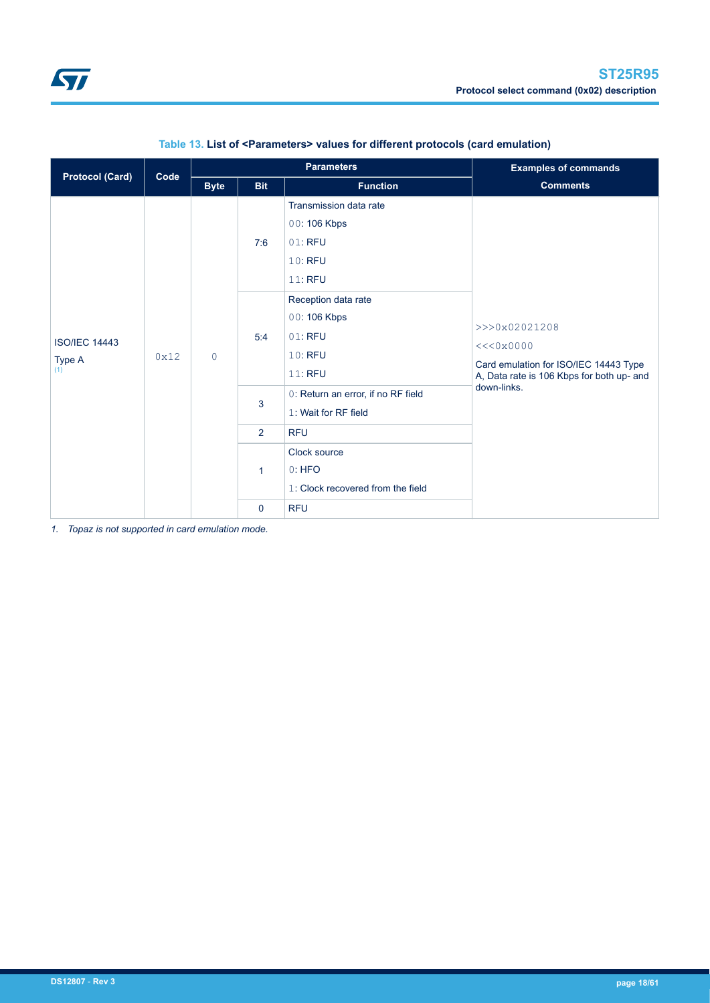<span id="page-17-0"></span>

|                                       |      | <b>Parameters</b> |                               |                                                                        | <b>Examples of commands</b>                                                                                     |             |
|---------------------------------------|------|-------------------|-------------------------------|------------------------------------------------------------------------|-----------------------------------------------------------------------------------------------------------------|-------------|
| <b>Protocol (Card)</b>                | Code | <b>Byte</b>       | <b>Bit</b><br><b>Function</b> |                                                                        | <b>Comments</b>                                                                                                 |             |
| <b>ISO/IEC 14443</b><br>Type A<br>(1) | 0x12 | $\circ$           | 7:6                           | Transmission data rate<br>00:106 Kbps<br>01: RFU<br>10: RFU<br>11: RFU |                                                                                                                 |             |
|                                       |      |                   | 5:4                           | Reception data rate<br>00:106 Kbps<br>01: RFU<br>10: RFU<br>11: RFU    | >>>0x02021208<br><<0x0000<br>Card emulation for ISO/IEC 14443 Type<br>A, Data rate is 106 Kbps for both up- and |             |
|                                       |      |                   |                               | 3                                                                      | 0: Return an error, if no RF field<br>1: Wait for RF field                                                      | down-links. |
|                                       |      |                   | $\overline{2}$                | <b>RFU</b>                                                             |                                                                                                                 |             |
|                                       |      | 1                 |                               | Clock source<br>0:HFO<br>1: Clock recovered from the field             |                                                                                                                 |             |
|                                       |      |                   | $\mathbf 0$                   | <b>RFU</b>                                                             |                                                                                                                 |             |

# **Table 13. List of <Parameters> values for different protocols (card emulation)**

*1. Topaz is not supported in card emulation mode.*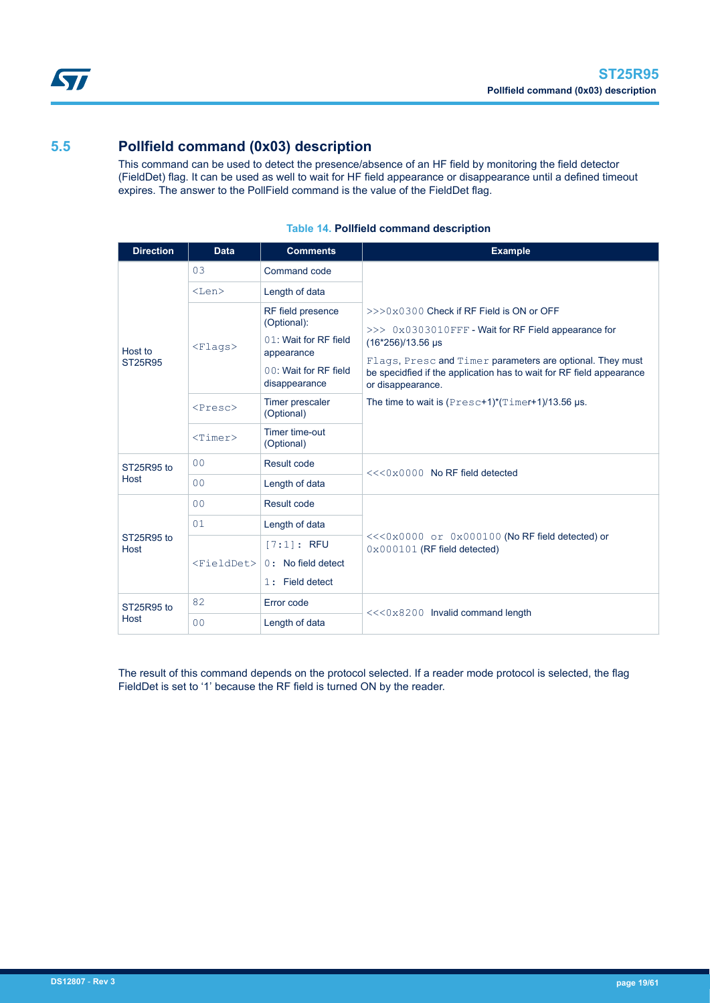<span id="page-18-0"></span>

# **5.5 Pollfield command (0x03) description**

This command can be used to detect the presence/absence of an HF field by monitoring the field detector (FieldDet) flag. It can be used as well to wait for HF field appearance or disappearance until a defined timeout expires. The answer to the PollField command is the value of the FieldDet flag.

| <b>Direction</b>   | <b>Data</b>                                  | <b>Comments</b>                                                                                                                                                                    | <b>Example</b>                                                                                                                                                                                                                                                                                                                                               |  |  |
|--------------------|----------------------------------------------|------------------------------------------------------------------------------------------------------------------------------------------------------------------------------------|--------------------------------------------------------------------------------------------------------------------------------------------------------------------------------------------------------------------------------------------------------------------------------------------------------------------------------------------------------------|--|--|
|                    | 03                                           | Command code                                                                                                                                                                       |                                                                                                                                                                                                                                                                                                                                                              |  |  |
|                    | $<$ Len $>$                                  | Length of data                                                                                                                                                                     |                                                                                                                                                                                                                                                                                                                                                              |  |  |
| Host to<br>ST25R95 | $<$ Flaqs><br>$<$ Presc $>$<br>$<$ Timer $>$ | RF field presence<br>(Optional):<br>01: Wait for RF field<br>appearance<br>00: Wait for RF field<br>disappearance<br>Timer prescaler<br>(Optional)<br>Timer time-out<br>(Optional) | $>>0x0300$ Check if RF Field is ON or OFF<br>$>> 0x0303010$ FFF - Wait for RF Field appearance for<br>(16*256)/13.56 µs<br>Flags, Presc and Timer parameters are optional. They must<br>be specidfied if the application has to wait for RF field appearance<br>or disappearance.<br>The time to wait is $(Present*)$ <sup>*</sup> $(Timer+1)/13.56 \mu s$ . |  |  |
| ST25R95 to         | 0 <sub>0</sub>                               | Result code                                                                                                                                                                        |                                                                                                                                                                                                                                                                                                                                                              |  |  |
| Host               | 0 <sub>0</sub>                               | Length of data                                                                                                                                                                     | $<<0×0000$ No RF field detected                                                                                                                                                                                                                                                                                                                              |  |  |
|                    | 0 <sub>0</sub>                               | Result code                                                                                                                                                                        |                                                                                                                                                                                                                                                                                                                                                              |  |  |
|                    | 01                                           | Length of data                                                                                                                                                                     |                                                                                                                                                                                                                                                                                                                                                              |  |  |
| ST25R95 to<br>Host | $<$ FieldDet $>$                             | $[7:1]:$ RFU<br>$0:$ No field detect<br>1: Field detect                                                                                                                            | <<<0x0000 or 0x000100 (No RF field detected) or<br>$0 \times 000101$ (RF field detected)                                                                                                                                                                                                                                                                     |  |  |
| ST25R95 to         | 82                                           | Error code                                                                                                                                                                         | <<<0x8200 Invalid command length                                                                                                                                                                                                                                                                                                                             |  |  |
| Host               | 0 <sup>0</sup>                               | Length of data                                                                                                                                                                     |                                                                                                                                                                                                                                                                                                                                                              |  |  |

# **Table 14. Pollfield command description**

The result of this command depends on the protocol selected. If a reader mode protocol is selected, the flag FieldDet is set to '1' because the RF field is turned ON by the reader.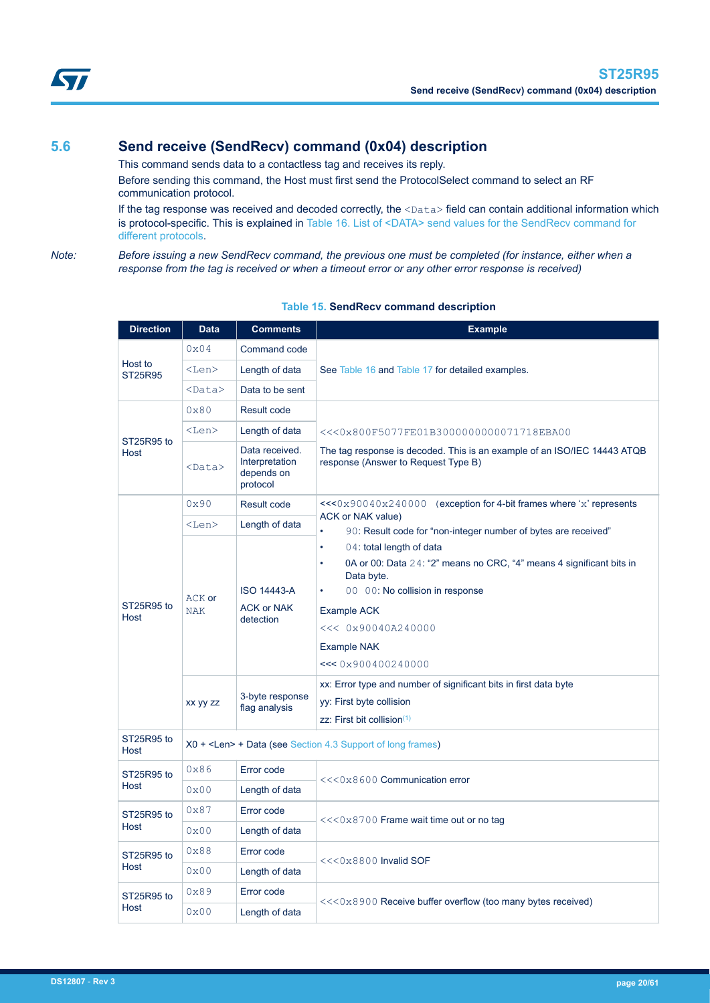<span id="page-19-0"></span>

# **5.6 Send receive (SendRecv) command (0x04) description**

This command sends data to a contactless tag and receives its reply.

Before sending this command, the Host must first send the ProtocolSelect command to select an RF communication protocol.

If the tag response was received and decoded correctly, the  $<$ Data> field can contain additional information which is protocol-specific. This is explained in [Table 16. List of <DATA> send values for the SendRecv command for](#page-20-0) [different protocols.](#page-20-0)

*Note: Before issuing a new SendRecv command, the previous one must be completed (for instance, either when a response from the tag is received or when a timeout error or any other error response is received)*

| <b>Direction</b>          | <b>Data</b>          | <b>Comments</b>                                            | <b>Example</b>                                                                                                  |  |  |  |
|---------------------------|----------------------|------------------------------------------------------------|-----------------------------------------------------------------------------------------------------------------|--|--|--|
|                           | $0 \times 04$        | Command code                                               |                                                                                                                 |  |  |  |
| Host to<br><b>ST25R95</b> | <len></len>          | Length of data                                             | See Table 16 and Table 17 for detailed examples.                                                                |  |  |  |
|                           | $<$ Data $>$         | Data to be sent                                            |                                                                                                                 |  |  |  |
|                           | 0x80                 | Result code                                                |                                                                                                                 |  |  |  |
|                           | $<$ Len $>$          | Length of data                                             | <<<0x800F5077FE01B3000000000071718EBA00                                                                         |  |  |  |
| ST25R95 to<br>Host        | <data></data>        | Data received.<br>Interpretation<br>depends on<br>protocol | The tag response is decoded. This is an example of an ISO/IEC 14443 ATQB<br>response (Answer to Request Type B) |  |  |  |
|                           | 0x90                 | Result code                                                | $<<0x90040x240000$ (exception for 4-bit frames where 'x' represents                                             |  |  |  |
|                           | $<$ Len $>$          | Length of data                                             | ACK or NAK value)<br>$\bullet$<br>90: Result code for "non-integer number of bytes are received"                |  |  |  |
|                           |                      |                                                            | $\bullet$<br>04: total length of data                                                                           |  |  |  |
|                           | ACK or<br><b>NAK</b> |                                                            | 0A or 00: Data 24: "2" means no CRC, "4" means 4 significant bits in<br>$\bullet$<br>Data byte.                 |  |  |  |
| ST25R95 to                |                      | <b>ISO 14443-A</b><br><b>ACK or NAK</b><br>detection       | 00 00: No collision in response<br>$\bullet$                                                                    |  |  |  |
| Host                      |                      |                                                            | <b>Example ACK</b>                                                                                              |  |  |  |
|                           |                      |                                                            | << 0x90040A240000                                                                                               |  |  |  |
|                           |                      |                                                            | <b>Example NAK</b>                                                                                              |  |  |  |
|                           |                      |                                                            | << 0x900400240000                                                                                               |  |  |  |
|                           |                      | 3-byte response<br>flag analysis                           | xx: Error type and number of significant bits in first data byte                                                |  |  |  |
|                           | XX yy zz             |                                                            | yy: First byte collision                                                                                        |  |  |  |
| ST25R95 to                |                      |                                                            | zz: First bit collision $(1)$                                                                                   |  |  |  |
| Host                      |                      |                                                            | X0 + <len> + Data (see Section 4.3 Support of long frames)</len>                                                |  |  |  |
| ST25R95 to                | 0x86                 | Error code                                                 | <<<0x8600 Communication error                                                                                   |  |  |  |
| Host                      | 0x00                 | Length of data                                             |                                                                                                                 |  |  |  |
| ST25R95 to                | 0x87                 | Error code                                                 | $<<0x8700$ Frame wait time out or no tag                                                                        |  |  |  |
| Host                      | 0x00                 | Length of data                                             |                                                                                                                 |  |  |  |
| ST25R95 to                | 0x88                 | Error code                                                 | <<<0x8800 Invalid SOF                                                                                           |  |  |  |
| Host                      | 0x00                 | Length of data                                             |                                                                                                                 |  |  |  |
| ST25R95 to                | 0x89                 | Error code                                                 |                                                                                                                 |  |  |  |
| Host                      | 0x00                 | Length of data                                             | $<<0x8900$ Receive buffer overflow (too many bytes received)                                                    |  |  |  |
|                           |                      |                                                            |                                                                                                                 |  |  |  |

# **Table 15. SendRecv command description**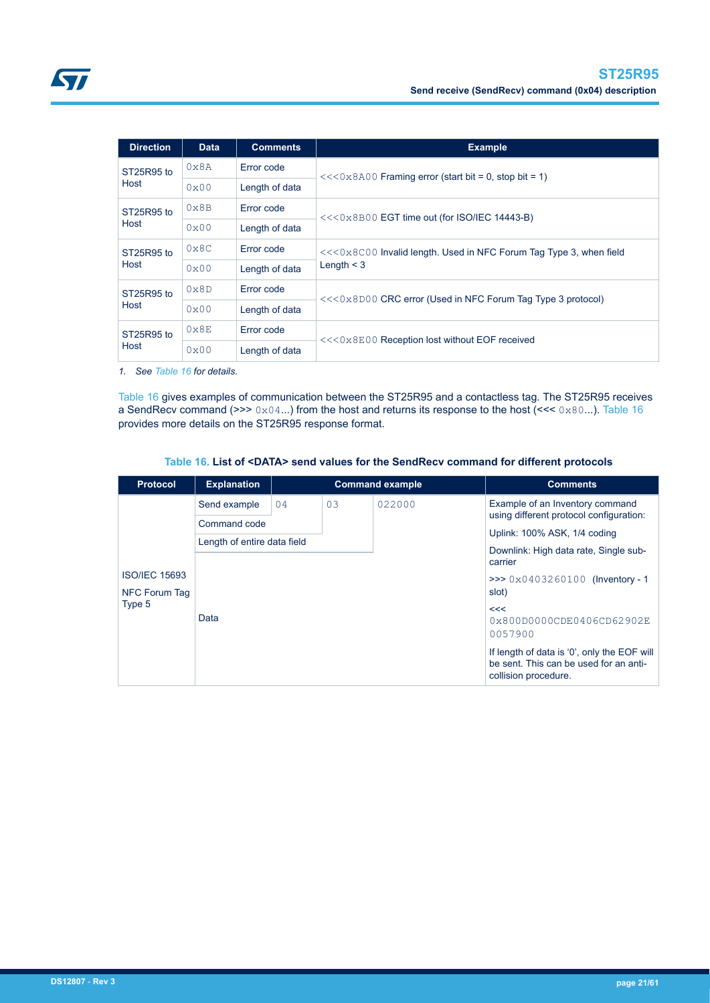<span id="page-20-0"></span>

| <b>Direction</b> | <b>Data</b>   | <b>Comments</b> | <b>Example</b>                                                      |  |
|------------------|---------------|-----------------|---------------------------------------------------------------------|--|
| ST25R95 to       | $0 \times 8A$ | Error code      | $<<0x8A00$ Framing error (start bit = 0, stop bit = 1)              |  |
| Host             | 0x00          | Length of data  |                                                                     |  |
| ST25R95 to       | $0 \times 8B$ | Error code      | $<<0x8B00$ EGT time out (for ISO/IEC 14443-B)                       |  |
| Host             | 0x00          | Length of data  |                                                                     |  |
| ST25R95 to       | $0 \times 8C$ | Error code      | $<<0x8C00$ Invalid length. Used in NFC Forum Tag Type 3, when field |  |
| Host             | 0x00          | Length of data  | Length $\leq$ 3                                                     |  |
| ST25R95 to       | $0 \times 8D$ | Error code      | $<<0x8D00$ CRC error (Used in NFC Forum Tag Type 3 protocol)        |  |
| Host             | $0 \times 00$ | Length of data  |                                                                     |  |
| ST25R95 to       | $0 \times 8E$ | Error code      | $<<0x8E00$ Reception lost without EOF received                      |  |
| Host             | 0x00          | Length of data  |                                                                     |  |

*1. See Table 16 for details.*

Table 16 gives examples of communication between the ST25R95 and a contactless tag. The ST25R95 receives a SendRecv command (>>>  $0 \times 04$ ...) from the host and returns its response to the host (<<<  $0 \times 80$ ...). Table 16 provides more details on the ST25R95 response format.

### **Table 16. List of <DATA> send values for the SendRecv command for different protocols**

| <b>Protocol</b>      | <b>Explanation</b>          | <b>Command example</b> |    |        | <b>Comments</b>                                                                                               |  |
|----------------------|-----------------------------|------------------------|----|--------|---------------------------------------------------------------------------------------------------------------|--|
|                      | Send example                | 04                     | 03 | 022000 | Example of an Inventory command                                                                               |  |
|                      | Command code                |                        |    |        | using different protocol configuration:                                                                       |  |
|                      | Length of entire data field |                        |    |        | Uplink: 100% ASK, 1/4 coding                                                                                  |  |
|                      |                             |                        |    |        | Downlink: High data rate, Single sub-<br>carrier                                                              |  |
| <b>ISO/IEC 15693</b> |                             |                        |    |        | >>> $0 \times 0 403260100$ (Inventory - 1                                                                     |  |
| NFC Forum Tag        |                             |                        |    |        | slot)                                                                                                         |  |
| Type 5               |                             |                        |    |        | <<                                                                                                            |  |
|                      | Data                        |                        |    |        | 0x800D0000CDE0406CD62902E<br>0057900                                                                          |  |
|                      |                             |                        |    |        | If length of data is '0', only the EOF will<br>be sent. This can be used for an anti-<br>collision procedure. |  |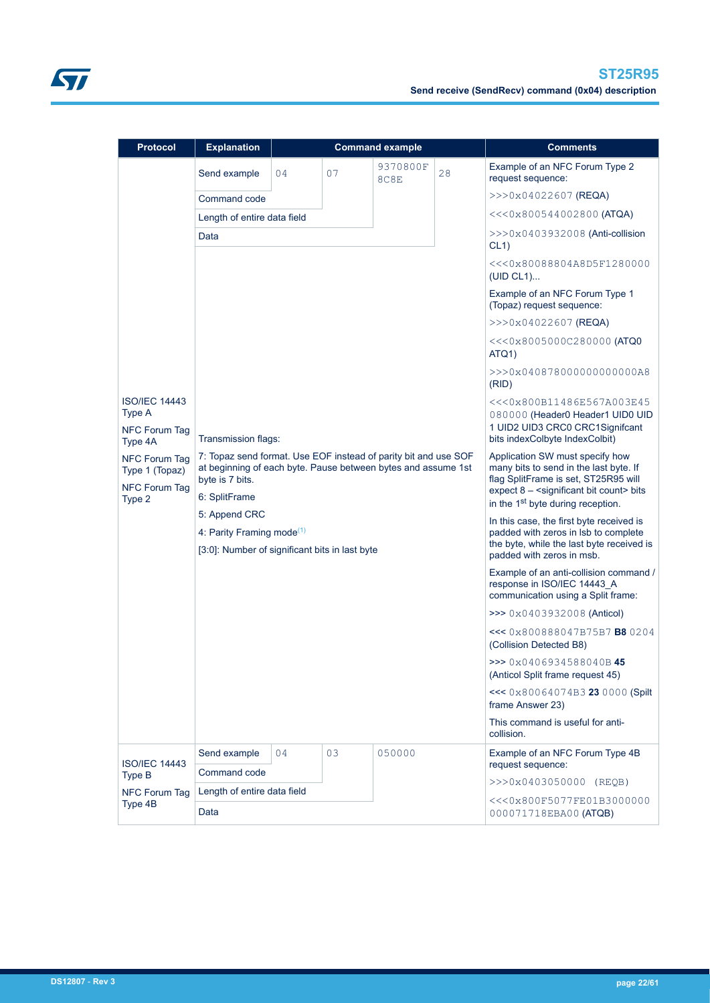| <b>Protocol</b>                                                          | <b>Explanation</b>                                                                                                                                                   | <b>Command example</b> |    |                                                     |                                                                                                                                                                                                                | <b>Comments</b>                                                                                                                    |  |
|--------------------------------------------------------------------------|----------------------------------------------------------------------------------------------------------------------------------------------------------------------|------------------------|----|-----------------------------------------------------|----------------------------------------------------------------------------------------------------------------------------------------------------------------------------------------------------------------|------------------------------------------------------------------------------------------------------------------------------------|--|
|                                                                          | Send example                                                                                                                                                         | 04                     | 07 | 9370800F<br>8C8E                                    | 28                                                                                                                                                                                                             | Example of an NFC Forum Type 2<br>request sequence:                                                                                |  |
|                                                                          | Command code                                                                                                                                                         |                        |    |                                                     |                                                                                                                                                                                                                | $>>$ $0x04022607$ (REQA)                                                                                                           |  |
|                                                                          | Length of entire data field                                                                                                                                          |                        |    |                                                     |                                                                                                                                                                                                                | $<<0x800544002800$ (ATQA)                                                                                                          |  |
|                                                                          | Data                                                                                                                                                                 |                        |    |                                                     |                                                                                                                                                                                                                | $>>0x0403932008$ (Anti-collision<br>CL1)                                                                                           |  |
|                                                                          |                                                                                                                                                                      |                        |    |                                                     |                                                                                                                                                                                                                | <<<0x80088804A8D5F1280000<br>(UID CL1)                                                                                             |  |
|                                                                          |                                                                                                                                                                      |                        |    |                                                     |                                                                                                                                                                                                                | Example of an NFC Forum Type 1<br>(Topaz) request sequence:                                                                        |  |
|                                                                          |                                                                                                                                                                      |                        |    |                                                     |                                                                                                                                                                                                                | $>>$ $0x04022607$ (REQA)                                                                                                           |  |
|                                                                          |                                                                                                                                                                      |                        |    |                                                     |                                                                                                                                                                                                                | <<<0x8005000C280000 (ATQ0<br>ATQ1)                                                                                                 |  |
|                                                                          |                                                                                                                                                                      |                        |    | >>>0x040878000000000000A8<br>(RID)                  |                                                                                                                                                                                                                |                                                                                                                                    |  |
| <b>ISO/IEC 14443</b><br>Type A<br><b>NFC Forum Tag</b><br>Type 4A        | Transmission flags:                                                                                                                                                  |                        |    |                                                     |                                                                                                                                                                                                                | <<<0x800B11486E567A003E45<br>080000 (Header0 Header1 UID0 UID<br>1 UID2 UID3 CRC0 CRC1Signifcant<br>bits indexColbyte IndexColbit) |  |
| <b>NFC Forum Tag</b><br>Type 1 (Topaz)<br><b>NFC Forum Tag</b><br>Type 2 | 7: Topaz send format. Use EOF instead of parity bit and use SOF<br>at beginning of each byte. Pause between bytes and assume 1st<br>byte is 7 bits.<br>6: SplitFrame |                        |    |                                                     | Application SW must specify how<br>many bits to send in the last byte. If<br>flag SplitFrame is set, ST25R95 will<br>expect 8 - < significant bit count> bits<br>in the 1 <sup>st</sup> byte during reception. |                                                                                                                                    |  |
|                                                                          | 5: Append CRC<br>4: Parity Framing mode $(1)$<br>[3:0]: Number of significant bits in last byte                                                                      |                        |    |                                                     | In this case, the first byte received is<br>padded with zeros in lsb to complete<br>the byte, while the last byte received is<br>padded with zeros in msb.                                                     |                                                                                                                                    |  |
|                                                                          |                                                                                                                                                                      |                        |    |                                                     | Example of an anti-collision command<br>response in ISO/IEC 14443 A<br>communication using a Split frame:                                                                                                      |                                                                                                                                    |  |
|                                                                          |                                                                                                                                                                      |                        |    | >>> 0x0403932008 (Anticol)                          |                                                                                                                                                                                                                |                                                                                                                                    |  |
|                                                                          |                                                                                                                                                                      |                        |    |                                                     | <<< 0x800888047B75B7 B80204<br>(Collision Detected B8)                                                                                                                                                         |                                                                                                                                    |  |
|                                                                          |                                                                                                                                                                      |                        |    |                                                     | $\gg$ 0x0406934588040B45<br>(Anticol Split frame request 45)                                                                                                                                                   |                                                                                                                                    |  |
|                                                                          |                                                                                                                                                                      |                        |    | <<< 0x80064074B3 23 0000 (Spilt<br>frame Answer 23) |                                                                                                                                                                                                                |                                                                                                                                    |  |
|                                                                          |                                                                                                                                                                      |                        |    |                                                     | This command is useful for anti-<br>collision.                                                                                                                                                                 |                                                                                                                                    |  |
| <b>ISO/IEC 14443</b>                                                     | Send example                                                                                                                                                         | 04                     | 03 | 050000                                              |                                                                                                                                                                                                                | Example of an NFC Forum Type 4B                                                                                                    |  |
| Type B                                                                   | Command code                                                                                                                                                         |                        |    |                                                     |                                                                                                                                                                                                                | request sequence:<br>$>>0x0403050000$ (REQB)                                                                                       |  |
| <b>NFC Forum Tag</b>                                                     | Length of entire data field                                                                                                                                          |                        |    |                                                     |                                                                                                                                                                                                                |                                                                                                                                    |  |
| Type 4B                                                                  | Data                                                                                                                                                                 |                        |    |                                                     | <<<0x800F5077FE01B3000000<br>000071718EBA00 (ATQB)                                                                                                                                                             |                                                                                                                                    |  |

ST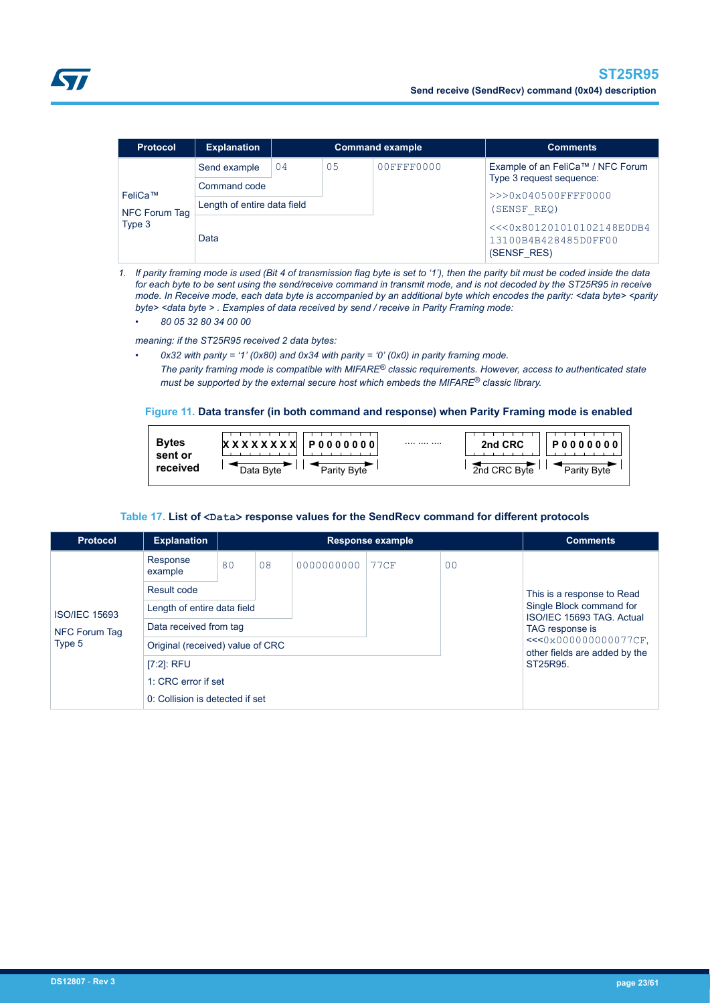<span id="page-22-0"></span>

| <b>Protocol</b>                    | <b>Explanation</b>          |    |    | <b>Command example</b> | <b>Comments</b>                                                  |
|------------------------------------|-----------------------------|----|----|------------------------|------------------------------------------------------------------|
| FeliCa™<br>NFC Forum Tag<br>Type 3 | Send example                | 04 | 05 | 00FFFF0000             | Example of an FeliCa™ / NFC Forum                                |
|                                    | Command code                |    |    |                        | Type 3 request sequence:                                         |
|                                    | Length of entire data field |    |    |                        | >>>0x040500FFFF0000<br>(SENSF REQ)                               |
|                                    | Data                        |    |    |                        | <<<0x801201010102148E0DB4<br>13100B4B428485D0FF00<br>(SENSF RES) |

*1. If parity framing mode is used (Bit 4 of transmission flag byte is set to '1'), then the parity bit must be coded inside the data for each byte to be sent using the send/receive command in transmit mode, and is not decoded by the ST25R95 in receive mode. In Receive mode, each data byte is accompanied by an additional byte which encodes the parity: <data byte> <parity byte> <data byte > . Examples of data received by send / receive in Parity Framing mode:*

*• 80 05 32 80 34 00 00*

*meaning: if the ST25R95 received 2 data bytes:*

- *0x32 with parity = '1' (0x80) and 0x34 with parity = '0' (0x0) in parity framing mode.*
- *The parity framing mode is compatible with MIFARE® classic requirements. However, access to authenticated state must be supported by the external secure host which embeds the MIFARE® classic library.*

#### **Figure 11. Data transfer (in both command and response) when Parity Framing mode is enabled**

| <b>Bytes</b><br>sent or |                          | <br>2nd CRC  | P0000000    |
|-------------------------|--------------------------|--------------|-------------|
| received                | Data Byte<br>Parity Byte | 2nd CRC Byte | Parity Byte |

#### Table 17. List of <Data> response values for the SendRecv command for different protocols

| <b>Protocol</b>      | <b>Explanation</b>               |    |                            |            | <b>Response example</b> |                | <b>Comments</b>                                       |
|----------------------|----------------------------------|----|----------------------------|------------|-------------------------|----------------|-------------------------------------------------------|
|                      | Response<br>example              | 80 | 08                         | 0000000000 | <b>77CF</b>             | 0 <sub>0</sub> |                                                       |
|                      | Result code                      |    | This is a response to Read |            |                         |                |                                                       |
| <b>ISO/IEC 15693</b> | Length of entire data field      |    |                            |            |                         |                | Single Block command for<br>ISO/IEC 15693 TAG, Actual |
| NFC Forum Tag        | Data received from tag           |    |                            |            |                         |                | TAG response is                                       |
| Type 5               | Original (received) value of CRC |    |                            |            |                         |                | <<<0x000000000077CF,<br>other fields are added by the |
|                      | $[7:2]$ : RFU                    |    |                            |            |                         | ST25R95.       |                                                       |
|                      | 1: CRC error if set              |    |                            |            |                         |                |                                                       |
|                      | 0: Collision is detected if set  |    |                            |            |                         |                |                                                       |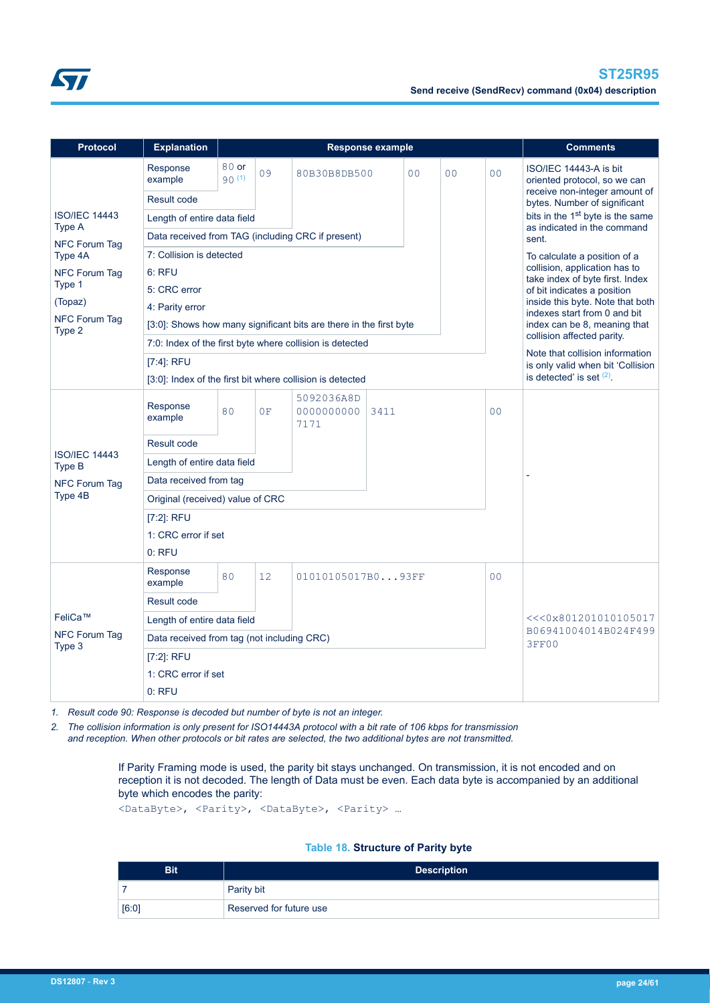<span id="page-23-0"></span>

| <b>Protocol</b>                | <b>Explanation</b>                                                 |                              |                                                                  |                                                            | <b>Response example</b> |                |                |                | <b>Comments</b>                                                      |  |
|--------------------------------|--------------------------------------------------------------------|------------------------------|------------------------------------------------------------------|------------------------------------------------------------|-------------------------|----------------|----------------|----------------|----------------------------------------------------------------------|--|
|                                | Response<br>example                                                | 80 or<br>90(1)               | 09                                                               | 80B30B8DB500                                               |                         | 0 <sub>0</sub> | 0 <sub>0</sub> | 0 <sub>0</sub> | ISO/IEC 14443-A is bit<br>oriented protocol, so we can               |  |
|                                | Result code                                                        |                              |                                                                  |                                                            |                         |                |                |                | receive non-integer amount of<br>bytes. Number of significant        |  |
| <b>ISO/IEC 14443</b>           | Length of entire data field                                        |                              |                                                                  |                                                            |                         |                |                |                | bits in the 1 <sup>st</sup> byte is the same                         |  |
| Type A                         |                                                                    |                              |                                                                  | Data received from TAG (including CRC if present)          |                         |                |                |                | as indicated in the command<br>sent.                                 |  |
| NFC Forum Tag<br>Type 4A       | 7: Collision is detected                                           |                              |                                                                  |                                                            |                         |                |                |                | To calculate a position of a                                         |  |
| <b>NFC Forum Tag</b>           | 6: RFU                                                             |                              |                                                                  |                                                            |                         |                |                |                | collision, application has to<br>take index of byte first. Index     |  |
| Type 1                         | 5: CRC error                                                       |                              |                                                                  |                                                            |                         |                |                |                | of bit indicates a position                                          |  |
| (Topaz)                        | 4: Parity error                                                    |                              | inside this byte. Note that both<br>indexes start from 0 and bit |                                                            |                         |                |                |                |                                                                      |  |
| <b>NFC Forum Tag</b><br>Type 2 | [3:0]: Shows how many significant bits are there in the first byte | index can be 8, meaning that |                                                                  |                                                            |                         |                |                |                |                                                                      |  |
|                                |                                                                    |                              |                                                                  | 7:0: Index of the first byte where collision is detected   |                         |                |                |                | collision affected parity.                                           |  |
|                                | $[7:4]$ : RFU                                                      |                              |                                                                  |                                                            |                         |                |                |                | Note that collision information<br>is only valid when bit 'Collision |  |
|                                | [3:0]: Index of the first bit where collision is detected          |                              |                                                                  | is detected' is set $(2)$ .                                |                         |                |                |                |                                                                      |  |
|                                | Response<br>example                                                | 80                           | 0F                                                               | 5092036A8D<br>0 <sub>0</sub><br>0000000000<br>3411<br>7171 |                         |                |                |                |                                                                      |  |
|                                | Result code                                                        |                              |                                                                  |                                                            |                         |                |                |                |                                                                      |  |
| <b>ISO/IEC 14443</b><br>Type B |                                                                    | Length of entire data field  |                                                                  |                                                            |                         |                |                |                |                                                                      |  |
| <b>NFC Forum Tag</b>           | Data received from tag                                             |                              |                                                                  |                                                            |                         |                |                |                |                                                                      |  |
| Type 4B                        | Original (received) value of CRC                                   |                              |                                                                  |                                                            |                         |                |                |                |                                                                      |  |
|                                | $[7:2]$ : RFU                                                      |                              |                                                                  |                                                            |                         |                |                |                |                                                                      |  |
|                                | 1: CRC error if set                                                |                              |                                                                  |                                                            |                         |                |                |                |                                                                      |  |
|                                | $0:$ RFU                                                           |                              |                                                                  |                                                            |                         |                |                |                |                                                                      |  |
|                                | Response<br>example                                                | 80                           | 12                                                               | 01010105017B093FF                                          |                         |                |                | 0 <sub>0</sub> |                                                                      |  |
|                                | Result code                                                        |                              |                                                                  |                                                            |                         |                |                |                |                                                                      |  |
| FeliCa™                        | Length of entire data field                                        |                              |                                                                  | <<<0x801201010105017                                       |                         |                |                |                |                                                                      |  |
| NFC Forum Tag<br>Type 3        | Data received from tag (not including CRC)                         |                              |                                                                  |                                                            |                         |                |                |                | B06941004014B024F499<br>3FF00                                        |  |
|                                | $[7:2]$ : RFU                                                      |                              |                                                                  |                                                            |                         |                |                |                |                                                                      |  |
|                                | 1: CRC error if set                                                |                              |                                                                  |                                                            |                         |                |                |                |                                                                      |  |
|                                | $0:$ RFU                                                           |                              |                                                                  |                                                            |                         |                |                |                |                                                                      |  |

*1. Result code 90: Response is decoded but number of byte is not an integer.*

*2. The collision information is only present for ISO14443A protocol with a bit rate of 106 kbps for transmission and reception. When other protocols or bit rates are selected, the two additional bytes are not transmitted.*

> If Parity Framing mode is used, the parity bit stays unchanged. On transmission, it is not encoded and on reception it is not decoded. The length of Data must be even. Each data byte is accompanied by an additional byte which encodes the parity:

<DataByte>, <Parity>, <DataByte>, <Parity> …

### **Table 18. Structure of Parity byte**

| <b>Bit</b> | <b>Description</b>      |
|------------|-------------------------|
|            | Parity bit              |
| [6:0]      | Reserved for future use |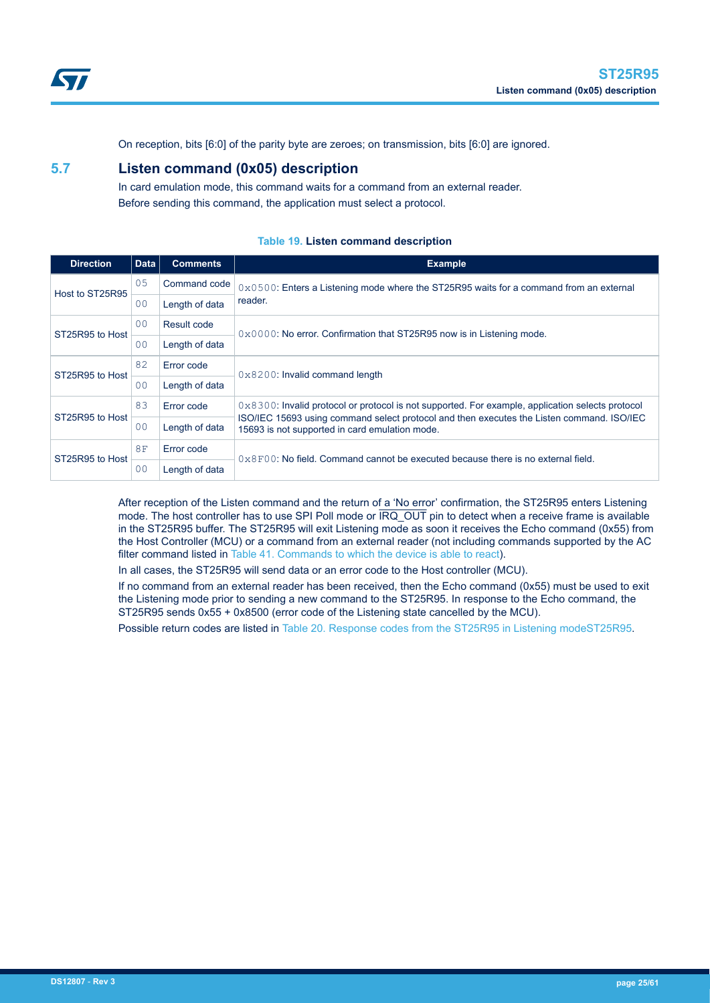<span id="page-24-0"></span>

On reception, bits [6:0] of the parity byte are zeroes; on transmission, bits [6:0] are ignored.

# **5.7 Listen command (0x05) description**

In card emulation mode, this command waits for a command from an external reader. Before sending this command, the application must select a protocol.

| <b>Direction</b> | <b>Data</b>                   | <b>Comments</b> | <b>Example</b>                                                                                                                              |  |  |  |  |  |
|------------------|-------------------------------|-----------------|---------------------------------------------------------------------------------------------------------------------------------------------|--|--|--|--|--|
| Host to ST25R95  | 0.5                           | Command code    | $0 \times 0500$ : Enters a Listening mode where the ST25R95 waits for a command from an external                                            |  |  |  |  |  |
|                  | 00                            | Length of data  | reader.                                                                                                                                     |  |  |  |  |  |
| ST25R95 to Host  | 0 <sub>0</sub><br>Result code |                 | $0 \times 0000$ : No error. Confirmation that ST25R95 now is in Listening mode.                                                             |  |  |  |  |  |
|                  | 00                            | Length of data  |                                                                                                                                             |  |  |  |  |  |
| ST25R95 to Host  | 82                            | Error code      | $0 \times 8200$ : Invalid command length                                                                                                    |  |  |  |  |  |
|                  | 00                            | Length of data  |                                                                                                                                             |  |  |  |  |  |
|                  | 83                            | Error code      | $0 \times 8300$ : Invalid protocol or protocol is not supported. For example, application selects protocol                                  |  |  |  |  |  |
| ST25R95 to Host  | 00                            | Length of data  | ISO/IEC 15693 using command select protocol and then executes the Listen command. ISO/IEC<br>15693 is not supported in card emulation mode. |  |  |  |  |  |
| ST25R95 to Host  | 8F                            | Error code      | $0 \times 8$ F00; No field. Command cannot be executed because there is no external field.                                                  |  |  |  |  |  |
|                  | 0 <sup>0</sup>                | Length of data  |                                                                                                                                             |  |  |  |  |  |

# **Table 19. Listen command description**

After reception of the Listen command and the return of a 'No error' confirmation, the ST25R95 enters Listening mode. The host controller has to use SPI Poll mode or  $\overline{\text{IRQ\_OUT}}$  pin to detect when a receive frame is available in the ST25R95 buffer. The ST25R95 will exit Listening mode as soon it receives the Echo command (0x55) from the Host Controller (MCU) or a command from an external reader (not including commands supported by the AC filter command listed in [Table 41. Commands to which the device is able to react\)](#page-41-0).

In all cases, the ST25R95 will send data or an error code to the Host controller (MCU).

If no command from an external reader has been received, then the Echo command (0x55) must be used to exit the Listening mode prior to sending a new command to the ST25R95. In response to the Echo command, the ST25R95 sends 0x55 + 0x8500 (error code of the Listening state cancelled by the MCU).

Possible return codes are listed in [Table 20. Response codes from the ST25R95 in Listening modeST25R95.](#page-25-0)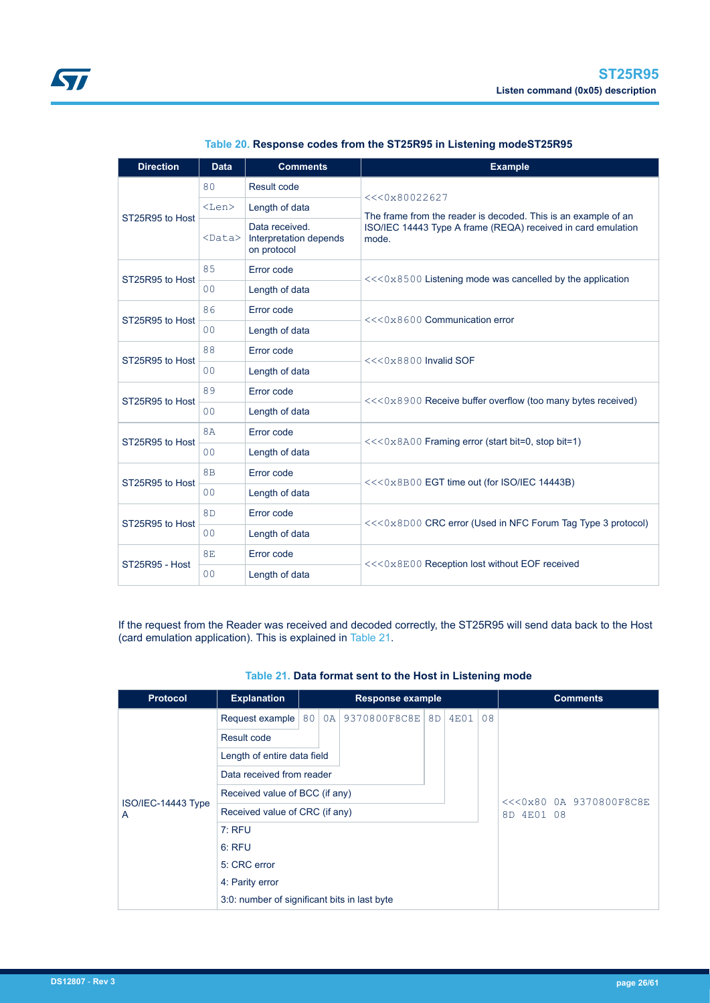<span id="page-25-0"></span>

| <b>Direction</b> | <b>Data</b>    | <b>Comments</b>                                         | <b>Example</b>                                                                 |  |  |  |  |
|------------------|----------------|---------------------------------------------------------|--------------------------------------------------------------------------------|--|--|--|--|
|                  | 80             | Result code                                             |                                                                                |  |  |  |  |
|                  | $<$ Len $>$    | Length of data                                          | <<0x80022627<br>The frame from the reader is decoded. This is an example of an |  |  |  |  |
| ST25R95 to Host  | $<$ Data $>$   | Data received.<br>Interpretation depends<br>on protocol | ISO/IEC 14443 Type A frame (REQA) received in card emulation<br>mode.          |  |  |  |  |
| ST25R95 to Host  | 85             | Error code                                              |                                                                                |  |  |  |  |
|                  | 0 <sub>0</sub> | Length of data                                          | $<<0x8500$ Listening mode was cancelled by the application                     |  |  |  |  |
| ST25R95 to Host  | 86             | Error code                                              | <<<0x8600 Communication error                                                  |  |  |  |  |
|                  | 0 <sup>0</sup> | Length of data                                          |                                                                                |  |  |  |  |
| ST25R95 to Host  | 88             | Error code                                              | $<<0×8800$ Invalid SOF                                                         |  |  |  |  |
|                  | 0 <sub>0</sub> | Length of data                                          |                                                                                |  |  |  |  |
| ST25R95 to Host  | 89             | Error code                                              | $<<0x8900$ Receive buffer overflow (too many bytes received)                   |  |  |  |  |
|                  | 0 <sub>0</sub> | Length of data                                          |                                                                                |  |  |  |  |
| ST25R95 to Host  | 8A             | Error code                                              | <<<0x8A00 Framing error (start bit=0, stop bit=1)                              |  |  |  |  |
|                  | 0 <sub>0</sub> | Length of data                                          |                                                                                |  |  |  |  |
| ST25R95 to Host  | 8B             | Error code                                              | $<<0x8B00$ EGT time out (for ISO/IEC 14443B)                                   |  |  |  |  |
|                  | 0 <sup>0</sup> | Length of data                                          |                                                                                |  |  |  |  |
| ST25R95 to Host  | 8 <sub>D</sub> | Error code                                              | <<<0x8D00 CRC error (Used in NFC Forum Tag Type 3 protocol)                    |  |  |  |  |
|                  | 0 <sup>0</sup> | Length of data                                          |                                                                                |  |  |  |  |
| ST25R95 - Host   | <b>8E</b>      | Error code                                              |                                                                                |  |  |  |  |
|                  | 0 <sub>0</sub> | Length of data                                          | <<<0x8E00 Reception lost without EOF received                                  |  |  |  |  |

|  |  | Table 20. Response codes from the ST25R95 in Listening modeST25R95 |  |
|--|--|--------------------------------------------------------------------|--|
|--|--|--------------------------------------------------------------------|--|

If the request from the Reader was received and decoded correctly, the ST25R95 will send data back to the Host (card emulation application). This is explained in Table 21.

| <b>Protocol</b>         | <b>Explanation</b>                           | <b>Response example</b> |    |              |                |      |    |            | <b>Comments</b>         |  |
|-------------------------|----------------------------------------------|-------------------------|----|--------------|----------------|------|----|------------|-------------------------|--|
|                         | Request example                              | 80                      | 0A | 9370800F8C8E | 8 <sub>D</sub> | 4E01 | 08 |            |                         |  |
|                         | Result code                                  |                         |    |              |                |      |    |            |                         |  |
|                         | Length of entire data field                  |                         |    |              |                |      |    |            |                         |  |
|                         | Data received from reader                    |                         |    |              |                |      |    |            |                         |  |
|                         | Received value of BCC (if any)               |                         |    |              |                |      |    |            | <<<0x80 0A 9370800F8C8E |  |
| ISO/IEC-14443 Type<br>A | Received value of CRC (if any)               |                         |    |              |                |      |    | 8D 4E01 08 |                         |  |
|                         | $7:$ RFU                                     |                         |    |              |                |      |    |            |                         |  |
|                         | $6:$ RFU                                     |                         |    |              |                |      |    |            |                         |  |
|                         | 5: CRC error                                 |                         |    |              |                |      |    |            |                         |  |
|                         | 4: Parity error                              |                         |    |              |                |      |    |            |                         |  |
|                         | 3:0: number of significant bits in last byte |                         |    |              |                |      |    |            |                         |  |

# **Table 21. Data format sent to the Host in Listening mode**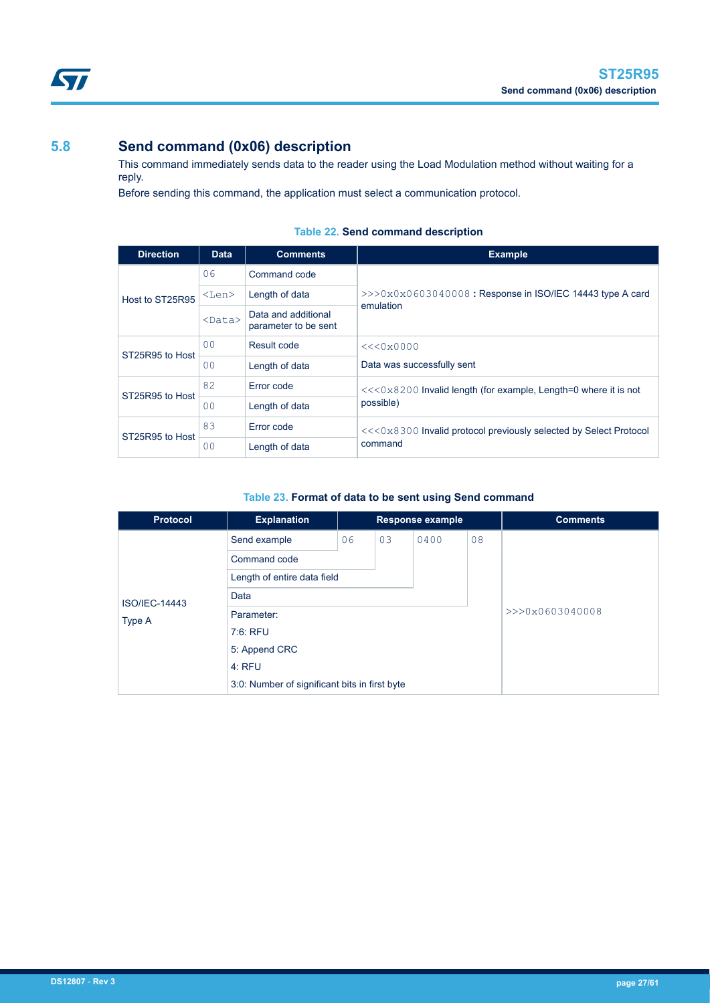# <span id="page-26-0"></span>**5.8 Send command (0x06) description**

This command immediately sends data to the reader using the Load Modulation method without waiting for a reply.

Before sending this command, the application must select a communication protocol.

| <b>Direction</b> | <b>Data</b>    | <b>Comments</b>                             | <b>Example</b>                                                    |  |  |  |  |  |
|------------------|----------------|---------------------------------------------|-------------------------------------------------------------------|--|--|--|--|--|
| Host to ST25R95  | 06             | Command code                                |                                                                   |  |  |  |  |  |
|                  | $<$ Len $>$    | Length of data                              | $>>0x0x0603040008$ : Response in ISO/IEC 14443 type A card        |  |  |  |  |  |
|                  | $<$ Data $>$   | Data and additional<br>parameter to be sent | emulation                                                         |  |  |  |  |  |
| ST25R95 to Host  | 0 <sup>0</sup> | Result code                                 | <<0x0000                                                          |  |  |  |  |  |
|                  | 0 <sup>0</sup> | Length of data                              | Data was successfully sent                                        |  |  |  |  |  |
| ST25R95 to Host  | 82             | Error code                                  | $<<0x8200$ Invalid length (for example, Length=0 where it is not  |  |  |  |  |  |
|                  | 00             | Length of data                              | possible)                                                         |  |  |  |  |  |
| ST25R95 to Host  | 83             | Error code                                  | <<<0x8300 Invalid protocol previously selected by Select Protocol |  |  |  |  |  |
|                  | 0 <sub>0</sub> | Length of data                              | command                                                           |  |  |  |  |  |

# **Table 22. Send command description**

# **Table 23. Format of data to be sent using Send command**

| Protocol             | <b>Explanation</b>                            |    |    | <b>Response example</b> |    | <b>Comments</b> |
|----------------------|-----------------------------------------------|----|----|-------------------------|----|-----------------|
|                      | Send example                                  | 06 | 03 | 0400                    | 08 |                 |
|                      | Command code                                  |    |    |                         |    |                 |
|                      | Length of entire data field                   |    |    |                         |    |                 |
| <b>ISO/IEC-14443</b> | Data                                          |    |    |                         |    |                 |
| Type A               | Parameter:                                    |    |    | >>>0x0603040008         |    |                 |
|                      | 7:6: RFU                                      |    |    |                         |    |                 |
|                      | 5: Append CRC                                 |    |    |                         |    |                 |
|                      | 4:RFU                                         |    |    |                         |    |                 |
|                      | 3:0: Number of significant bits in first byte |    |    |                         |    |                 |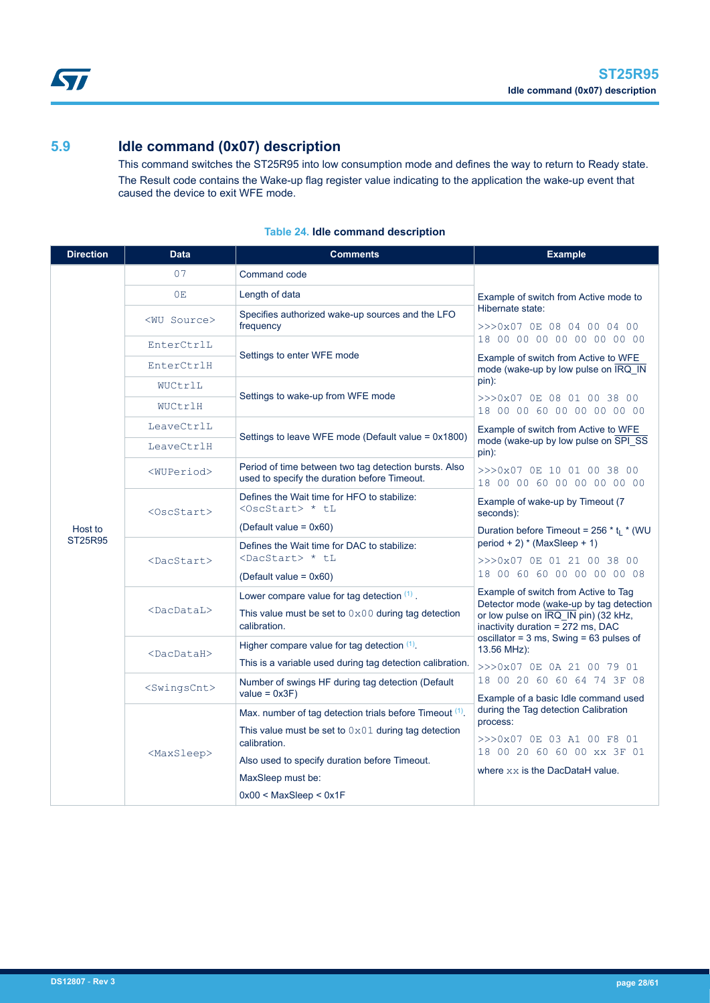<span id="page-27-0"></span>

# **5.9 Idle command (0x07) description**

This command switches the ST25R95 into low consumption mode and defines the way to return to Ready state. The Result code contains the Wake-up flag register value indicating to the application the wake-up event that caused the device to exit WFE mode.

| <b>Direction</b> | <b>Data</b>             | <b>Comments</b>                                                                                       | <b>Example</b>                                                                                                                                               |  |  |  |  |
|------------------|-------------------------|-------------------------------------------------------------------------------------------------------|--------------------------------------------------------------------------------------------------------------------------------------------------------------|--|--|--|--|
|                  | 07                      | Command code                                                                                          |                                                                                                                                                              |  |  |  |  |
|                  | 0E                      | Length of data                                                                                        | Example of switch from Active mode to                                                                                                                        |  |  |  |  |
|                  | <wu source=""></wu>     | Specifies authorized wake-up sources and the LFO<br>frequency                                         | Hibernate state:<br>>>>0x07 OE 08 04 00 04 00                                                                                                                |  |  |  |  |
|                  | EnterCtrlL              | Settings to enter WFE mode                                                                            | 18 00 00 00 00 00 00 00 00                                                                                                                                   |  |  |  |  |
|                  | EnterCtrlH              |                                                                                                       | Example of switch from Active to WFE<br>mode (wake-up by low pulse on IRQ IN                                                                                 |  |  |  |  |
|                  | WUCtrlL                 |                                                                                                       | pin):                                                                                                                                                        |  |  |  |  |
|                  | WUCtrlH                 | Settings to wake-up from WFE mode                                                                     | >>>0x07 OE 08 01 00 38 00<br>18 00 00 60 00 00 00 00 00                                                                                                      |  |  |  |  |
|                  | LeaveCtrlL              | Settings to leave WFE mode (Default value = 0x1800)                                                   | Example of switch from Active to WFE                                                                                                                         |  |  |  |  |
|                  | LeaveCtrlH              |                                                                                                       | mode (wake-up by low pulse on SPI SS<br>pin):                                                                                                                |  |  |  |  |
|                  | <wuperiod></wuperiod>   | Period of time between two tag detection bursts. Also<br>used to specify the duration before Timeout. | >>>0x07 0E 10 01 00 38 00<br>18 00 00 60 00 00 00 00 00                                                                                                      |  |  |  |  |
|                  | $<$ Osc $Start$ >       | Defines the Wait time for HFO to stabilize:<br><oscstart> * tL</oscstart>                             | Example of wake-up by Timeout (7<br>seconds):                                                                                                                |  |  |  |  |
| Host to          |                         | (Default value = $0x60$ )                                                                             | Duration before Timeout = $256 * t_1 * (WU)$                                                                                                                 |  |  |  |  |
|                  |                         | Defines the Wait time for DAC to stabilize:<br><dacstart> * tL</dacstart>                             | period + 2) $*$ (MaxSleep + 1)                                                                                                                               |  |  |  |  |
| ST25R95          | <dacstart></dacstart>   | (Default value = $0x60$ )                                                                             | >>>0x07 OE 01 21 00 38 00<br>18 00 60 60 00 00 00 00 08                                                                                                      |  |  |  |  |
|                  |                         | Lower compare value for tag detection $(1)$ .                                                         | Example of switch from Active to Tag<br>Detector mode (wake-up by tag detection<br>or low pulse on IRQ IN pin) (32 kHz,<br>inactivity duration = 272 ms, DAC |  |  |  |  |
|                  | <dacdatal></dacdatal>   | This value must be set to $0 \times 00$ during tag detection<br>calibration.                          |                                                                                                                                                              |  |  |  |  |
|                  | <dacdatah></dacdatah>   | Higher compare value for tag detection $(1)$ .                                                        | oscillator = $3$ ms, Swing = $63$ pulses of<br>13.56 MHz):                                                                                                   |  |  |  |  |
|                  |                         | This is a variable used during tag detection calibration.                                             | >>>0x07 OE OA 21 00 79 01                                                                                                                                    |  |  |  |  |
|                  | <swingscnt></swingscnt> | Number of swings HF during tag detection (Default<br>$value = 0x3F$                                   | 18 00 20 60 60 64 74 3F 08<br>Example of a basic Idle command used                                                                                           |  |  |  |  |
|                  |                         | Max. number of tag detection trials before Timeout (1).                                               | during the Tag detection Calibration<br>process:                                                                                                             |  |  |  |  |
|                  |                         | This value must be set to $0 \times 01$ during tag detection<br>calibration.                          | >>>0x07 OE 03 A1 00 F8 01<br>18 00 20 60 60 00 xx 3F 01                                                                                                      |  |  |  |  |
|                  | <maxsleep></maxsleep>   | Also used to specify duration before Timeout.                                                         | where $xx$ is the DacDataH value.                                                                                                                            |  |  |  |  |
|                  |                         | MaxSleep must be:                                                                                     |                                                                                                                                                              |  |  |  |  |
|                  |                         | $0x00 <$ MaxSleep $<$ 0x1F                                                                            |                                                                                                                                                              |  |  |  |  |

# **Table 24. Idle command description**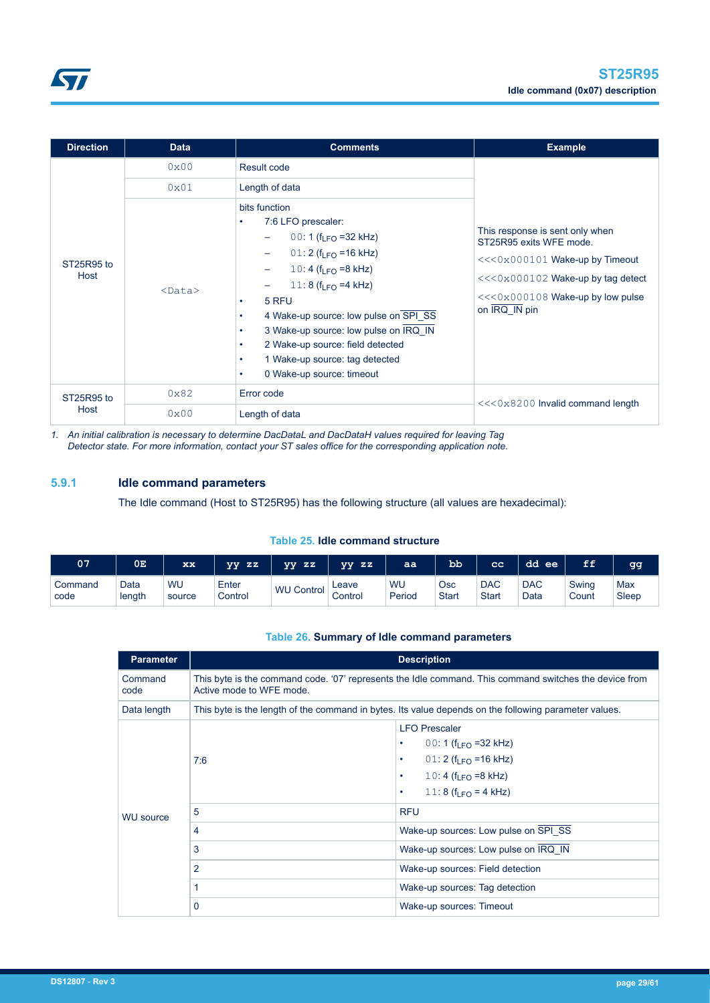<span id="page-28-0"></span>

| <b>Direction</b>   | <b>Data</b>  | <b>Comments</b>                                                                                                                                                                                                                                                                                                                                                                                                                                                     | <b>Example</b>                                                                                                                                                                           |
|--------------------|--------------|---------------------------------------------------------------------------------------------------------------------------------------------------------------------------------------------------------------------------------------------------------------------------------------------------------------------------------------------------------------------------------------------------------------------------------------------------------------------|------------------------------------------------------------------------------------------------------------------------------------------------------------------------------------------|
|                    | 0x00         | Result code                                                                                                                                                                                                                                                                                                                                                                                                                                                         |                                                                                                                                                                                          |
|                    | 0x01         | Length of data                                                                                                                                                                                                                                                                                                                                                                                                                                                      |                                                                                                                                                                                          |
| ST25R95 to<br>Host | $<$ Data $>$ | bits function<br>7:6 LFO prescaler:<br>٠<br>00: 1 ( $f_{LFO}$ = 32 kHz)<br>$01:2$ (f <sub>LFO</sub> = 16 kHz)<br>$\overline{\phantom{0}}$<br>10: 4 ( $f_{LFO}$ =8 kHz)<br>-<br>11: 8 ( $f_{\text{IFO}}$ =4 kHz)<br>5 RFU<br>٠<br>4 Wake-up source: low pulse on SPI_SS<br>$\bullet$<br>3 Wake-up source: low pulse on IRQ IN<br>٠<br>2 Wake-up source: field detected<br>$\bullet$<br>1 Wake-up source: tag detected<br>٠<br>0 Wake-up source: timeout<br>$\bullet$ | This response is sent only when<br>ST25R95 exits WFE mode.<br><<<0x000101 Wake-up by Timeout<br>$<<0x000102$ Wake-up by tag detect<br>$<<0x000108$ Wake-up by low pulse<br>on IRQ_IN pin |
| ST25R95 to         | 0x82         | Error code                                                                                                                                                                                                                                                                                                                                                                                                                                                          | <<<0x8200 Invalid command length                                                                                                                                                         |
| Host               | 0x00         | Length of data                                                                                                                                                                                                                                                                                                                                                                                                                                                      |                                                                                                                                                                                          |

*1. An initial calibration is necessary to determine DacDataL and DacDataH values required for leaving Tag Detector state. For more information, contact your ST sales office for the corresponding application note.*

# **5.9.1 Idle command parameters**

The Idle command (Host to ST25R95) has the following structure (all values are hexadecimal):

# **Table 25. Idle command structure**

| 07      | 0E.    | XX     | ZZ<br>vv | vv<br>$\mathbf{z}$ | ZZ<br>vv | aa     | <b>bb</b> | $_{cc}$    | dd<br>ee   | FF    | lgg   |
|---------|--------|--------|----------|--------------------|----------|--------|-----------|------------|------------|-------|-------|
| Command | Data   | WU     | Enter    | WU                 | Leave    | WU     | Osc       | <b>DAC</b> | <b>DAC</b> | Swing | Max   |
| code    | length | source | Control  | Control            | Control  | Period | Start     | Start      | Data       | Count | Sleep |

# **Table 26. Summary of Idle command parameters**

| <b>Parameter</b> |                                                                                                                                    | <b>Description</b>                                                                                                                                                                                              |  |  |  |  |
|------------------|------------------------------------------------------------------------------------------------------------------------------------|-----------------------------------------------------------------------------------------------------------------------------------------------------------------------------------------------------------------|--|--|--|--|
| Command<br>code  | This byte is the command code. '07' represents the Idle command. This command switches the device from<br>Active mode to WFE mode. |                                                                                                                                                                                                                 |  |  |  |  |
| Data length      |                                                                                                                                    | This byte is the length of the command in bytes. Its value depends on the following parameter values.                                                                                                           |  |  |  |  |
|                  | 7:6                                                                                                                                | <b>LFO Prescaler</b><br>00: 1 ( $f1 FQ$ = 32 kHz)<br>$\bullet$<br>01: 2 ( $f_{\text{IFO}}$ =16 kHz)<br>$\bullet$<br>10: 4 ( $f_{\text{IFO}}$ =8 kHz)<br>$\bullet$<br>11: 8 ( $f_{1}F_{0} = 4$ kHz)<br>$\bullet$ |  |  |  |  |
| <b>WU source</b> | 5                                                                                                                                  | <b>RFU</b>                                                                                                                                                                                                      |  |  |  |  |
|                  | 4                                                                                                                                  | Wake-up sources: Low pulse on SPI SS                                                                                                                                                                            |  |  |  |  |
|                  | 3                                                                                                                                  | Wake-up sources: Low pulse on IRQ IN                                                                                                                                                                            |  |  |  |  |
|                  | 2                                                                                                                                  | Wake-up sources: Field detection                                                                                                                                                                                |  |  |  |  |
|                  |                                                                                                                                    | Wake-up sources: Tag detection                                                                                                                                                                                  |  |  |  |  |
|                  | 0                                                                                                                                  | Wake-up sources: Timeout                                                                                                                                                                                        |  |  |  |  |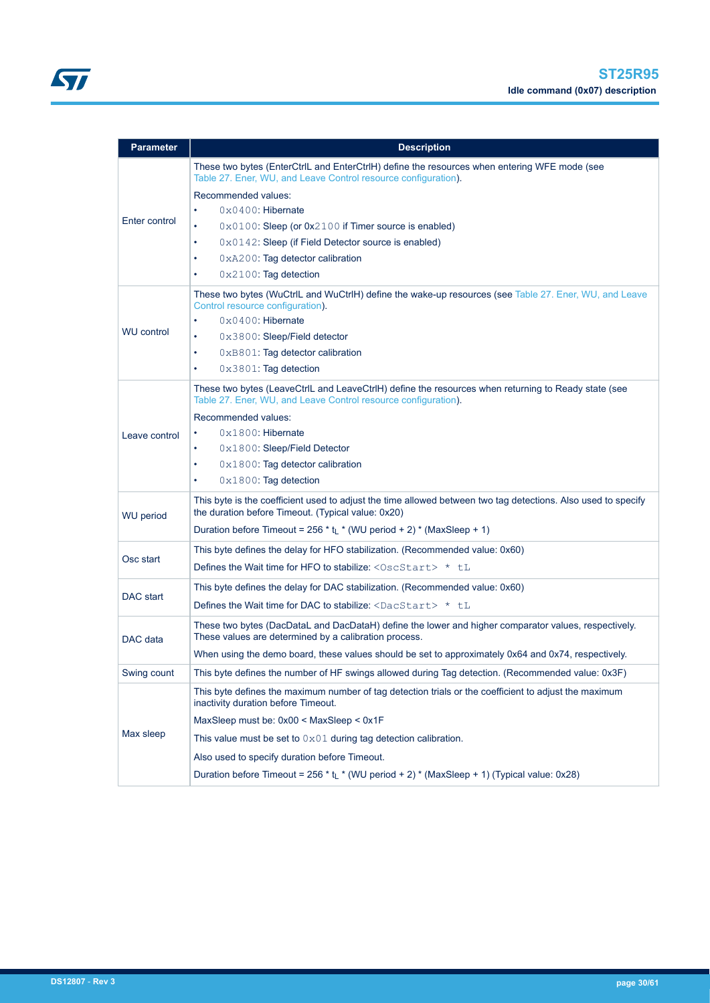| <b>Parameter</b>  | <b>Description</b>                                                                                                                                                    |
|-------------------|-----------------------------------------------------------------------------------------------------------------------------------------------------------------------|
|                   | These two bytes (EnterCtrlL and EnterCtrlH) define the resources when entering WFE mode (see<br>Table 27. Ener, WU, and Leave Control resource configuration).        |
|                   | Recommended values:                                                                                                                                                   |
|                   | $0 \times 0400$ : Hibernate                                                                                                                                           |
| Enter control     | $0 \times 0100$ : Sleep (or $0 \times 2100$ if Timer source is enabled)<br>$\bullet$                                                                                  |
|                   | $0 \times 0142$ : Sleep (if Field Detector source is enabled)<br>٠                                                                                                    |
|                   | 0xA200: Tag detector calibration                                                                                                                                      |
|                   | 0x2100: Tag detection                                                                                                                                                 |
|                   | These two bytes (WuCtrlL and WuCtrlH) define the wake-up resources (see Table 27. Ener, WU, and Leave<br>Control resource configuration).                             |
|                   | $0 \times 0400$ : Hibernate                                                                                                                                           |
| <b>WU control</b> | 0x3800: Sleep/Field detector<br>$\bullet$                                                                                                                             |
|                   | 0xB801: Tag detector calibration<br>$\bullet$                                                                                                                         |
|                   | $0 \times 3801$ : Tag detection                                                                                                                                       |
|                   | These two bytes (LeaveCtrlL and LeaveCtrlH) define the resources when returning to Ready state (see<br>Table 27. Ener, WU, and Leave Control resource configuration). |
|                   | Recommended values:                                                                                                                                                   |
| Leave control     | $0x1800$ : Hibernate                                                                                                                                                  |
|                   | 0x1800: Sleep/Field Detector<br>٠                                                                                                                                     |
|                   | $0 \times 1800$ : Tag detector calibration<br>$\bullet$                                                                                                               |
|                   | $0 \times 1800$ : Tag detection<br>$\bullet$                                                                                                                          |
| <b>WU</b> period  | This byte is the coefficient used to adjust the time allowed between two tag detections. Also used to specify<br>the duration before Timeout. (Typical value: 0x20)   |
|                   | Duration before Timeout = 256 $*$ t <sub>L</sub> $*$ (WU period + 2) $*$ (MaxSleep + 1)                                                                               |
|                   | This byte defines the delay for HFO stabilization. (Recommended value: 0x60)                                                                                          |
| Osc start         | Defines the Wait time for HFO to stabilize: $\langle$ OscStart> $*$ tL                                                                                                |
|                   | This byte defines the delay for DAC stabilization. (Recommended value: 0x60)                                                                                          |
| DAC start         | Defines the Wait time for DAC to stabilize: $\langle$ DacStart> $\star$ tL                                                                                            |
| DAC data          | These two bytes (DacDataL and DacDataH) define the lower and higher comparator values, respectively.<br>These values are determined by a calibration process.         |
|                   | When using the demo board, these values should be set to approximately 0x64 and 0x74, respectively.                                                                   |
| Swing count       | This byte defines the number of HF swings allowed during Tag detection. (Recommended value: 0x3F)                                                                     |
|                   | This byte defines the maximum number of tag detection trials or the coefficient to adjust the maximum<br>inactivity duration before Timeout.                          |
|                   | MaxSleep must be: 0x00 < MaxSleep < 0x1F                                                                                                                              |
| Max sleep         | This value must be set to $0 \times 01$ during tag detection calibration.                                                                                             |
|                   | Also used to specify duration before Timeout.                                                                                                                         |
|                   | Duration before Timeout = 256 $*$ t <sub>1</sub> $*$ (WU period + 2) $*$ (MaxSleep + 1) (Typical value: 0x28)                                                         |
|                   |                                                                                                                                                                       |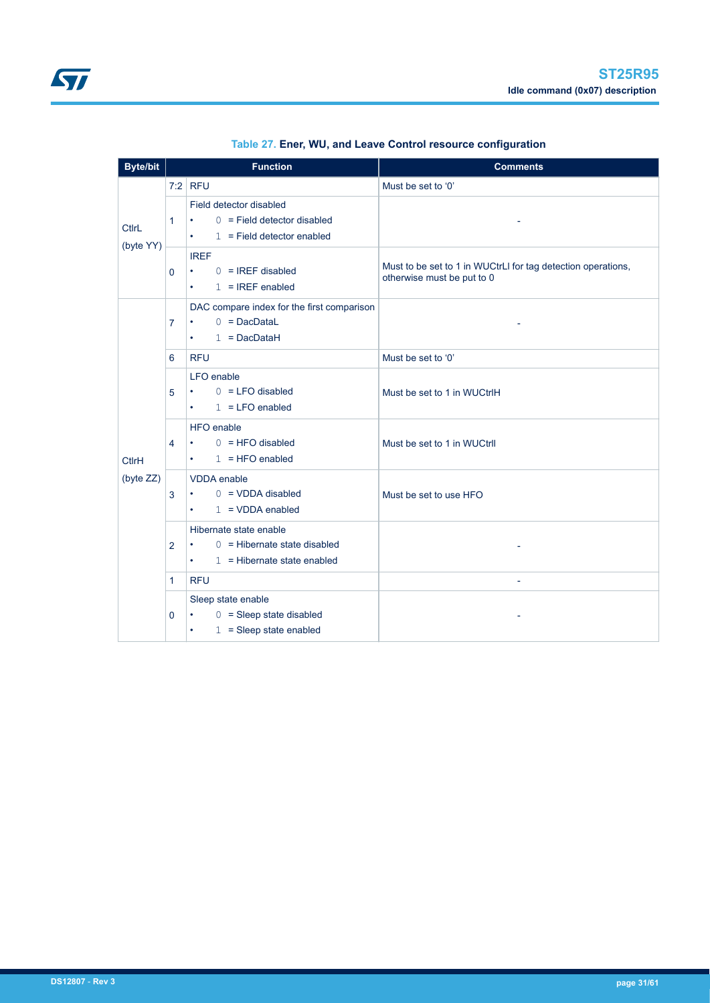<span id="page-30-0"></span>

| <b>Byte/bit</b>           | <b>Function</b> |                                                                                                                                                                                                                         | <b>Comments</b>                                                                            |  |  |
|---------------------------|-----------------|-------------------------------------------------------------------------------------------------------------------------------------------------------------------------------------------------------------------------|--------------------------------------------------------------------------------------------|--|--|
|                           |                 | $7:2$ RFU                                                                                                                                                                                                               | Must be set to '0'                                                                         |  |  |
| <b>CtlrL</b><br>(byte YY) | 1               | Field detector disabled<br>$0 =$ Field detector disabled<br>$\bullet$<br>$1 =$ Field detector enabled<br>$\bullet$ .<br><br><br><br><br><br><br><br><br><br><br><br><br>                                                |                                                                                            |  |  |
|                           | 0               | <b>IREF</b><br>$0 = IREF$ disabled<br>$\bullet$<br>$1 = IREF$ enabled<br>$\bullet$ .<br><br><br><br><br><br><br><br><br><br><br><br>                                                                                    | Must to be set to 1 in WUCtrLI for tag detection operations,<br>otherwise must be put to 0 |  |  |
|                           | 7               | DAC compare index for the first comparison<br>$0 = DacDataL$<br>$\bullet$<br>$1 = DacDataH$<br>$\bullet$ .<br><br><br><br><br><br><br><br><br><br><br><br><br>                                                          |                                                                                            |  |  |
|                           | 6               | <b>RFU</b>                                                                                                                                                                                                              | Must be set to '0'                                                                         |  |  |
|                           | 5               | LFO enable<br>$0 = LFO$ disabled<br>$\bullet$ .<br><br><br><br><br><br><br><br><br><br><br><br><br><br>$1 = LFO$ enabled<br>$\bullet$ .<br><br><br><br><br><br><br><br><br><br><br><br><br>                             | Must be set to 1 in WUCtrlH                                                                |  |  |
| <b>CtlrH</b>              | 4               | HFO enable<br>$0 = HFO$ disabled<br>$\bullet$ .<br><br><br><br><br><br><br><br><br><br><br><br>$1 = HFO$ enabled<br>$\bullet$ .<br><br><br><br><br><br><br><br><br><br><br><br><br>                                     | Must be set to 1 in WUCtrll                                                                |  |  |
| (byte ZZ)                 | 3               | <b>VDDA</b> enable<br>$0 = VDDA$ disabled<br>$\bullet$<br>$1 = VDDA$ enabled<br>$\bullet$ .<br><br><br><br><br><br><br><br><br><br><br><br>                                                                             | Must be set to use HFO                                                                     |  |  |
|                           | 2               | Hibernate state enable<br>$0 =$ Hibernate state disabled<br>$\bullet$ .<br><br><br><br><br><br><br><br><br><br><br><br><br>$1 =$ Hibernate state enabled<br>$\bullet$ .<br><br><br><br><br><br><br><br><br><br><br><br> |                                                                                            |  |  |
|                           | 1               | <b>RFU</b>                                                                                                                                                                                                              |                                                                                            |  |  |
|                           | 0               | Sleep state enable<br>$0 =$ Sleep state disabled<br>$\bullet$ .<br>$1 =$ Sleep state enabled<br>$\bullet$                                                                                                               |                                                                                            |  |  |

| Table 27. Ener, WU, and Leave Control resource configuration |  |  |  |
|--------------------------------------------------------------|--|--|--|
|--------------------------------------------------------------|--|--|--|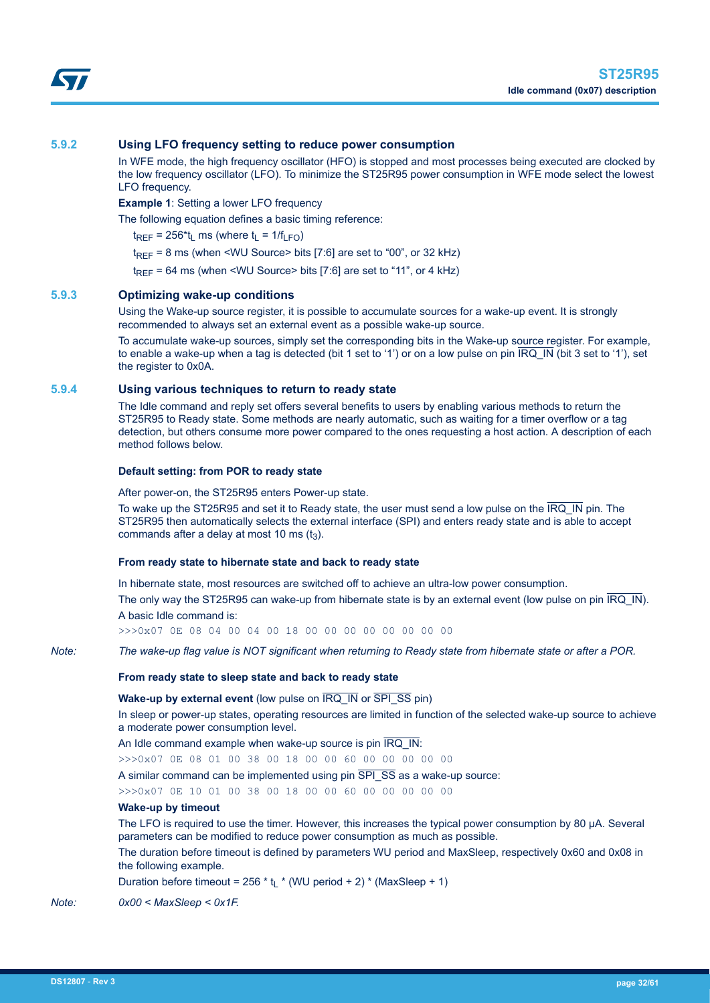<span id="page-31-0"></span>

In WFE mode, the high frequency oscillator (HFO) is stopped and most processes being executed are clocked by the low frequency oscillator (LFO). To minimize the ST25R95 power consumption in WFE mode select the lowest LFO frequency.

**Example 1**: Setting a lower LFO frequency

The following equation defines a basic timing reference:

 $t_{RFF}$  = 256<sup>\*t</sup>l ms (where  $t_1$  = 1/f<sub>LFO</sub>)

 $t_{RFF}$  = 8 ms (when <WU Source> bits [7:6] are set to "00", or 32 kHz)

 $t_{\text{REF}}$  = 64 ms (when <WU Source> bits [7:6] are set to "11", or 4 kHz)

# **5.9.3 Optimizing wake-up conditions**

Using the Wake-up source register, it is possible to accumulate sources for a wake-up event. It is strongly recommended to always set an external event as a possible wake-up source.

To accumulate wake-up sources, simply set the corresponding bits in the Wake-up source register. For example, to enable a wake-up when a tag is detected (bit 1 set to '1') or on a low pulse on pin IRQ\_IN (bit 3 set to '1'), set the register to 0x0A.

### **5.9.4 Using various techniques to return to ready state**

The Idle command and reply set offers several benefits to users by enabling various methods to return the ST25R95 to Ready state. Some methods are nearly automatic, such as waiting for a timer overflow or a tag detection, but others consume more power compared to the ones requesting a host action. A description of each method follows below.

#### **Default setting: from POR to ready state**

After power-on, the ST25R95 enters Power-up state.

To wake up the ST25R95 and set it to Ready state, the user must send a low pulse on the IRQ\_IN pin. The ST25R95 then automatically selects the external interface (SPI) and enters ready state and is able to accept commands after a delay at most 10 ms  $(t_3)$ .

#### **From ready state to hibernate state and back to ready state**

In hibernate state, most resources are switched off to achieve an ultra-low power consumption.

The only way the ST25R95 can wake-up from hibernate state is by an external event (low pulse on pin IRQ\_IN). A basic Idle command is:

>>>0x07 0E 08 04 00 04 00 18 00 00 00 00 00 00 00 00

*Note: The wake-up flag value is NOT significant when returning to Ready state from hibernate state or after a POR.*

# **From ready state to sleep state and back to ready state**

**Wake-up by external event** (low pulse on  $\overline{IRQ}$  IN or  $\overline{SPI}$  SS pin)

In sleep or power-up states, operating resources are limited in function of the selected wake-up source to achieve a moderate power consumption level.

An Idle command example when wake-up source is pin IRQ\_IN:

>>>0x07 0E 08 01 00 38 00 18 00 00 60 00 00 00 00 00

A similar command can be implemented using pin  $\overline{SPI}$   $\overline{SS}$  as a wake-up source:

>>>0x07 0E 10 01 00 38 00 18 00 00 60 00 00 00 00 00

#### **Wake-up by timeout**

The LFO is required to use the timer. However, this increases the typical power consumption by 80 µA. Several parameters can be modified to reduce power consumption as much as possible.

The duration before timeout is defined by parameters WU period and MaxSleep, respectively 0x60 and 0x08 in the following example.

Duration before timeout =  $256 * t_1 * (WU$  period + 2) \* (MaxSleep + 1)

*Note: 0x00 < MaxSleep < 0x1F.*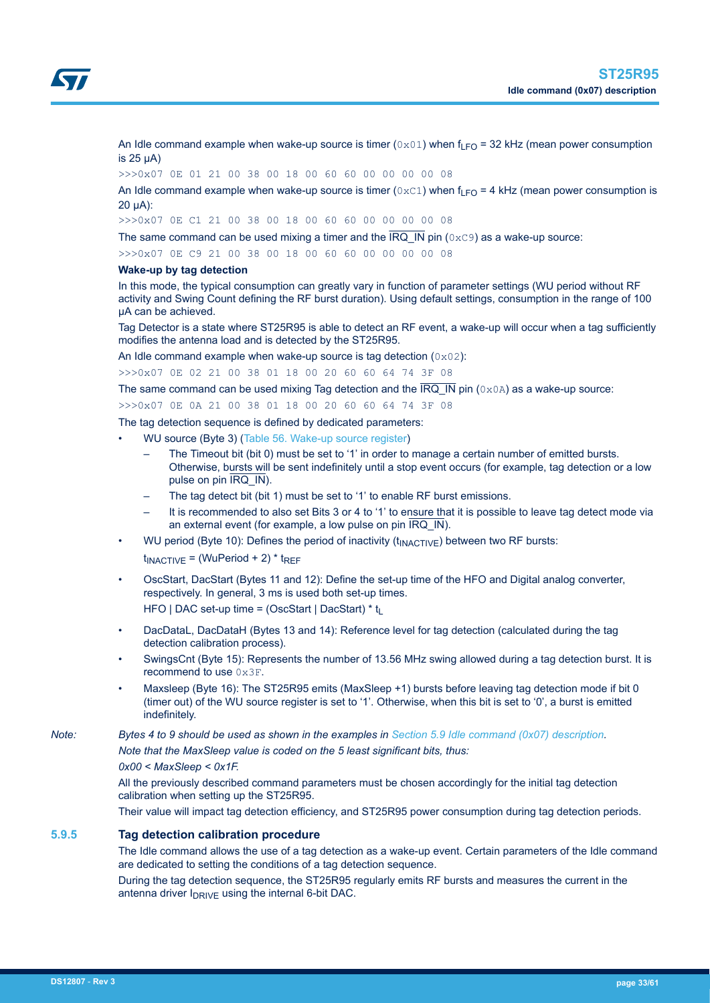<span id="page-32-0"></span>

An Idle command example when wake-up source is timer ( $0 \times 01$ ) when  $f_{LFO}$  = 32 kHz (mean power consumption is  $25 \mu A$ )

>>>0x07 0E 01 21 00 38 00 18 00 60 60 00 00 00 00 08

An Idle command example when wake-up source is timer ( $0 \times C1$ ) when f<sub>LFO</sub> = 4 kHz (mean power consumption is 20 µA):

>>>0x07 0E C1 21 00 38 00 18 00 60 60 00 00 00 00 08

The same command can be used mixing a timer and the IRQ IN pin ( $0 \times C9$ ) as a wake-up source:

>>>0x07 0E C9 21 00 38 00 18 00 60 60 00 00 00 00 08

#### **Wake-up by tag detection**

In this mode, the typical consumption can greatly vary in function of parameter settings (WU period without RF activity and Swing Count defining the RF burst duration). Using default settings, consumption in the range of 100 µA can be achieved.

Tag Detector is a state where ST25R95 is able to detect an RF event, a wake-up will occur when a tag sufficiently modifies the antenna load and is detected by the ST25R95.

An Idle command example when wake-up source is tag detection  $(0 \times 02)$ :

>>>0x07 0E 02 21 00 38 01 18 00 20 60 60 64 74 3F 08

The same command can be used mixing Tag detection and the  $\overline{IRQ}$  IN pin (0x0A) as a wake-up source:

>>>0x07 0E 0A 21 00 38 01 18 00 20 60 60 64 74 3F 08

The tag detection sequence is defined by dedicated parameters:

- WU source (Byte 3) [\(Table 56. Wake-up source register](#page-53-0))
	- The Timeout bit (bit 0) must be set to '1' in order to manage a certain number of emitted bursts. Otherwise, bursts will be sent indefinitely until a stop event occurs (for example, tag detection or a low pulse on pin IRQ IN).
	- The tag detect bit (bit 1) must be set to '1' to enable RF burst emissions.
	- It is recommended to also set Bits 3 or 4 to '1' to ensure that it is possible to leave tag detect mode via an external event (for example, a low pulse on pin  $\overline{IRQ}$  IN).
	- WU period (Byte 10): Defines the period of inactivity ( $t_{\text{INACTIVE}}$ ) between two RF bursts:
	- $t_{\text{INACTIVE}}$  = (WuPeriod + 2) \*  $t_{\text{REF}}$
- OscStart, DacStart (Bytes 11 and 12): Define the set-up time of the HFO and Digital analog converter, respectively. In general, 3 ms is used both set-up times. HFO | DAC set-up time =  $(OscStart | DacStart) * t$
- DacDataL, DacDataH (Bytes 13 and 14): Reference level for tag detection (calculated during the tag detection calibration process).
- SwingsCnt (Byte 15): Represents the number of 13.56 MHz swing allowed during a tag detection burst. It is recommend to use 0x3F.
- Maxsleep (Byte 16): The ST25R95 emits (MaxSleep +1) bursts before leaving tag detection mode if bit 0 (timer out) of the WU source register is set to '1'. Otherwise, when this bit is set to '0', a burst is emitted indefinitely.

*Note: Bytes 4 to 9 should be used as shown in the examples in [Section 5.9 Idle command \(0x07\) description](#page-27-0).*

*Note that the MaxSleep value is coded on the 5 least significant bits, thus:*

#### *0x00 < MaxSleep < 0x1F.*

All the previously described command parameters must be chosen accordingly for the initial tag detection calibration when setting up the ST25R95.

Their value will impact tag detection efficiency, and ST25R95 power consumption during tag detection periods.

# **5.9.5 Tag detection calibration procedure**

The Idle command allows the use of a tag detection as a wake-up event. Certain parameters of the Idle command are dedicated to setting the conditions of a tag detection sequence.

During the tag detection sequence, the ST25R95 regularly emits RF bursts and measures the current in the antenna driver  $I_{DRIVE}$  using the internal 6-bit DAC.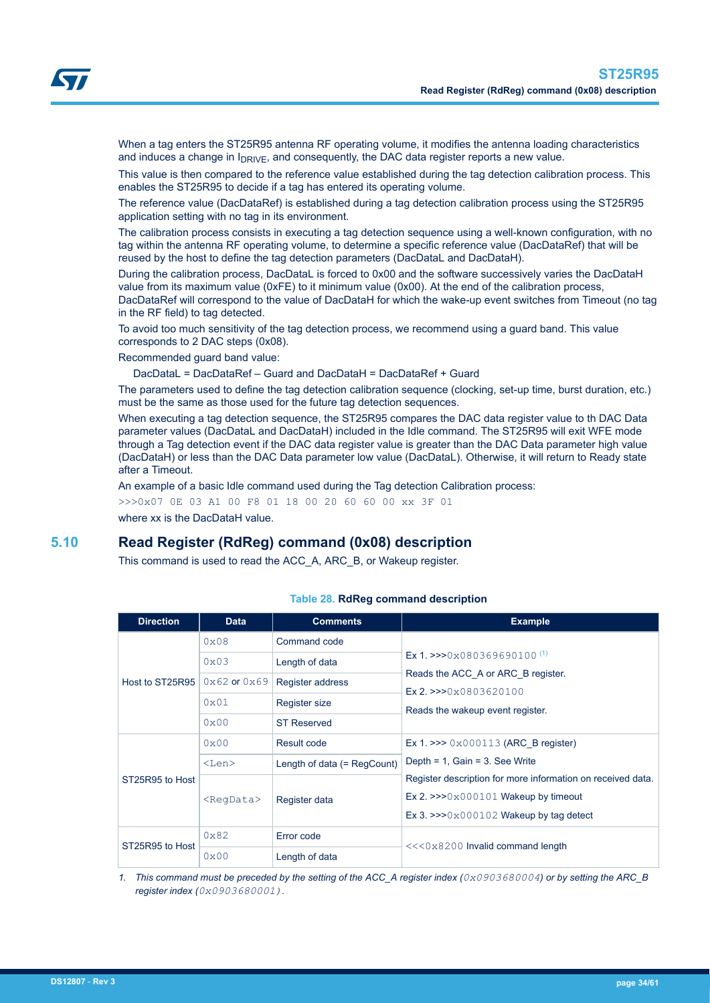<span id="page-33-0"></span>When a tag enters the ST25R95 antenna RF operating volume, it modifies the antenna loading characteristics and induces a change in  $I_{DRIVE}$ , and consequently, the DAC data register reports a new value.

This value is then compared to the reference value established during the tag detection calibration process. This enables the ST25R95 to decide if a tag has entered its operating volume.

The reference value (DacDataRef) is established during a tag detection calibration process using the ST25R95 application setting with no tag in its environment.

The calibration process consists in executing a tag detection sequence using a well-known configuration, with no tag within the antenna RF operating volume, to determine a specific reference value (DacDataRef) that will be reused by the host to define the tag detection parameters (DacDataL and DacDataH).

During the calibration process, DacDataL is forced to 0x00 and the software successively varies the DacDataH value from its maximum value (0xFE) to it minimum value (0x00). At the end of the calibration process, DacDataRef will correspond to the value of DacDataH for which the wake-up event switches from Timeout (no tag in the RF field) to tag detected.

To avoid too much sensitivity of the tag detection process, we recommend using a guard band. This value corresponds to 2 DAC steps (0x08).

Recommended guard band value:

DacDataL = DacDataRef – Guard and DacDataH = DacDataRef + Guard

The parameters used to define the tag detection calibration sequence (clocking, set-up time, burst duration, etc.) must be the same as those used for the future tag detection sequences.

When executing a tag detection sequence, the ST25R95 compares the DAC data register value to th DAC Data parameter values (DacDataL and DacDataH) included in the Idle command. The ST25R95 will exit WFE mode through a Tag detection event if the DAC data register value is greater than the DAC Data parameter high value (DacDataH) or less than the DAC Data parameter low value (DacDataL). Otherwise, it will return to Ready state after a Timeout.

An example of a basic Idle command used during the Tag detection Calibration process:

>>>0x07 0E 03 A1 00 F8 01 18 00 20 60 60 00 xx 3F 01

where xx is the DacDataH value.

# **5.10 Read Register (RdReg) command (0x08) description**

This command is used to read the ACC\_A, ARC\_B, or Wakeup register.

| <b>Direction</b> | <b>Data</b>         | <b>Comments</b>               | <b>Example</b>                                                                                                                                 |
|------------------|---------------------|-------------------------------|------------------------------------------------------------------------------------------------------------------------------------------------|
|                  | 0x08                | Command code                  |                                                                                                                                                |
|                  | $0 \times 03$       | Length of data                | Ex 1. >>> $0 \times 0.80369690100^{(1)}$                                                                                                       |
| Host to ST25R95  | $0x62$ or $0x69$    | Register address              | Reads the ACC A or ARC B register.<br>$Ex 2.$ > > $0x0803620100$                                                                               |
|                  | 0x01                | Register size                 | Reads the wakeup event register.                                                                                                               |
|                  | 0x00                | <b>ST Reserved</b>            |                                                                                                                                                |
|                  | $0 \times 00$       | Result code                   | Ex 1. >>> $0 \times 000113$ (ARC B register)                                                                                                   |
|                  | $<$ Len $>$         | Length of data $(=$ RegCount) | Depth = $1$ , Gain = $3$ . See Write                                                                                                           |
| ST25R95 to Host  | <reqdata></reqdata> | Register data                 | Register description for more information on received data.<br>Ex 2. $>>0x000101$ Wakeup by timeout<br>Ex 3. $>>0x000102$ Wakeup by tag detect |
| ST25R95 to Host  | $0 \times 82$       | Error code                    | $<<0x8200$ Invalid command length                                                                                                              |
|                  | 0x00                | Length of data                |                                                                                                                                                |

#### **Table 28. RdReg command description**

*1. This command must be preceded by the setting of the ACC\_A register index (0x0903680004) or by setting the ARC\_B register index (0x0903680001).*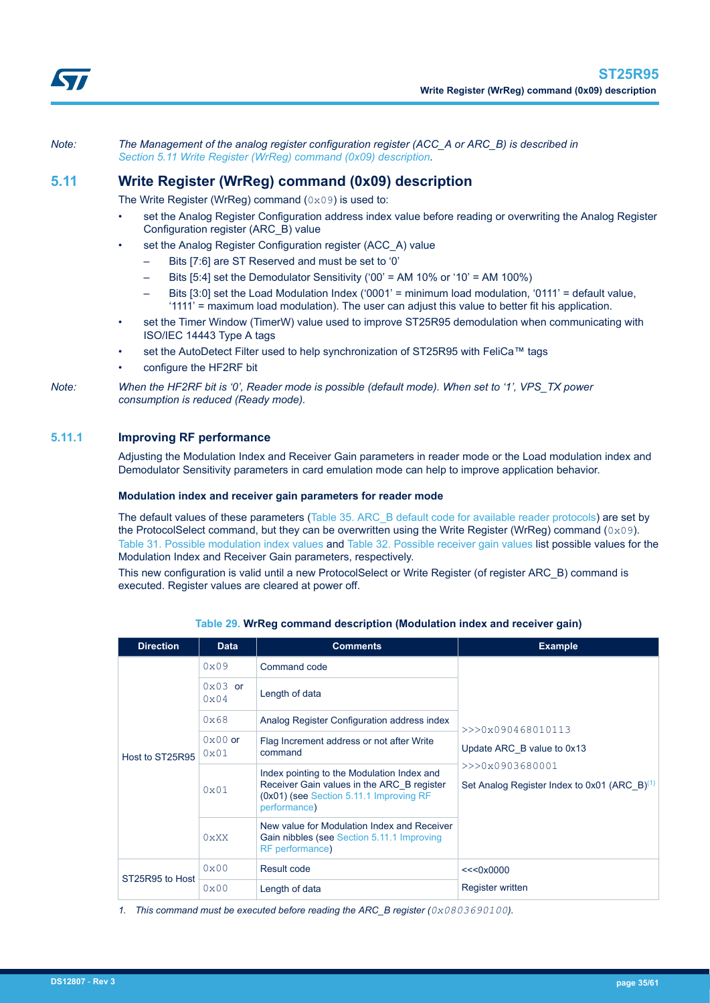<span id="page-34-0"></span>*Note: The Management of the analog register configuration register (ACC\_A or ARC\_B) is described in Section 5.11 Write Register (WrReg) command (0x09) description.*

# **5.11 Write Register (WrReg) command (0x09) description**

The Write Register (WrReg) command (0x09) is used to:

- set the Analog Register Configuration address index value before reading or overwriting the Analog Register Configuration register (ARC\_B) value
- set the Analog Register Configuration register (ACC\_A) value
	- Bits [7:6] are ST Reserved and must be set to '0'
	- Bits  $[5:4]$  set the Demodulator Sensitivity ('00' = AM 10% or '10' = AM 100%)
	- Bits [3:0] set the Load Modulation Index ('0001' = minimum load modulation, '0111' = default value, '1111' = maximum load modulation). The user can adjust this value to better fit his application.
- set the Timer Window (TimerW) value used to improve ST25R95 demodulation when communicating with ISO/IEC 14443 Type A tags
- set the AutoDetect Filter used to help synchronization of ST25R95 with FeliCa™ tags
- configure the HF2RF bit

*Note: When the HF2RF bit is '0', Reader mode is possible (default mode). When set to '1', VPS\_TX power consumption is reduced (Ready mode).*

# **5.11.1 Improving RF performance**

Adjusting the Modulation Index and Receiver Gain parameters in reader mode or the Load modulation index and Demodulator Sensitivity parameters in card emulation mode can help to improve application behavior.

#### **Modulation index and receiver gain parameters for reader mode**

The default values of these parameters (Table 35, ARC B default code for available reader protocols) are set by the ProtocolSelect command, but they can be overwritten using the Write Register (WrReg) command  $(0 \times 0.9)$ . [Table 31. Possible modulation index values](#page-36-0) and [Table 32. Possible receiver gain values](#page-36-0) list possible values for the Modulation Index and Receiver Gain parameters, respectively.

This new configuration is valid until a new ProtocolSelect or Write Register (of register ARC\_B) command is executed. Register values are cleared at power off.

| <b>Direction</b> | <b>Data</b>       | <b>Comments</b>                                                                                                                                     | <b>Example</b>                                                   |  |  |
|------------------|-------------------|-----------------------------------------------------------------------------------------------------------------------------------------------------|------------------------------------------------------------------|--|--|
|                  | 0x09              | Command code                                                                                                                                        |                                                                  |  |  |
|                  | $0x03$ or<br>0x04 | Length of data                                                                                                                                      |                                                                  |  |  |
|                  | 0x68              | Analog Register Configuration address index                                                                                                         | >>0x090468010113                                                 |  |  |
| Host to ST25R95  | $0x00$ or<br>0x01 | Flag Increment address or not after Write<br>command                                                                                                | Update ARC B value to 0x13                                       |  |  |
|                  | 0x01              | Index pointing to the Modulation Index and<br>Receiver Gain values in the ARC B register<br>(0x01) (see Section 5.11.1 Improving RF<br>performance) | >>>0x0903680001<br>Set Analog Register Index to 0x01 (ARC $B(1)$ |  |  |
|                  | 0 <sub>XX</sub>   | New value for Modulation Index and Receiver<br>Gain nibbles (see Section 5.11.1 Improving<br>RF performance)                                        |                                                                  |  |  |
| ST25R95 to Host  | 0x00              | Result code                                                                                                                                         | <<0x0000                                                         |  |  |
|                  | 0x00              | Length of data                                                                                                                                      | <b>Register written</b>                                          |  |  |

**Table 29. WrReg command description (Modulation index and receiver gain)**

*1. This command must be executed before reading the ARC\_B register (0x0803690100).*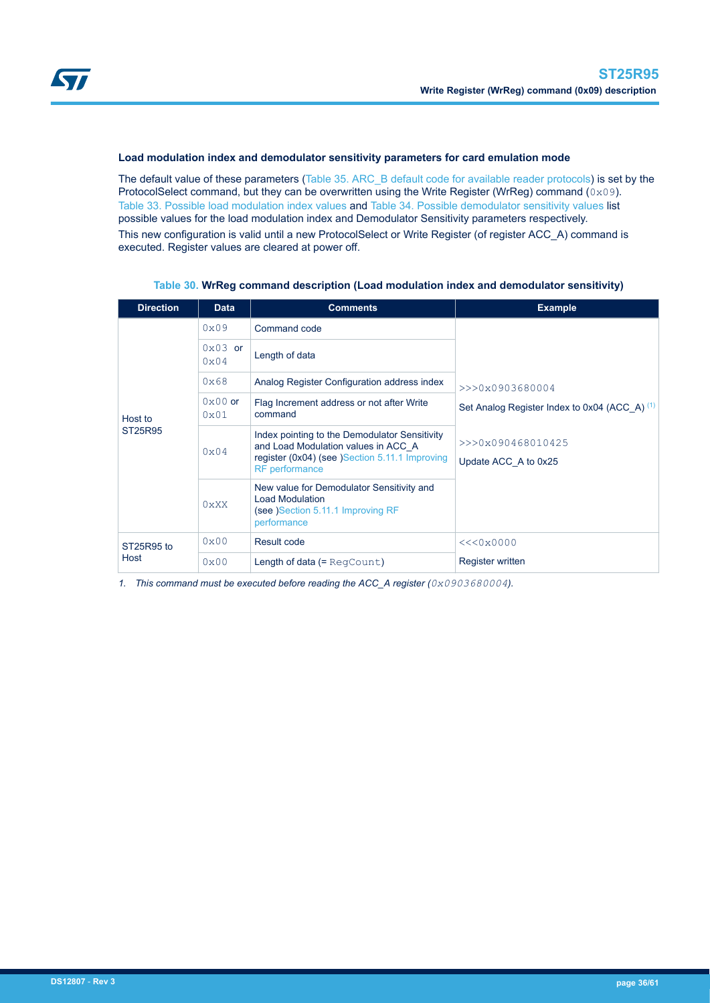<span id="page-35-0"></span>

### **Load modulation index and demodulator sensitivity parameters for card emulation mode**

The default value of these parameters [\(Table 35. ARC\\_B default code for available reader protocols](#page-38-0)) is set by the ProtocolSelect command, but they can be overwritten using the Write Register (WrReg) command (0x09). [Table 33. Possible load modulation index values](#page-37-0) and [Table 34. Possible demodulator sensitivity values](#page-37-0) list possible values for the load modulation index and Demodulator Sensitivity parameters respectively. This new configuration is valid until a new ProtocolSelect or Write Register (of register ACC\_A) command is executed. Register values are cleared at power off.

| <b>Direction</b>   | <b>Data</b>              | <b>Comments</b>                                                                                                                                                 | <b>Example</b>                                |
|--------------------|--------------------------|-----------------------------------------------------------------------------------------------------------------------------------------------------------------|-----------------------------------------------|
|                    | 0x09                     | Command code                                                                                                                                                    |                                               |
|                    | $0 \times 03$ or<br>0x04 | Length of data                                                                                                                                                  |                                               |
|                    | 0x68                     | Analog Register Configuration address index                                                                                                                     | $>>$ $0x0903680004$                           |
| Host to<br>ST25R95 | $0x00$ or<br>0x01        | Flag Increment address or not after Write<br>command                                                                                                            | Set Analog Register Index to 0x04 (ACC A) (1) |
|                    | 0x04                     | Index pointing to the Demodulator Sensitivity<br>and Load Modulation values in ACC A<br>register (0x04) (see )Section 5.11.1 Improving<br><b>RF</b> performance | >>>0x090468010425<br>Update ACC A to 0x25     |
|                    | $0 \times$ XX            | New value for Demodulator Sensitivity and<br><b>Load Modulation</b><br>(see )Section 5.11.1 Improving RF<br>performance                                         |                                               |
| ST25R95 to         | 0x00                     | Result code                                                                                                                                                     | <<0x0000                                      |
| Host               | 0x00                     | Length of data $(=$ RegCount)                                                                                                                                   | <b>Register written</b>                       |

#### **Table 30. WrReg command description (Load modulation index and demodulator sensitivity)**

*1. This command must be executed before reading the ACC\_A register (0x0903680004).*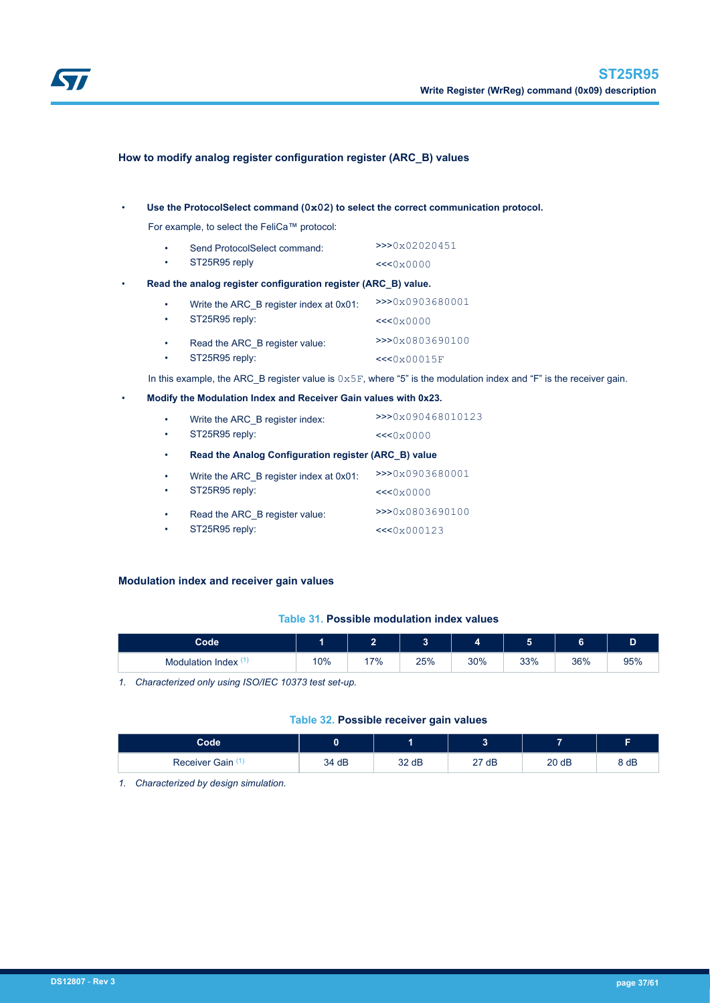<span id="page-36-0"></span>

# **How to modify analog register configuration register (ARC\_B) values**

#### • **Use the ProtocolSelect command (0x02) to select the correct communication protocol.**

For example, to select the FeliCa™ protocol:

| Send ProtocolSelect command: | >>0x02020451 |
|------------------------------|--------------|
| ST25R95 reply                | <<0x0000     |

#### • **Read the analog register configuration register (ARC\_B) value.**

| $\bullet$<br>$\bullet$ | Write the ARC B register index at 0x01:<br>ST25R95 reply: | >>>0x0903680001<br><<0x0000 |
|------------------------|-----------------------------------------------------------|-----------------------------|
| $\bullet$              | Read the ARC B register value:                            | >>>0x0803690100             |
| $\bullet$              | ST25R95 reply:                                            | <<0x00015F                  |

In this example, the ARC\_B register value is  $0 \times 5F$ , where "5" is the modulation index and "F" is the receiver gain.

### • **Modify the Modulation Index and Receiver Gain values with 0x23.**

| $\bullet$ | Write the ARC B register index:<br>ST25R95 reply:    | >>>0x090468010123 |  |  |
|-----------|------------------------------------------------------|-------------------|--|--|
| $\bullet$ |                                                      | <<0x0000          |  |  |
| $\bullet$ | Read the Analog Configuration register (ARC B) value |                   |  |  |
| $\bullet$ | Write the ARC B register index at 0x01:              | >>>0x0903680001   |  |  |
| $\bullet$ | ST25R95 reply:                                       | <<0x0000          |  |  |
| $\bullet$ | Read the ARC B register value:                       | >>>0x0803690100   |  |  |
| ٠         | ST25R95 reply:                                       | <<0x000123        |  |  |

# **Modulation index and receiver gain values**

# **Table 31. Possible modulation index values**

| <b>Code</b>      |     | . .    | $\ddot{\phantom{1}}$<br>J |     |     | ⌒<br>٥ |     |
|------------------|-----|--------|---------------------------|-----|-----|--------|-----|
| Modulation Index | 10% | $17\%$ | 25%                       | 30% | 33% | 36%    | 95% |

*1. Characterized only using ISO/IEC 10373 test set-up.*

### **Table 32. Possible receiver gain values**

| $\mathsf{Code}^{\mathsf{T}}$ |       |       | ັ    |      | $\overline{\phantom{a}}$ |
|------------------------------|-------|-------|------|------|--------------------------|
| Receiver Gain                | 34 dB | 32 dB | 27dB | 20dB | 8 dB                     |

*1. Characterized by design simulation.*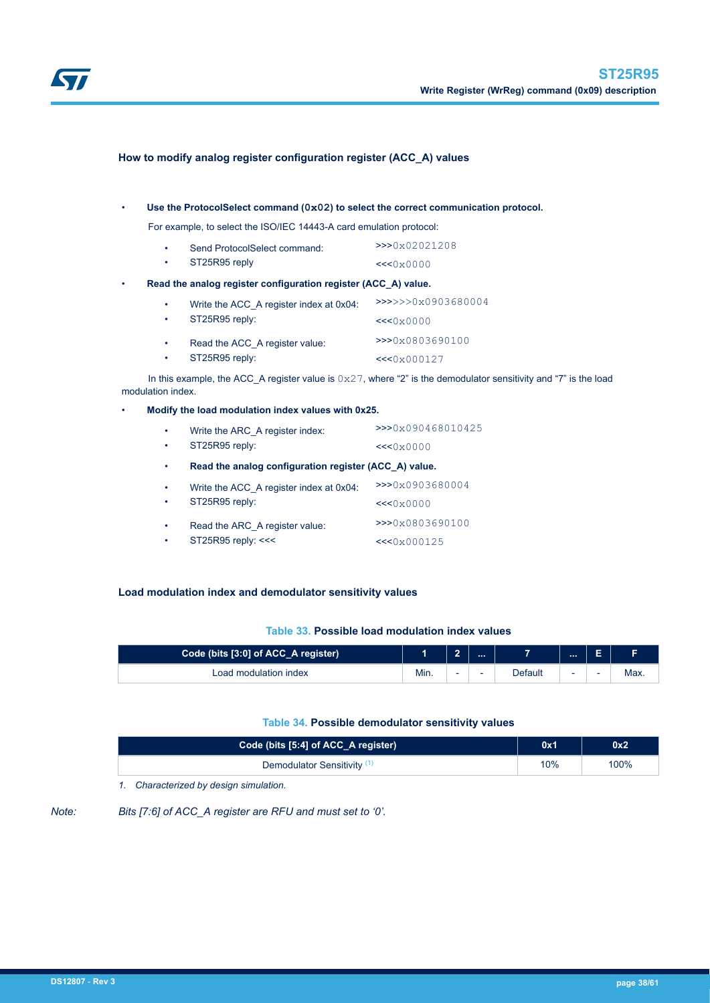<span id="page-37-0"></span>

# **How to modify analog register configuration register (ACC\_A) values**

#### • **Use the ProtocolSelect command (0x02) to select the correct communication protocol.**

For example, to select the ISO/IEC 14443-A card emulation protocol:

|           | Send ProtocolSelect command: | >>0x02021208 |
|-----------|------------------------------|--------------|
| $\bullet$ | ST25R95 reply                | <<0x0000     |

#### • **Read the analog register configuration register (ACC\_A) value.**

| $\bullet$<br>$\bullet$ | Write the ACC A register index at 0x04:<br>ST25R95 reply: | >>>>>>0x0903680004<br><<0x0000 |
|------------------------|-----------------------------------------------------------|--------------------------------|
| $\bullet$              | Read the ACC A register value:                            | >>>0x0803690100                |
| $\bullet$              | ST25R95 reply:                                            | <<0x000127                     |

In this example, the ACC\_A register value is  $0 \times 27$ , where "2" is the demodulator sensitivity and "7" is the load modulation index.

#### • **Modify the load modulation index values with 0x25.**

| ٠<br>٠ | Write the ARC A register index:<br>ST25R95 reply:     | >>>0x090468010425 |
|--------|-------------------------------------------------------|-------------------|
| ٠      | Read the analog configuration register (ACC A) value. | <<0x0000          |
| ٠      | Write the ACC A register index at 0x04:               | >>0x0903680004    |
| ٠      | ST25R95 reply:                                        | <<0x0000          |
| ٠      | Read the ARC A register value:                        | >>>0x0803690100   |
| ٠      | ST25R95 reply: <<<                                    | <<0x000125        |

# **Load modulation index and demodulator sensitivity values**

#### **Table 33. Possible load modulation index values**

| Code (bits [3:0] of ACC_A register) |      | $\ddot{\phantom{1}}$<br>- |                          |         |   | -<br>►                   |      |
|-------------------------------------|------|---------------------------|--------------------------|---------|---|--------------------------|------|
| Load modulation index               | Min. | -                         | $\overline{\phantom{0}}$ | Default | ۰ | $\overline{\phantom{a}}$ | Max. |

### **Table 34. Possible demodulator sensitivity values**

| Code (bits [5:4] of ACC_A register)    | 0x1 | 0x2  |
|----------------------------------------|-----|------|
| Demodulator Sensitivity <sup>(1)</sup> | 10% | 100% |

*1. Characterized by design simulation.*

*Note: Bits [7:6] of ACC\_A register are RFU and must set to '0'.*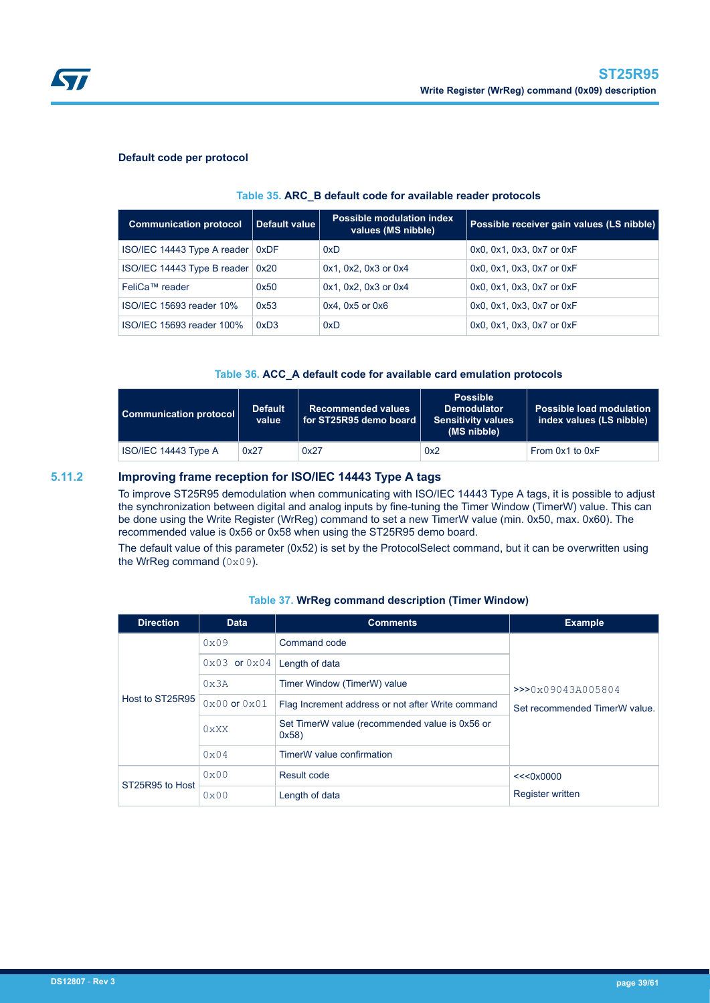

<span id="page-38-0"></span>

### **Default code per protocol**

#### **Table 35. ARC\_B default code for available reader protocols**

| <b>Communication protocol</b>      | Default value | <b>Possible modulation index</b><br>values (MS nibble) | Possible receiver gain values (LS nibble) |
|------------------------------------|---------------|--------------------------------------------------------|-------------------------------------------|
| ISO/IEC 14443 Type A reader   0xDF |               | 0xD                                                    | 0x0, 0x1, 0x3, 0x7 or 0xF                 |
| ISO/IEC 14443 Type B reader   0x20 |               | 0x1, 0x2, 0x3 or 0x4                                   | 0x0, 0x1, 0x3, 0x7 or 0xF                 |
| FeliCa™ reader                     | 0x50          | $0x1$ , $0x2$ , $0x3$ or $0x4$                         | 0x0, 0x1, 0x3, 0x7 or 0xF                 |
| ISO/IEC 15693 reader 10%           | 0x53          | $0x4$ , $0x5$ or $0x6$                                 | 0x0, 0x1, 0x3, 0x7 or 0xF                 |
| ISO/IEC 15693 reader 100%          | 0xD3          | 0xD                                                    | 0x0, 0x1, 0x3, 0x7 or 0xF                 |

### **Table 36. ACC\_A default code for available card emulation protocols**

| Communication protocol | <b>Default</b><br>value | <b>Recommended values</b><br>$\mid$ for ST25R95 demo board $\mid$ | <b>Possible</b><br><b>Demodulator</b><br><b>Sensitivity values</b><br>(MS nibble) | <b>Possible load modulation</b><br>index values (LS nibble) |
|------------------------|-------------------------|-------------------------------------------------------------------|-----------------------------------------------------------------------------------|-------------------------------------------------------------|
| ISO/IEC 14443 Type A   | 0x27                    | 0x27                                                              | 0x2                                                                               | From 0x1 to 0xF                                             |

# **5.11.2 Improving frame reception for ISO/IEC 14443 Type A tags**

To improve ST25R95 demodulation when communicating with ISO/IEC 14443 Type A tags, it is possible to adjust the synchronization between digital and analog inputs by fine-tuning the Timer Window (TimerW) value. This can be done using the Write Register (WrReg) command to set a new TimerW value (min. 0x50, max. 0x60). The recommended value is 0x56 or 0x58 when using the ST25R95 demo board.

The default value of this parameter (0x52) is set by the ProtocolSelect command, but it can be overwritten using the WrReg command  $(0 \times 0.9)$ .

| <b>Direction</b> | <b>Data</b>                                      | <b>Comments</b>                                        | <b>Example</b>                |
|------------------|--------------------------------------------------|--------------------------------------------------------|-------------------------------|
|                  | 0x09                                             | Command code                                           |                               |
|                  | $0 \times 03$ or $0 \times 04$<br>Length of data |                                                        |                               |
|                  | 0x3A                                             | Timer Window (TimerW) value                            | >>0x09043A005804              |
| Host to ST25R95  | $0x00$ or $0x01$                                 | Flag Increment address or not after Write command      | Set recommended TimerW value. |
|                  | 0 <sub>XX</sub> X                                | Set TimerW value (recommended value is 0x56 or<br>0x58 |                               |
|                  | $0 \times 04$                                    | TimerW value confirmation                              |                               |
| ST25R95 to Host  | 0x00                                             | Result code                                            | <<0x0000                      |
|                  | 0x00                                             | Length of data                                         | <b>Register written</b>       |

#### **Table 37. WrReg command description (Timer Window)**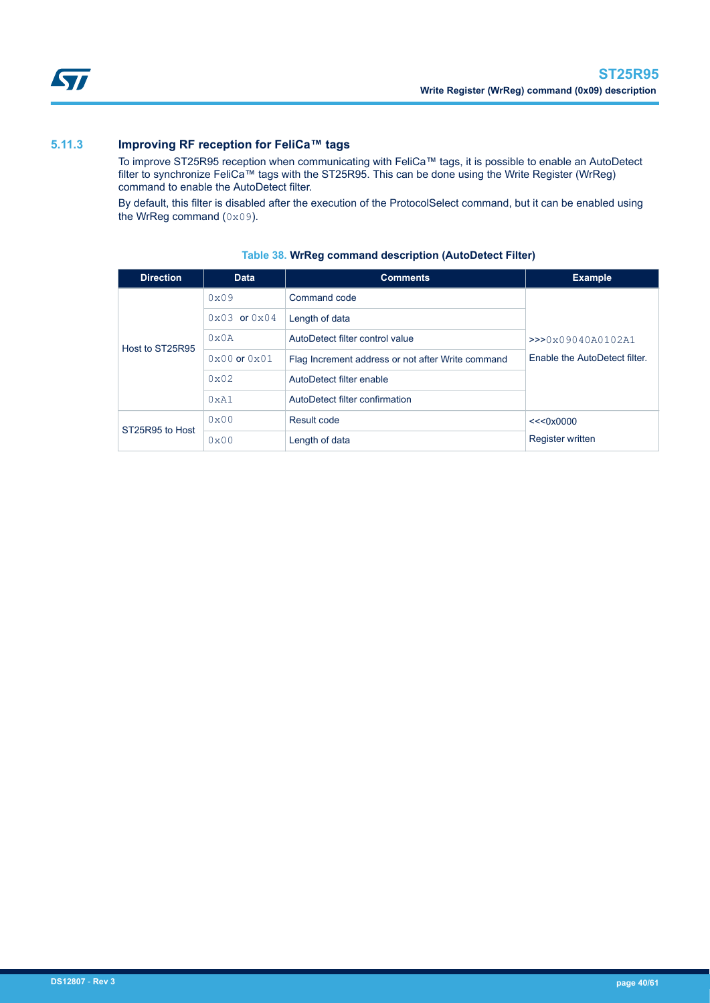# <span id="page-39-0"></span>**5.11.3 Improving RF reception for FeliCa™ tags**

To improve ST25R95 reception when communicating with FeliCa™ tags, it is possible to enable an AutoDetect filter to synchronize FeliCa™ tags with the ST25R95. This can be done using the Write Register (WrReg) command to enable the AutoDetect filter.

By default, this filter is disabled after the execution of the ProtocolSelect command, but it can be enabled using the WrReg command (0x09).

| <b>Direction</b> | <b>Data</b>                    | <b>Comments</b>                                   | <b>Example</b>                |
|------------------|--------------------------------|---------------------------------------------------|-------------------------------|
|                  | 0x09                           | Command code                                      |                               |
|                  | $0 \times 03$ or $0 \times 04$ | Length of data                                    |                               |
| Host to ST25R95  | 0x0A                           | AutoDetect filter control value                   | >>0x09040A0102A1              |
|                  | $0 \times 00$ or $0 \times 01$ | Flag Increment address or not after Write command | Enable the AutoDetect filter. |
|                  | $0 \times 02$                  | AutoDetect filter enable                          |                               |
|                  | 0xA1                           | AutoDetect filter confirmation                    |                               |
| ST25R95 to Host  | 0x00                           | Result code                                       | <<0x0000                      |
|                  | 0x00                           | Length of data                                    | <b>Register written</b>       |

# **Table 38. WrReg command description (AutoDetect Filter)**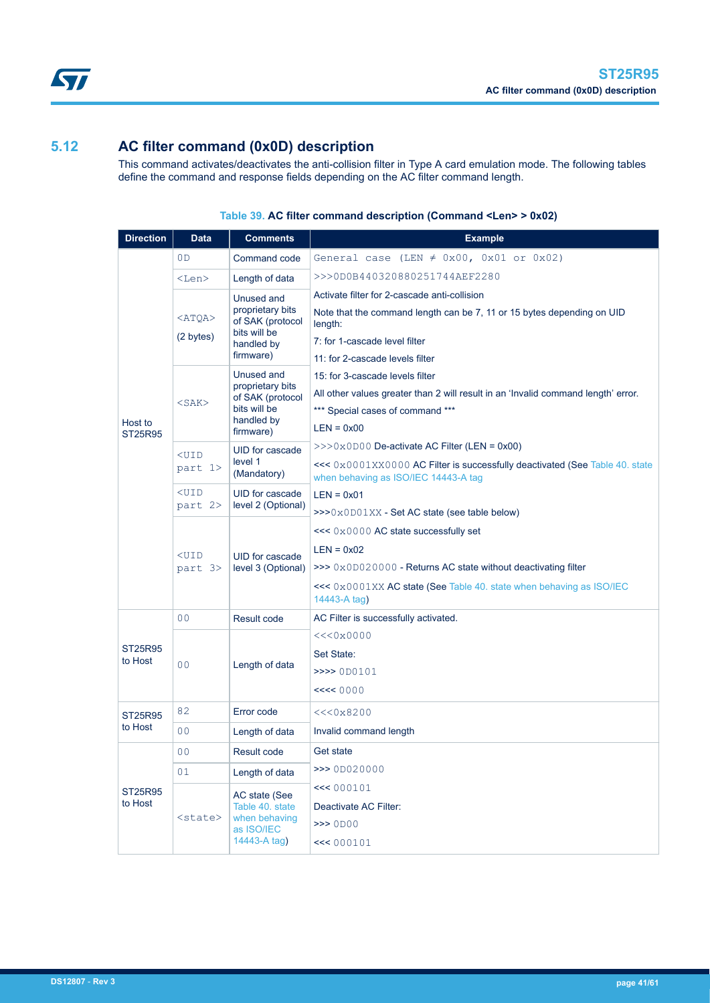<span id="page-40-0"></span>

# **5.12 AC filter command (0x0D) description**

This command activates/deactivates the anti-collision filter in Type A card emulation mode. The following tables define the command and response fields depending on the AC filter command length.

| <b>Direction</b>   | <b>Data</b>               | <b>Comments</b>                                                                               | <b>Example</b>                                                                                                                                                                                                          |
|--------------------|---------------------------|-----------------------------------------------------------------------------------------------|-------------------------------------------------------------------------------------------------------------------------------------------------------------------------------------------------------------------------|
|                    | 0 <sub>D</sub>            | Command code                                                                                  | General case (LEN $\neq$ 0x00, 0x01 or 0x02)                                                                                                                                                                            |
|                    | <len></len>               | Length of data                                                                                | >>>0D0B440320880251744AEF2280                                                                                                                                                                                           |
|                    | $<$ ATQA $>$<br>(2 bytes) | Unused and<br>proprietary bits<br>of SAK (protocol<br>bits will be<br>handled by              | Activate filter for 2-cascade anti-collision<br>Note that the command length can be 7, 11 or 15 bytes depending on UID<br>length:<br>7: for 1-cascade level filter                                                      |
|                    |                           | firmware)                                                                                     | 11: for 2-cascade levels filter                                                                                                                                                                                         |
| Host to<br>ST25R95 | $<$ SAK $>$               | Unused and<br>proprietary bits<br>of SAK (protocol<br>bits will be<br>handled by<br>firmware) | 15: for 3-cascade levels filter<br>All other values greater than 2 will result in an 'Invalid command length' error.<br>*** Special cases of command ***<br>$LEN = 0x00$                                                |
|                    | $<$ UID<br>part 1>        | UID for cascade<br>level 1<br>(Mandatory)                                                     | $>>0x0D00$ De-activate AC Filter (LEN = 0x00)<br><<< 0x0001XX0000 AC Filter is successfully deactivated (See Table 40. state<br>when behaving as ISO/IEC 14443-A tag                                                    |
|                    | $<$ UID<br>part 2>        | UID for cascade<br>level 2 (Optional)                                                         | $LEN = 0x01$<br>$>>0x0D01XX$ - Set AC state (see table below)                                                                                                                                                           |
|                    | $UID$<br>part 3>          | UID for cascade<br>level 3 (Optional)                                                         | $<< 0 \times 0000$ AC state successfully set<br>$LEN = 0x02$<br>$\gg$ 0x0D020000 - Returns AC state without deactivating filter<br>$<<$ 0x0001XX AC state (See Table 40. state when behaving as ISO/IEC<br>14443-A tag) |
|                    | 0 <sup>0</sup>            | Result code                                                                                   | AC Filter is successfully activated.                                                                                                                                                                                    |
| ST25R95<br>to Host | 0 <sup>0</sup>            | Length of data                                                                                | <<0x0000<br>Set State:<br>>>>> 0D0101<br><< < 0000                                                                                                                                                                      |
| ST25R95            | 82                        | Error code                                                                                    | <<0x8200                                                                                                                                                                                                                |
| to Host            | 0 <sub>0</sub>            | Length of data                                                                                | Invalid command length                                                                                                                                                                                                  |
|                    | 0 <sub>0</sub>            | Result code                                                                                   | Get state                                                                                                                                                                                                               |
|                    | 01                        | Length of data                                                                                | >>> 0D020000                                                                                                                                                                                                            |
| ST25R95<br>to Host | <state></state>           | AC state (See<br>Table 40. state<br>when behaving<br>as ISO/IEC<br>14443-A tag)               | << 000101<br>Deactivate AC Filter:<br>$\gg$ 0D00<br><< 000101                                                                                                                                                           |

# **Table 39. AC filter command description (Command <Len> > 0x02)**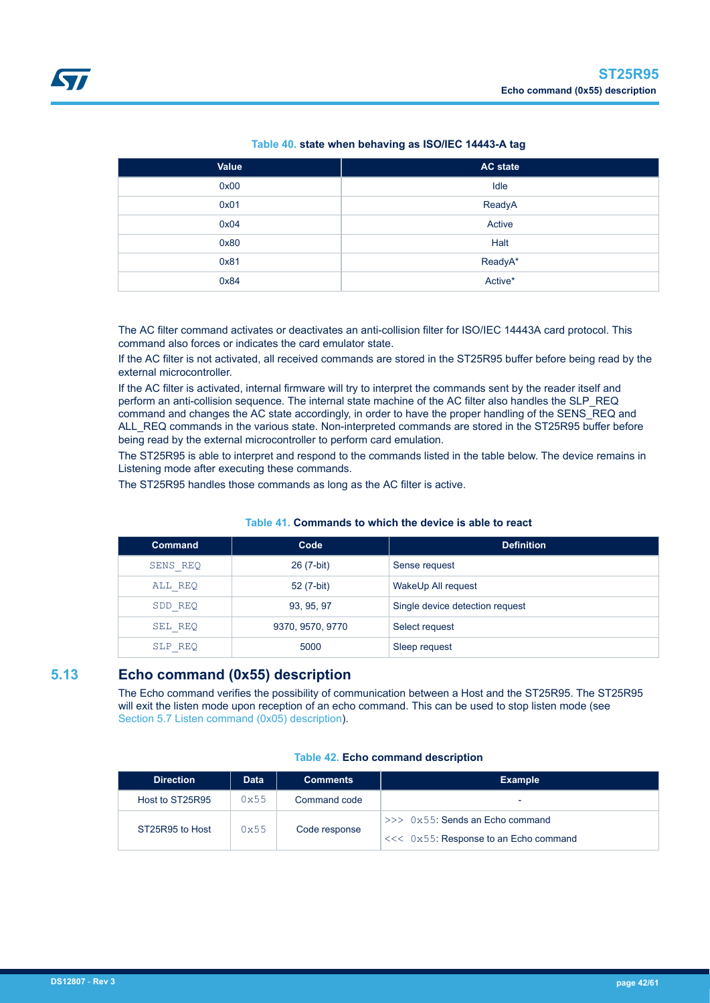<span id="page-41-0"></span>

| <b>Value</b> | <b>AC</b> state |
|--------------|-----------------|
| 0x00         | Idle            |
| 0x01         | ReadyA          |
| 0x04         | Active          |
| 0x80         | Halt            |
| 0x81         | ReadyA*         |
| 0x84         | Active*         |

The AC filter command activates or deactivates an anti-collision filter for ISO/IEC 14443A card protocol. This command also forces or indicates the card emulator state.

If the AC filter is not activated, all received commands are stored in the ST25R95 buffer before being read by the external microcontroller.

If the AC filter is activated, internal firmware will try to interpret the commands sent by the reader itself and perform an anti-collision sequence. The internal state machine of the AC filter also handles the SLP\_REQ command and changes the AC state accordingly, in order to have the proper handling of the SENS\_REQ and ALL\_REQ commands in the various state. Non-interpreted commands are stored in the ST25R95 buffer before being read by the external microcontroller to perform card emulation.

The ST25R95 is able to interpret and respond to the commands listed in the table below. The device remains in Listening mode after executing these commands.

The ST25R95 handles those commands as long as the AC filter is active.

| <b>Command</b> | Code             | <b>Definition</b>               |
|----------------|------------------|---------------------------------|
| SENS REQ       | 26 (7-bit)       | Sense request                   |
| ALL REQ        | 52 (7-bit)       | WakeUp All request              |
| SDD REQ        | 93, 95, 97       | Single device detection request |
| SEL REQ        | 9370, 9570, 9770 | Select request                  |
| SLP REQ        | 5000             | Sleep request                   |

#### **Table 41. Commands to which the device is able to react**

# **5.13 Echo command (0x55) description**

The Echo command verifies the possibility of communication between a Host and the ST25R95. The ST25R95 will exit the listen mode upon reception of an echo command. This can be used to stop listen mode (see [Section 5.7 Listen command \(0x05\) description\)](#page-24-0).

| <b>Direction</b> | <b>Data</b> | <b>Comments</b> | <b>Example</b>                         |  |  |
|------------------|-------------|-----------------|----------------------------------------|--|--|
| Host to ST25R95  | 0x55        | Command code    | -                                      |  |  |
| ST25R95 to Host  | 0x55        |                 | $>>$ 0x55: Sends an Echo command       |  |  |
|                  |             | Code response   | $<<$ 0x55: Response to an Echo command |  |  |

# **Table 42. Echo command description**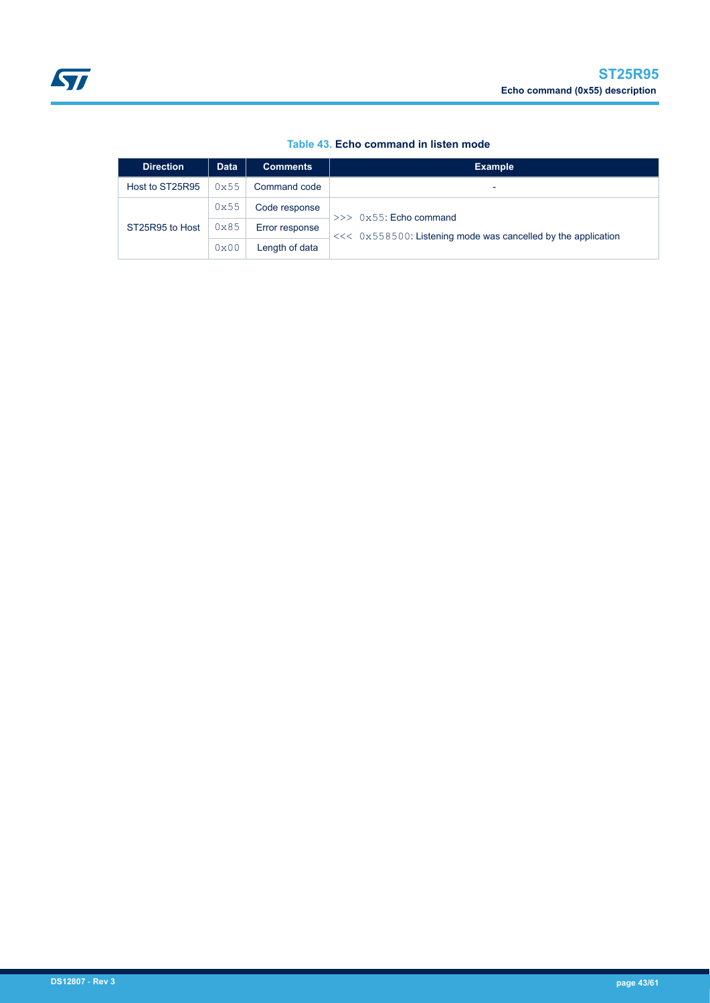|  |  | Table 43. Echo command in listen mode |  |  |  |
|--|--|---------------------------------------|--|--|--|
|--|--|---------------------------------------|--|--|--|

<span id="page-42-0"></span>

| <b>Direction</b> | <b>Data</b> | <b>Comments</b> | <b>Example</b>                                                  |
|------------------|-------------|-----------------|-----------------------------------------------------------------|
| Host to ST25R95  | 0x55        | Command code    |                                                                 |
| ST25R95 to Host  | 0x55        | Code response   | $>>$ 0x55: Echo command                                         |
|                  | 0x85        | Error response  | $<< 0x558500$ : Listening mode was cancelled by the application |
|                  | 0x00        | Length of data  |                                                                 |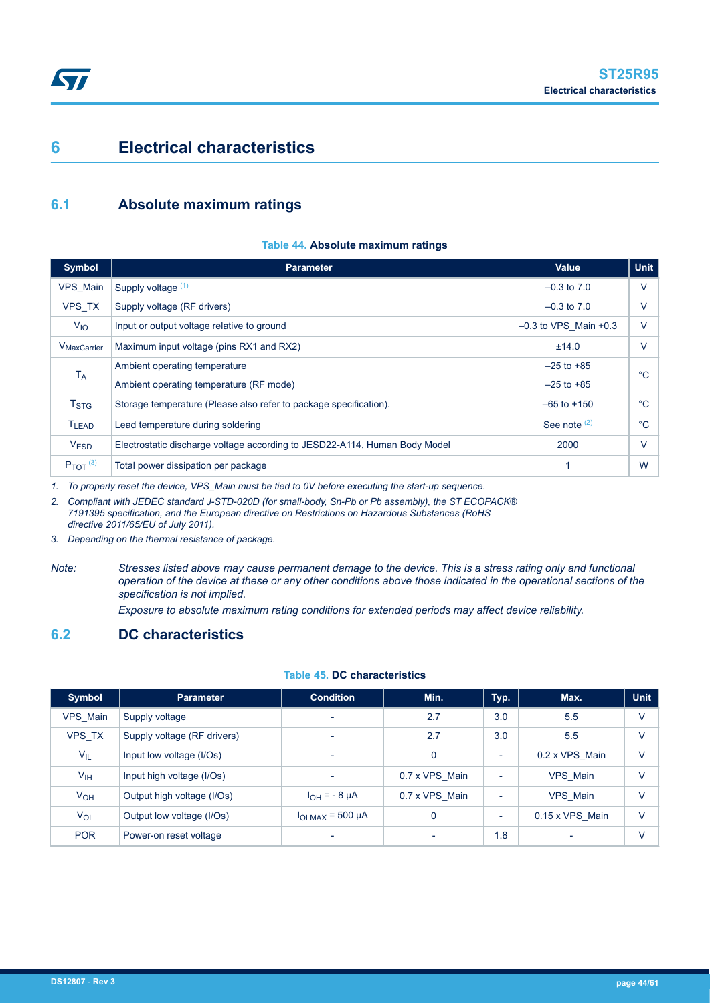# <span id="page-43-0"></span>**6 Electrical characteristics**

# **6.1 Absolute maximum ratings**

### **Table 44. Absolute maximum ratings**

| <b>Symbol</b>            | <b>Parameter</b>                                                           | <b>Value</b>            | <b>Unit</b> |
|--------------------------|----------------------------------------------------------------------------|-------------------------|-------------|
| VPS Main                 | Supply voltage (1)                                                         | $-0.3$ to $7.0$         | V           |
| VPS TX                   | Supply voltage (RF drivers)                                                | $-0.3$ to $7.0$         | V           |
| $V_{10}$                 | Input or output voltage relative to ground                                 | $-0.3$ to VPS_Main +0.3 | V           |
| V <sub>MaxCarrier</sub>  | Maximum input voltage (pins RX1 and RX2)                                   | ±14.0                   | $\vee$      |
| $T_A$                    | Ambient operating temperature                                              | $-25$ to $+85$          | °C          |
|                          | Ambient operating temperature (RF mode)                                    | $-25$ to $+85$          |             |
| T <sub>STG</sub>         | Storage temperature (Please also refer to package specification).          | $-65$ to $+150$         | $^{\circ}C$ |
| <b>TLEAD</b>             | Lead temperature during soldering                                          | See note $(2)$          | $^{\circ}C$ |
| <b>VESD</b>              | Electrostatic discharge voltage according to JESD22-A114, Human Body Model | 2000                    | $\vee$      |
| $P_{TOT}$ <sup>(3)</sup> | Total power dissipation per package                                        | 1                       | W           |

*1. To properly reset the device, VPS\_Main must be tied to 0V before executing the start-up sequence.*

*2. Compliant with JEDEC standard J-STD-020D (for small-body, Sn-Pb or Pb assembly), the ST ECOPACK® 7191395 specification, and the European directive on Restrictions on Hazardous Substances (RoHS directive 2011/65/EU of July 2011).*

- *3. Depending on the thermal resistance of package.*
- *Note: Stresses listed above may cause permanent damage to the device. This is a stress rating only and functional operation of the device at these or any other conditions above those indicated in the operational sections of the specification is not implied.*

*Exposure to absolute maximum rating conditions for extended periods may affect device reliability.*

# **6.2 DC characteristics**

# **Table 45. DC characteristics**

| Symbol          | <b>Parameter</b>            | <b>Condition</b>         | Min.                     | Typ.                     | Max.            | <b>Unit</b> |
|-----------------|-----------------------------|--------------------------|--------------------------|--------------------------|-----------------|-------------|
| VPS Main        | Supply voltage              | $\overline{\phantom{a}}$ | 2.7                      | 3.0                      | 5.5             | $\vee$      |
| VPS TX          | Supply voltage (RF drivers) | $\overline{\phantom{0}}$ | 2.7                      | 3.0                      | 5.5             | $\vee$      |
| $V_{IL}$        | Input low voltage (I/Os)    | $\overline{\phantom{a}}$ | 0                        | ٠                        | 0.2 x VPS Main  | $\vee$      |
| $V_{\text{IH}}$ | Input high voltage (I/Os)   | $\overline{\phantom{a}}$ | 0.7 x VPS Main           | $\overline{\phantom{0}}$ | VPS Main        | V           |
| $V_{OH}$        | Output high voltage (I/Os)  | $I_{OH} = -8 \mu A$      | 0.7 x VPS Main           | ٠                        | VPS Main        | $\vee$      |
| $V_{OL}$        | Output low voltage (I/Os)   | $I_{OLMAX}$ = 500 µA     | 0                        | ٠                        | 0.15 x VPS Main | $\vee$      |
| <b>POR</b>      | Power-on reset voltage      | $\overline{\phantom{a}}$ | $\overline{\phantom{a}}$ | 1.8                      |                 | $\vee$      |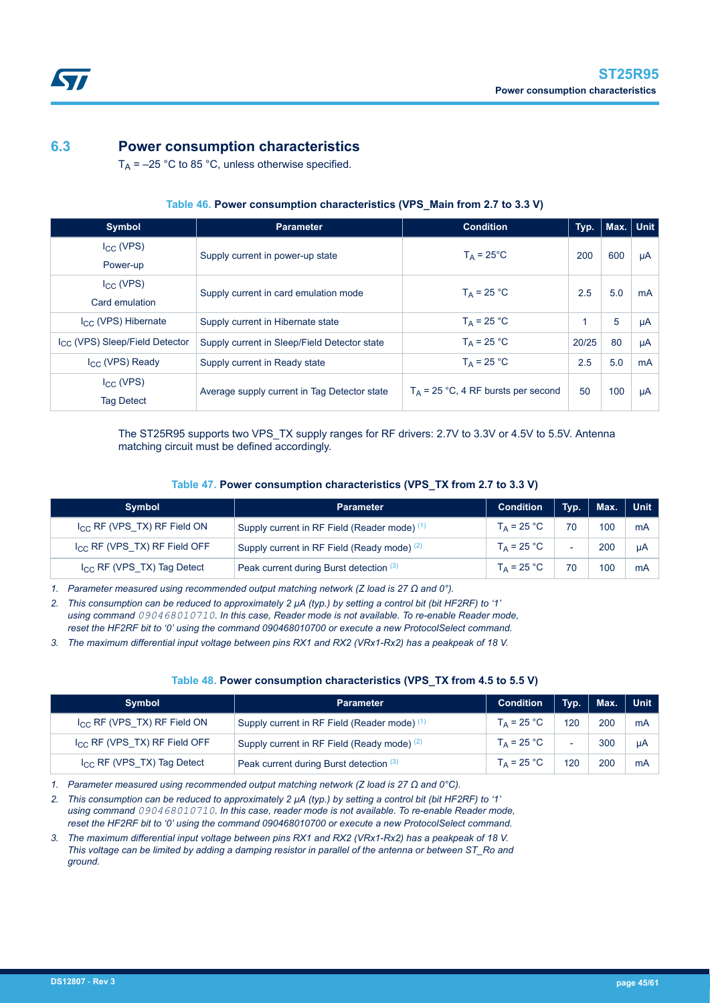# **6.3 Power consumption characteristics**

<span id="page-44-0"></span>S7

 $T_A$  = –25 °C to 85 °C, unless otherwise specified.

| <b>Symbol</b>                              | <b>Parameter</b>                             | <b>Condition</b>                      | Typ.  | Max. Unit |    |
|--------------------------------------------|----------------------------------------------|---------------------------------------|-------|-----------|----|
| $I_{CC}$ (VPS)                             | Supply current in power-up state             | $T_A = 25^{\circ}C$                   | 200   | 600       | μA |
| Power-up                                   |                                              |                                       |       |           |    |
| $I_{CC}$ (VPS)                             | Supply current in card emulation mode        | $T_A = 25 °C$                         | 2.5   | 5.0       | mA |
| Card emulation                             |                                              |                                       |       |           |    |
| $I_{CC}$ (VPS) Hibernate                   | Supply current in Hibernate state            | $T_A = 25 °C$                         |       | 5         | μA |
| I <sub>CC</sub> (VPS) Sleep/Field Detector | Supply current in Sleep/Field Detector state | $T_A = 25 °C$                         | 20/25 | 80        | μA |
| $I_{CC}$ (VPS) Ready                       | Supply current in Ready state                | $T_A = 25 °C$                         | 2.5   | 5.0       | mA |
| $I_{\rm CC}$ (VPS)                         | Average supply current in Tag Detector state | $T_A$ = 25 °C, 4 RF bursts per second | 50    | 100       |    |
| <b>Tag Detect</b>                          |                                              |                                       |       |           | μA |

The ST25R95 supports two VPS\_TX supply ranges for RF drivers: 2.7V to 3.3V or 4.5V to 5.5V. Antenna matching circuit must be defined accordingly.

| Table 47. Power consumption characteristics (VPS_TX from 2.7 to 3.3 V) |  |  |
|------------------------------------------------------------------------|--|--|
|------------------------------------------------------------------------|--|--|

| Symbol                                 | <b>Parameter</b>                            | <b>Condition</b> | Typ. | Max. | Unit <sup>1</sup> |
|----------------------------------------|---------------------------------------------|------------------|------|------|-------------------|
| $I_{CC}$ RF (VPS TX) RF Field ON       | Supply current in RF Field (Reader mode) (1 | $T_A = 25 °C$    | 70   | 100  | mA                |
| $I_{CC}$ RF (VPS TX) RF Field OFF      | Supply current in RF Field (Ready mode) (2) | $T_A = 25 °C$    |      | 200  | μA                |
| I <sub>CC</sub> RF (VPS_TX) Tag Detect | Peak current during Burst detection (3)     | $T_A = 25 °C$    | 70   | 100  | mA                |

*1. Parameter measured using recommended output matching network (Z load is 27 Ω and 0°).*

*2. This consumption can be reduced to approximately 2 µA (typ.) by setting a control bit (bit HF2RF) to '1' using command 090468010710. In this case, Reader mode is not available. To re-enable Reader mode, reset the HF2RF bit to '0' using the command 090468010700 or execute a new ProtocolSelect command.*

*3. The maximum differential input voltage between pins RX1 and RX2 (VRx1-Rx2) has a peakpeak of 18 V.*

#### **Table 48. Power consumption characteristics (VPS\_TX from 4.5 to 5.5 V)**

| <b>Symbol</b>                     | <b>Parameter</b>                            | <b>Condition</b> | Typ. | Max. | <b>Unit</b> |
|-----------------------------------|---------------------------------------------|------------------|------|------|-------------|
| $I_{CC}$ RF (VPS_TX) RF Field ON  | Supply current in RF Field (Reader mode) (  | $T_A = 25 °C$    | 120  | 200  | mA          |
| $I_{CC}$ RF (VPS TX) RF Field OFF | Supply current in RF Field (Ready mode) (2) | $T_A = 25 °C$    |      | 300  | μA          |
| $I_{CC}$ RF (VPS_TX) Tag Detect   | Peak current during Burst detection (3)     | $T_A = 25 °C$    | 120  | 200  | mA          |

*1. Parameter measured using recommended output matching network (Z load is 27 Ω and 0°C).*

*2. This consumption can be reduced to approximately 2 µA (typ.) by setting a control bit (bit HF2RF) to '1' using command 090468010710. In this case, reader mode is not available. To re-enable Reader mode, reset the HF2RF bit to '0' using the command 090468010700 or execute a new ProtocolSelect command.*

*3. The maximum differential input voltage between pins RX1 and RX2 (VRx1-Rx2) has a peakpeak of 18 V. This voltage can be limited by adding a damping resistor in parallel of the antenna or between ST\_Ro and ground.*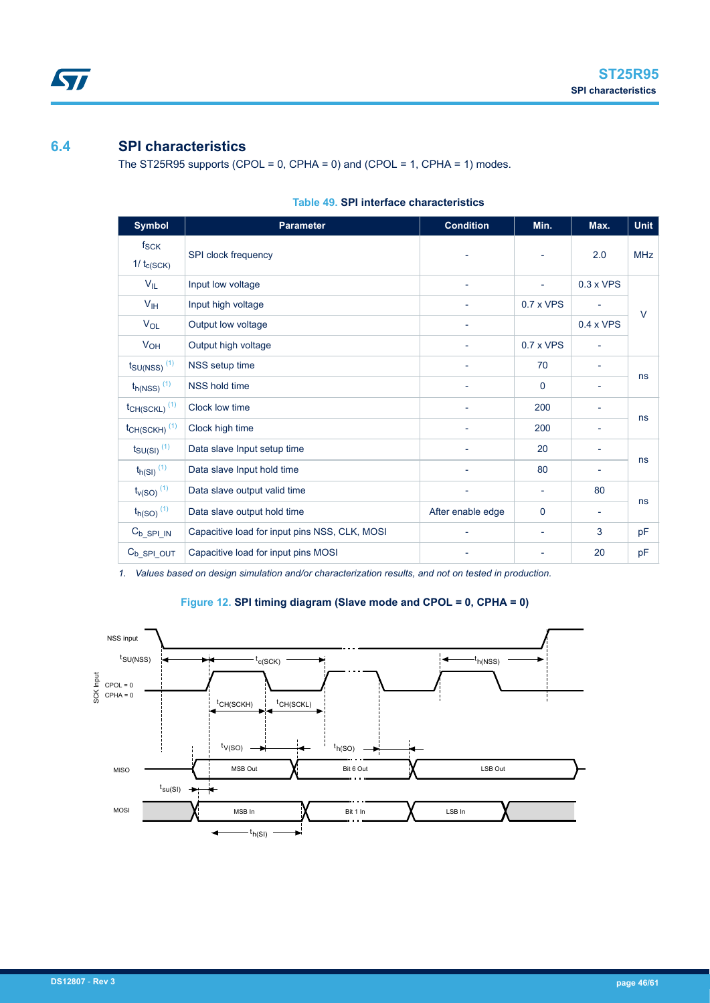# <span id="page-45-0"></span>**6.4 SPI characteristics**

The ST25R95 supports (CPOL =  $0$ , CPHA =  $0$ ) and (CPOL =  $1$ , CPHA =  $1$ ) modes.

| <b>Symbol</b>                        | <b>Parameter</b>                              | <b>Condition</b>         | Min.                     | Max.                     | <b>Unit</b> |
|--------------------------------------|-----------------------------------------------|--------------------------|--------------------------|--------------------------|-------------|
| $f_{\mathsf{SCK}}$<br>$1/t_{c(SCK)}$ | SPI clock frequency                           |                          |                          | 2.0                      | <b>MHz</b>  |
| $V_{IL}$                             | Input low voltage                             | $\overline{\phantom{a}}$ | $\overline{\phantom{a}}$ | $0.3 \times VPS$         |             |
| $V_{\text{IH}}$                      | Input high voltage                            | $\overline{a}$           | $0.7 \times VPS$         |                          | $\vee$      |
| $V_{OL}$                             | Output low voltage                            | $\overline{\phantom{a}}$ |                          | $0.4 \times VPS$         |             |
| V <sub>OH</sub>                      | Output high voltage                           | $\overline{\phantom{a}}$ | $0.7 \times VPS$         | $\overline{\phantom{a}}$ |             |
| $t_{\text{SU(NSS)}}$ <sup>(1)</sup>  | NSS setup time                                |                          | 70                       |                          |             |
| $t_{h(NSS)}$ <sup>(1)</sup>          | <b>NSS hold time</b>                          | -                        | $\mathbf 0$              | ۰                        | ns          |
| $t$ CH(SCKL) <sup>(1)</sup>          | Clock low time                                |                          | 200                      |                          |             |
| $t_{CH(SCKH)}$ <sup>(1)</sup>        | Clock high time                               | $\overline{\phantom{a}}$ | 200                      | $\overline{\phantom{a}}$ | ns          |
| $t_{\text{SU(SI)}}$ <sup>(1)</sup>   | Data slave Input setup time                   |                          | 20                       | ٠                        |             |
| $t_{h(SI)}$ <sup>(1)</sup>           | Data slave Input hold time                    |                          | 80                       | $\overline{\phantom{a}}$ | ns          |
| $t_{v(SO)}$ <sup>(1)</sup>           | Data slave output valid time                  | $\overline{\phantom{a}}$ | $\overline{\phantom{a}}$ | 80                       |             |
| $t_{h(SO)}$ <sup>(1)</sup>           | Data slave output hold time                   | After enable edge        | $\mathbf 0$              | $\overline{\phantom{a}}$ | ns          |
| $C_{b\_SPI\_IN}$                     | Capacitive load for input pins NSS, CLK, MOSI |                          | $\overline{\phantom{a}}$ | 3                        | pF          |
| $C_{b\_SPI\_OUT}$                    | Capacitive load for input pins MOSI           |                          |                          | 20                       | pF          |

# **Table 49. SPI interface characteristics**

*1. Values based on design simulation and/or characterization results, and not on tested in production.*

# **Figure 12. SPI timing diagram (Slave mode and CPOL = 0, CPHA = 0)**

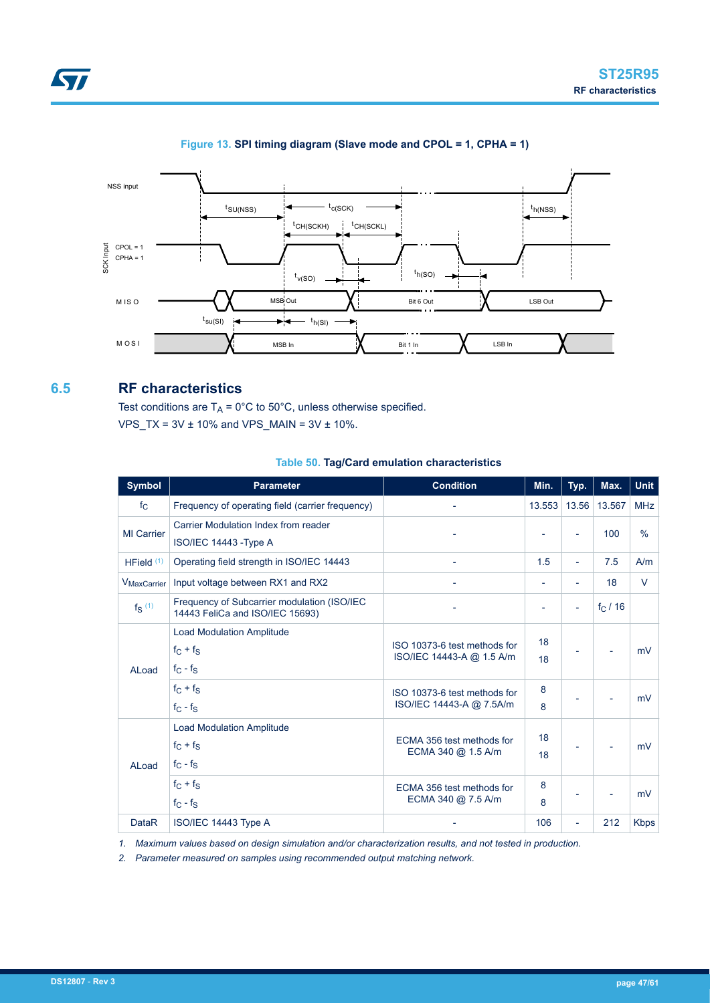<span id="page-46-0"></span>



# **Figure 13. SPI timing diagram (Slave mode and CPOL = 1, CPHA = 1)**

# **6.5 RF characteristics**

Test conditions are  $T_A = 0^\circ C$  to 50°C, unless otherwise specified.  $VPS_TX = 3V \pm 10\%$  and  $VPS_MAIN = 3V \pm 10\%.$ 

# **Table 50. Tag/Card emulation characteristics**

| <b>Symbol</b>           | <b>Parameter</b>                                                               | <b>Condition</b>                                          | Min.           | Typ.                     | Max.     | <b>Unit</b>   |
|-------------------------|--------------------------------------------------------------------------------|-----------------------------------------------------------|----------------|--------------------------|----------|---------------|
| $f_{\rm C}$             | Frequency of operating field (carrier frequency)                               | $\overline{\phantom{0}}$                                  | 13.553         | 13.56                    | 13.567   | <b>MHz</b>    |
| <b>MI</b> Carrier       | Carrier Modulation Index from reader<br>ISO/IEC 14443 - Type A                 | ۰                                                         |                | ÷,                       | 100      | $\frac{0}{0}$ |
| HField $(1)$            | Operating field strength in ISO/IEC 14443                                      | ÷,                                                        | 1.5            | $\overline{\phantom{0}}$ | 7.5      | A/m           |
| V <sub>MaxCarrier</sub> | Input voltage between RX1 and RX2                                              | $\overline{a}$                                            | $\overline{a}$ | $\overline{\phantom{0}}$ | 18       | $\vee$        |
| $f_S$ <sup>(1)</sup>    | Frequency of Subcarrier modulation (ISO/IEC<br>14443 FeliCa and ISO/IEC 15693) |                                                           |                | ÷,                       | $f_C/16$ |               |
| ALoad                   | <b>Load Modulation Amplitude</b><br>$f_C + f_S$<br>$f_C - f_S$                 | ISO 10373-6 test methods for<br>ISO/IEC 14443-A @ 1.5 A/m | 18<br>18       |                          |          | mV            |
|                         | $f_C + f_S$<br>$f_C - f_S$                                                     | ISO 10373-6 test methods for<br>ISO/IEC 14443-A @ 7.5A/m  | 8<br>8         |                          |          | mV            |
| ALoad                   | <b>Load Modulation Amplitude</b><br>$f_C + f_S$<br>$f_C - f_S$                 | ECMA 356 test methods for<br>ECMA 340 @ 1.5 A/m           | 18<br>18       |                          |          | mV            |
|                         | $f_C + f_S$<br>$f_C - f_S$                                                     | ECMA 356 test methods for<br>ECMA 340 @ 7.5 A/m           | 8<br>8         |                          |          | mV            |
| <b>DataR</b>            | ISO/IEC 14443 Type A                                                           |                                                           | 106            | ÷,                       | 212      | <b>Kbps</b>   |

*1. Maximum values based on design simulation and/or characterization results, and not tested in production.*

*2. Parameter measured on samples using recommended output matching network.*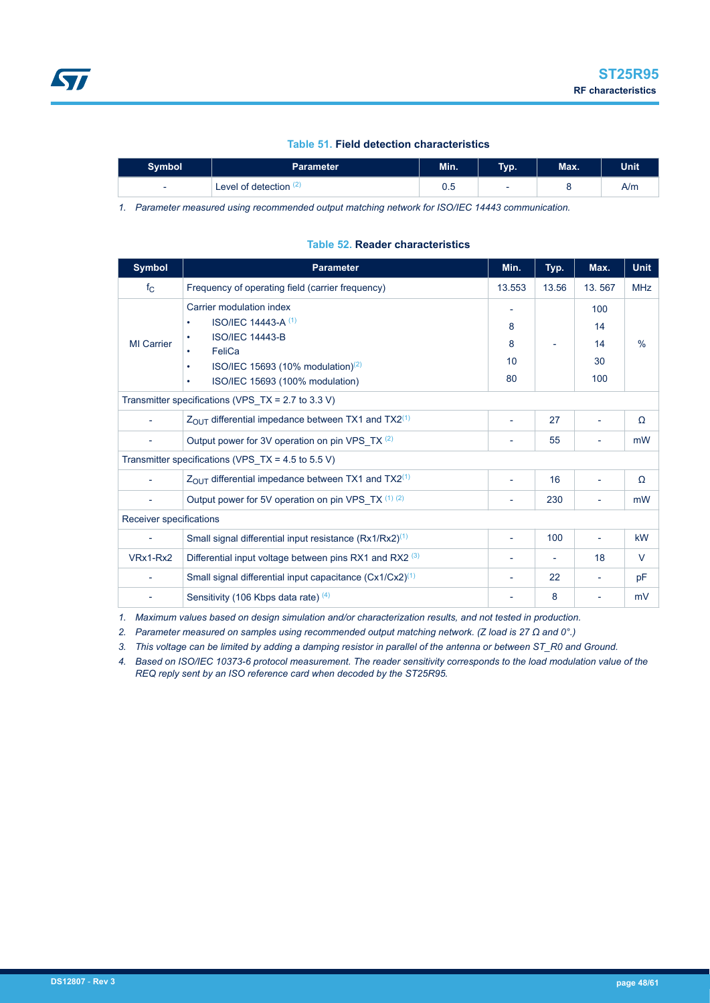# **Table 51. Field detection characteristics**

<span id="page-47-0"></span>

| <b>Symbol</b>            | Parameter                | Min. | Typ.                     | Max. | Unit |
|--------------------------|--------------------------|------|--------------------------|------|------|
| $\overline{\phantom{0}}$ | Level of detection $(2)$ | ∪.∪  | $\overline{\phantom{0}}$ |      | A/m  |

*1. Parameter measured using recommended output matching network for ISO/IEC 14443 communication.*

#### **Table 52. Reader characteristics**

| <b>Symbol</b>                                          | <b>Parameter</b>                                                                                                                                                                                                  | Min.                     | Typ.  | Max.                         | <b>Unit</b>   |  |  |  |
|--------------------------------------------------------|-------------------------------------------------------------------------------------------------------------------------------------------------------------------------------------------------------------------|--------------------------|-------|------------------------------|---------------|--|--|--|
| $f_{\rm C}$                                            | Frequency of operating field (carrier frequency)                                                                                                                                                                  | 13.553                   | 13.56 | 13.567                       | <b>MHz</b>    |  |  |  |
| MI Carrier                                             | Carrier modulation index<br><b>ISO/IEC 14443-A (1)</b><br>$\bullet$<br><b>ISO/IEC 14443-B</b><br>٠<br>FeliCa<br>ISO/IEC 15693 (10% modulation) $(2)$<br>$\bullet$<br>ISO/IEC 15693 (100% modulation)<br>$\bullet$ | 8<br>8<br>10<br>80       |       | 100<br>14<br>14<br>30<br>100 | $\frac{0}{0}$ |  |  |  |
| Transmitter specifications (VPS_TX = $2.7$ to $3.3$ V) |                                                                                                                                                                                                                   |                          |       |                              |               |  |  |  |
|                                                        | $Z_{\text{OUT}}$ differential impedance between TX1 and TX2 <sup>(1)</sup>                                                                                                                                        | $\blacksquare$           | 27    | $\overline{\phantom{a}}$     | Ω             |  |  |  |
|                                                        | Output power for 3V operation on pin VPS TX (2)                                                                                                                                                                   |                          | 55    |                              | mW            |  |  |  |
|                                                        | Transmitter specifications (VPS_TX = 4.5 to 5.5 V)                                                                                                                                                                |                          |       |                              |               |  |  |  |
|                                                        | $Z_{\text{OUT}}$ differential impedance between TX1 and TX2 <sup>(1)</sup>                                                                                                                                        |                          | 16    |                              | Ω             |  |  |  |
|                                                        | Output power for 5V operation on pin VPS_TX (1) (2)                                                                                                                                                               | $\overline{\phantom{a}}$ | 230   |                              | mW            |  |  |  |
| Receiver specifications                                |                                                                                                                                                                                                                   |                          |       |                              |               |  |  |  |
| $\overline{\phantom{a}}$                               | Small signal differential input resistance (Rx1/Rx2) <sup>(1)</sup>                                                                                                                                               |                          | 100   |                              | kW            |  |  |  |
| VRx1-Rx2                                               | Differential input voltage between pins RX1 and RX2 <sup>(3)</sup>                                                                                                                                                | $\overline{\phantom{0}}$ |       | 18                           | V             |  |  |  |
|                                                        | Small signal differential input capacitance (Cx1/Cx2) <sup>(1)</sup>                                                                                                                                              |                          | 22    |                              | pF            |  |  |  |
|                                                        | Sensitivity (106 Kbps data rate) (4)                                                                                                                                                                              |                          | 8     |                              | mV            |  |  |  |

*1. Maximum values based on design simulation and/or characterization results, and not tested in production.*

*2. Parameter measured on samples using recommended output matching network. (Z load is 27 Ω and 0°.)*

*3. This voltage can be limited by adding a damping resistor in parallel of the antenna or between ST\_R0 and Ground.*

*4. Based on ISO/IEC 10373-6 protocol measurement. The reader sensitivity corresponds to the load modulation value of the REQ reply sent by an ISO reference card when decoded by the ST25R95.*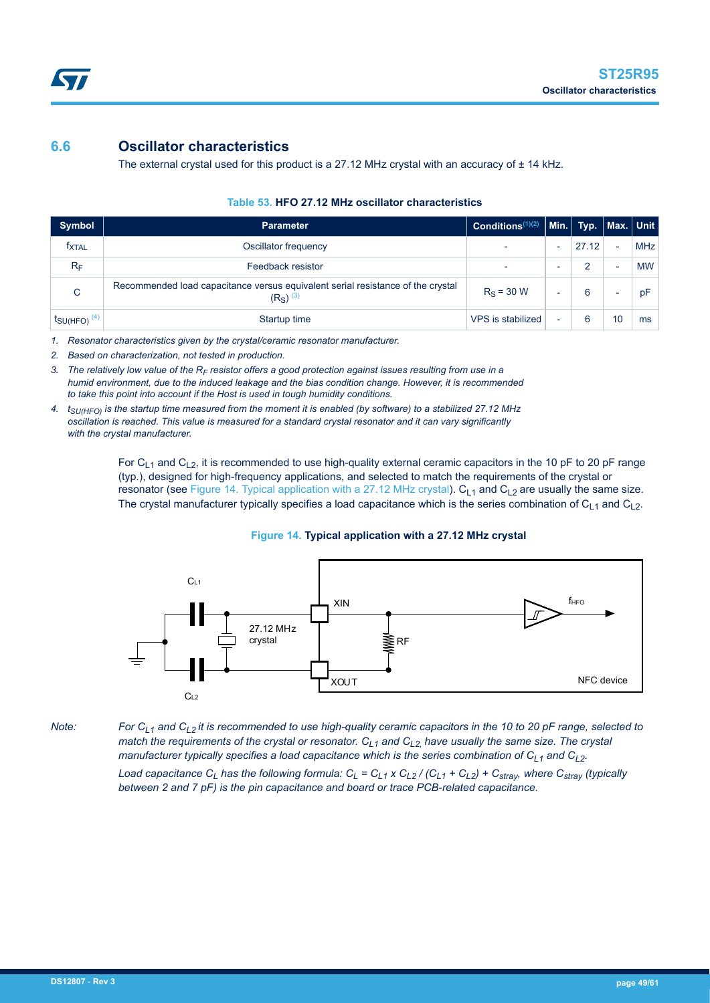# <span id="page-48-0"></span>**6.6 Oscillator characteristics**

The external crystal used for this product is a 27.12 MHz crystal with an accuracy of  $\pm$  14 kHz.

| Symbol                              | <b>Parameter</b>                                                                                         | Conditions <sup>(1)(2)</sup> |                          | $\vert$ Min. $\vert$ Typ. $\vert$ Max. $\vert$ Unit $\vert$ |                          |            |
|-------------------------------------|----------------------------------------------------------------------------------------------------------|------------------------------|--------------------------|-------------------------------------------------------------|--------------------------|------------|
| <b>TXTAL</b>                        | Oscillator frequency                                                                                     |                              | $\overline{\phantom{0}}$ | 27.12                                                       | $\overline{\phantom{0}}$ | <b>MHz</b> |
| $R_F$                               | Feedback resistor                                                                                        |                              | $\overline{\phantom{0}}$ | 2                                                           | $\overline{\phantom{0}}$ | <b>MW</b>  |
| C                                   | Recommended load capacitance versus equivalent serial resistance of the crystal<br>$(RS)$ <sup>(3)</sup> | $R_s = 30 W$                 | -                        | 6                                                           | $\overline{\phantom{0}}$ | pF         |
| $t_{\text{SU(HFO)}}$ <sup>(4)</sup> | Startup time                                                                                             | VPS is stabilized            | -                        | 6                                                           | 10                       | ms         |

# **Table 53. HFO 27.12 MHz oscillator characteristics**

*1. Resonator characteristics given by the crystal/ceramic resonator manufacturer.*

- *2. Based on characterization, not tested in production.*
- *3. The relatively low value of the RF resistor offers a good protection against issues resulting from use in a humid environment, due to the induced leakage and the bias condition change. However, it is recommended to take this point into account if the Host is used in tough humidity conditions.*
- *4. tSU(HFO) is the startup time measured from the moment it is enabled (by software) to a stabilized 27.12 MHz oscillation is reached. This value is measured for a standard crystal resonator and it can vary significantly with the crystal manufacturer.*

For C<sub>L1</sub> and C<sub>L2</sub>, it is recommended to use high-quality external ceramic capacitors in the 10 pF to 20 pF range (typ.), designed for high-frequency applications, and selected to match the requirements of the crystal or resonator (see Figure 14. Typical application with a 27.12 MHz crystal).  $C_{L1}$  and  $C_{L2}$  are usually the same size. The crystal manufacturer typically specifies a load capacitance which is the series combination of  $C_{L1}$  and  $C_{L2}$ .

# **Figure 14. Typical application with a 27.12 MHz crystal**



*Note: For CL1 and CL2 it is recommended to use high-quality ceramic capacitors in the 10 to 20 pF range, selected to match the requirements of the crystal or resonator. CL1 and CL2, have usually the same size. The crystal manufacturer typically specifies a load capacitance which is the series combination of C<sub>L1</sub> and C<sub>L2</sub>.* Load capacitance C<sub>L</sub> has the following formula: C<sub>L</sub> = C<sub>L1</sub> x C<sub>L2</sub> / (C<sub>L1</sub> + C<sub>L2</sub>) + C<sub>stray</sub>, where C<sub>stray</sub> (typically

*between 2 and 7 pF) is the pin capacitance and board or trace PCB-related capacitance.*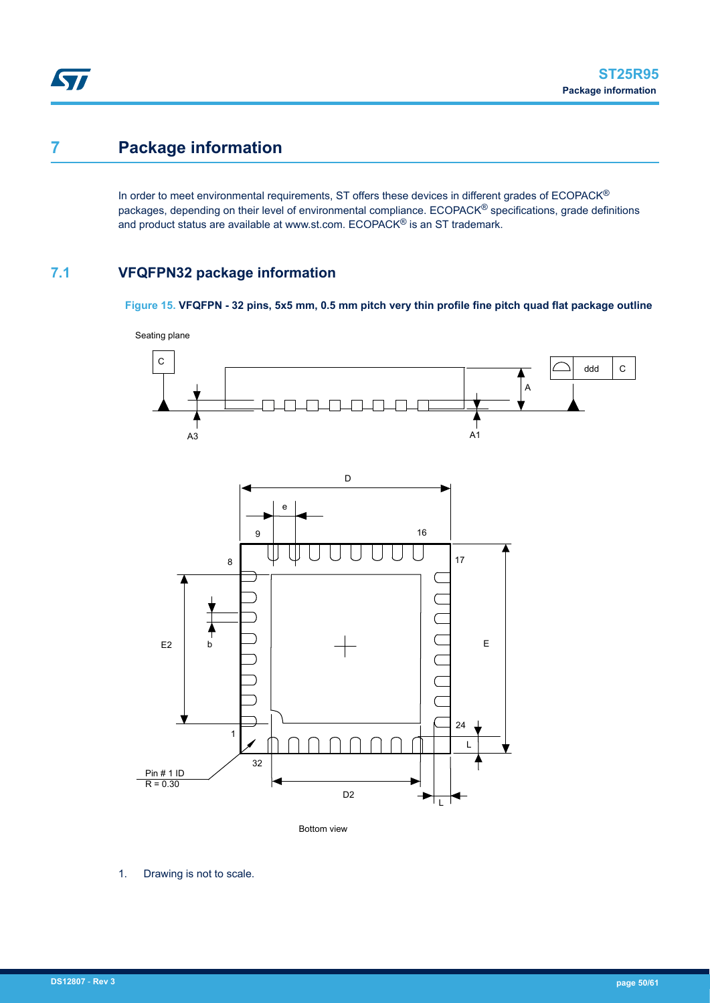# <span id="page-49-0"></span>**7 Package information**

In order to meet environmental requirements, ST offers these devices in different grades of ECOPACK® packages, depending on their level of environmental compliance. ECOPACK<sup>®</sup> specifications, grade definitions and product status are available at www.st.com. ECOPACK® is an ST trademark.

# **7.1 VFQFPN32 package information**

**Figure 15. VFQFPN - 32 pins, 5x5 mm, 0.5 mm pitch very thin profile fine pitch quad flat package outline**



1. Drawing is not to scale.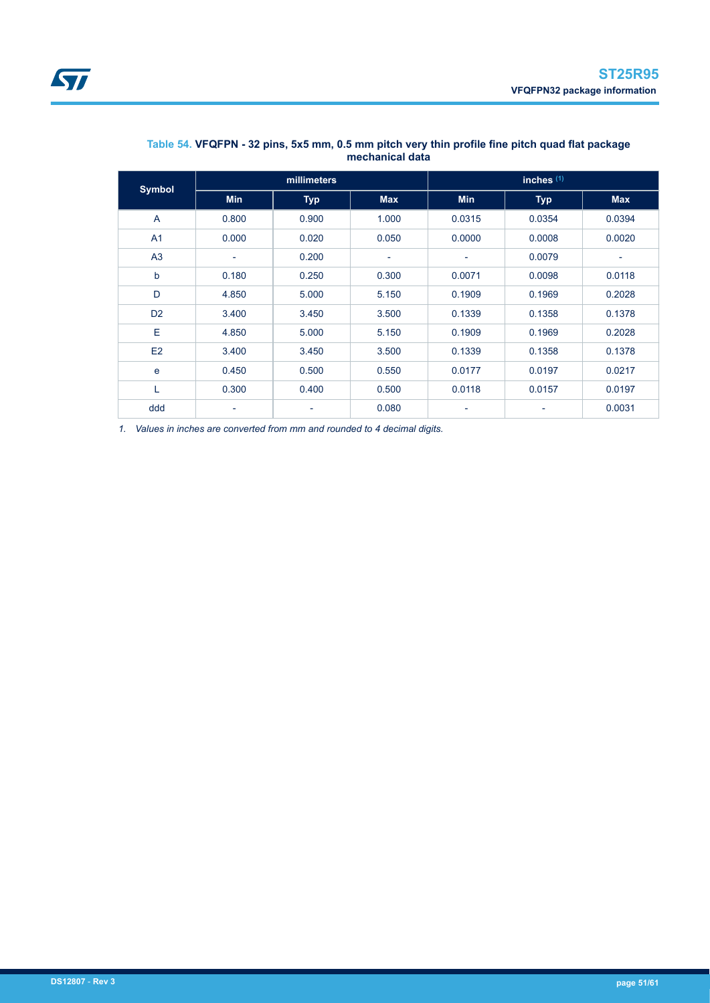<span id="page-50-0"></span>

| <b>Symbol</b>  | millimeters              |                          |                          | inches $(1)$             |                          |                          |
|----------------|--------------------------|--------------------------|--------------------------|--------------------------|--------------------------|--------------------------|
|                | <b>Min</b>               | <b>Typ</b>               | <b>Max</b>               | <b>Min</b>               | <b>Typ</b>               | <b>Max</b>               |
| $\overline{A}$ | 0.800                    | 0.900                    | 1.000                    | 0.0315                   | 0.0354                   | 0.0394                   |
| A1             | 0.000                    | 0.020                    | 0.050                    | 0.0000                   | 0.0008                   | 0.0020                   |
| A3             | $\overline{\phantom{a}}$ | 0.200                    | $\overline{\phantom{a}}$ | ٠                        | 0.0079                   | $\overline{\phantom{0}}$ |
| $\mathsf{b}$   | 0.180                    | 0.250                    | 0.300                    | 0.0071                   | 0.0098                   | 0.0118                   |
| D              | 4.850                    | 5.000                    | 5.150                    | 0.1909                   | 0.1969                   | 0.2028                   |
| D <sub>2</sub> | 3.400                    | 3.450                    | 3.500                    | 0.1339                   | 0.1358                   | 0.1378                   |
| Ε              | 4.850                    | 5.000                    | 5.150                    | 0.1909                   | 0.1969                   | 0.2028                   |
| E2             | 3.400                    | 3.450                    | 3.500                    | 0.1339                   | 0.1358                   | 0.1378                   |
| e              | 0.450                    | 0.500                    | 0.550                    | 0.0177                   | 0.0197                   | 0.0217                   |
| L              | 0.300                    | 0.400                    | 0.500                    | 0.0118                   | 0.0157                   | 0.0197                   |
| ddd            | $\overline{\phantom{a}}$ | $\overline{\phantom{a}}$ | 0.080                    | $\overline{\phantom{a}}$ | $\overline{\phantom{a}}$ | 0.0031                   |

# **Table 54. VFQFPN - 32 pins, 5x5 mm, 0.5 mm pitch very thin profile fine pitch quad flat package mechanical data**

*1. Values in inches are converted from mm and rounded to 4 decimal digits.*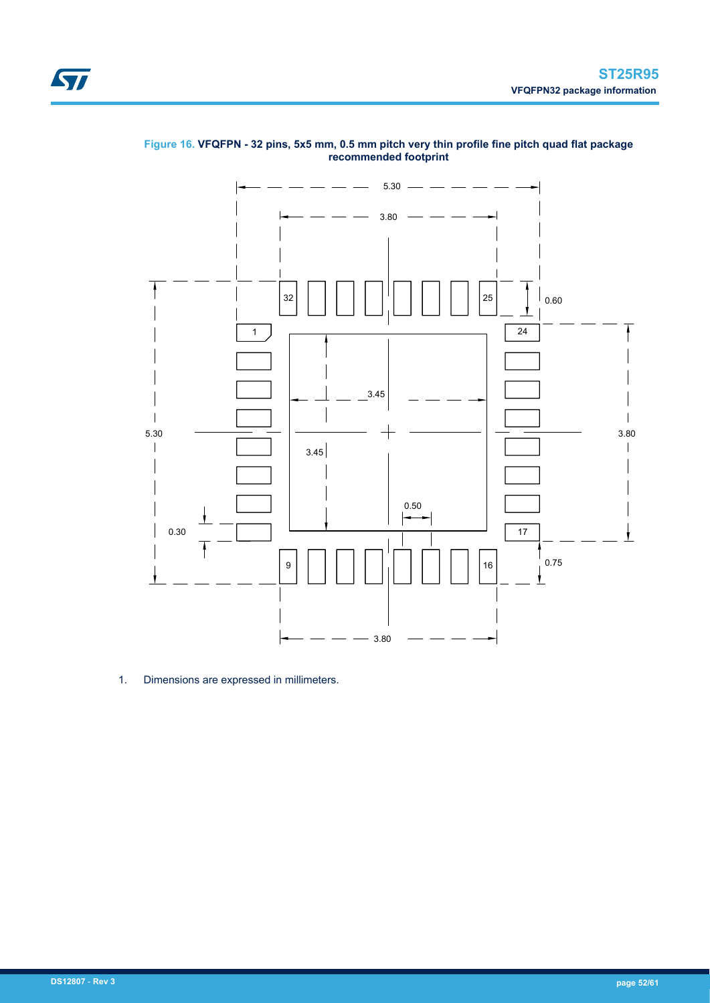<span id="page-51-0"></span>



# **Figure 16. VFQFPN - 32 pins, 5x5 mm, 0.5 mm pitch very thin profile fine pitch quad flat package recommended footprint**

1. Dimensions are expressed in millimeters.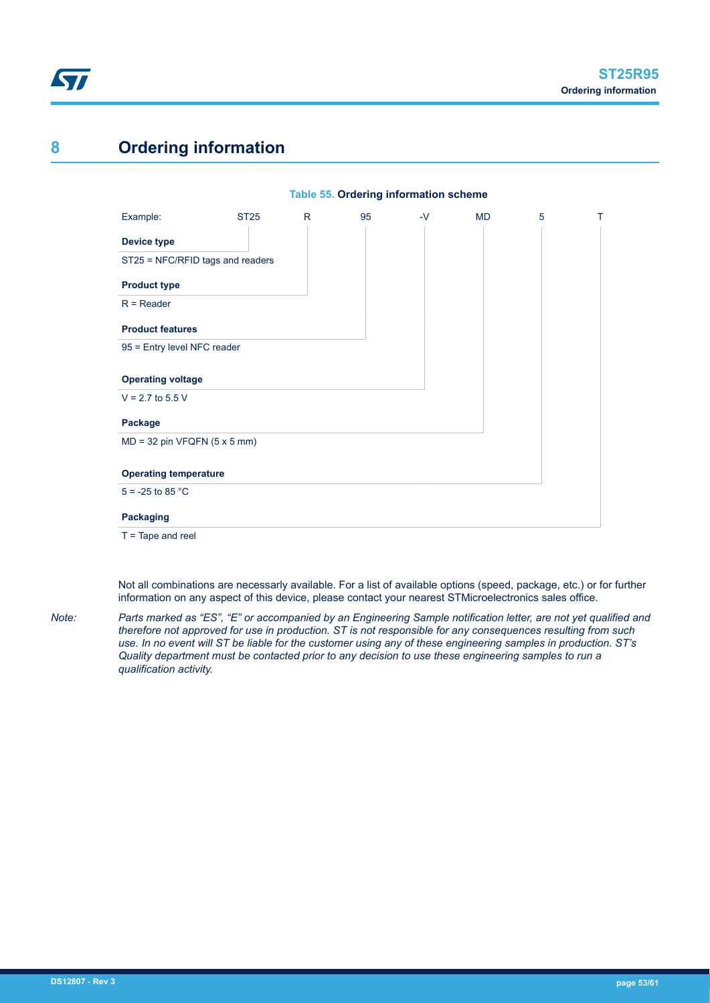<span id="page-52-0"></span>

# **8 Ordering information**

# **Table 55. Ordering information scheme**



Not all combinations are necessarly available. For a list of available options (speed, package, etc.) or for further information on any aspect of this device, please contact your nearest STMicroelectronics sales office.

*Note: Parts marked as "ES", "E" or accompanied by an Engineering Sample notification letter, are not yet qualified and therefore not approved for use in production. ST is not responsible for any consequences resulting from such use. In no event will ST be liable for the customer using any of these engineering samples in production. ST's Quality department must be contacted prior to any decision to use these engineering samples to run a qualification activity.*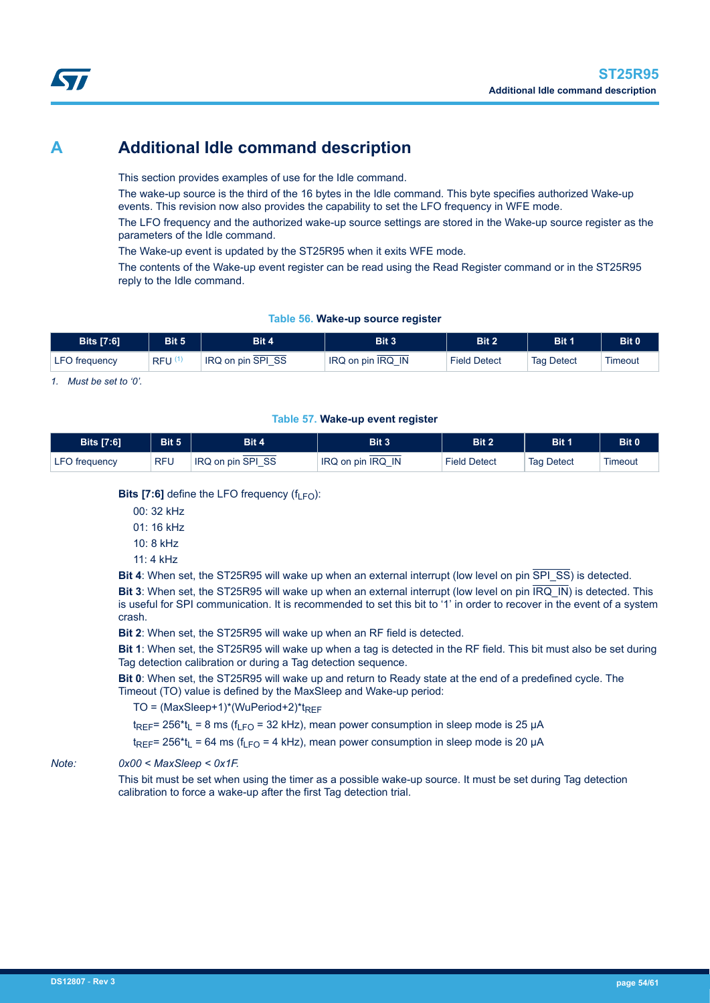# <span id="page-53-0"></span>**A Additional Idle command description**

This section provides examples of use for the Idle command.

The wake-up source is the third of the 16 bytes in the Idle command. This byte specifies authorized Wake-up events. This revision now also provides the capability to set the LFO frequency in WFE mode.

The LFO frequency and the authorized wake-up source settings are stored in the Wake-up source register as the parameters of the Idle command.

The Wake-up event is updated by the ST25R95 when it exits WFE mode.

The contents of the Wake-up event register can be read using the Read Register command or in the ST25R95 reply to the Idle command.

#### **Table 56. Wake-up source register**

| <b>Bits [7:6]</b>    | Bit 5      | Bit 4             | Bit 3                | Bit 2               | Bit 1             | Bit 0   |
|----------------------|------------|-------------------|----------------------|---------------------|-------------------|---------|
| <b>LFO</b> frequency | <b>RFU</b> | IRQ on pin SPI SS | IN<br>IRQ on pin IRQ | <b>Field Detect</b> | <b>Tag Detect</b> | Timeout |

*1. Must be set to '0'.*

#### **Table 57. Wake-up event register**

| <b>Bits [7:6]</b>    | Bit 5      | Bit 4             | Bit 3             | Bit 2        | Bit 1             | Bit 0   |
|----------------------|------------|-------------------|-------------------|--------------|-------------------|---------|
| <b>LFO</b> frequency | <b>RFU</b> | IRQ on pin SPI SS | IRQ on pin IRQ IN | Field Detect | <b>Tag Detect</b> | Timeout |

# **Bits [7:6]** define the LFO frequency  $(f_{LFO})$ :

00: 32 kHz

01: 16 kHz

10: 8 kHz

11: 4 kHz

**Bit 4**: When set, the ST25R95 will wake up when an external interrupt (low level on pin  $\overline{SPI\_SS}$ ) is detected.

**Bit 3**: When set, the ST25R95 will wake up when an external interrupt (low level on pin IRQ\_IN) is detected. This is useful for SPI communication. It is recommended to set this bit to '1' in order to recover in the event of a system crash.

**Bit 2**: When set, the ST25R95 will wake up when an RF field is detected.

**Bit 1**: When set, the ST25R95 will wake up when a tag is detected in the RF field. This bit must also be set during Tag detection calibration or during a Tag detection sequence.

**Bit 0**: When set, the ST25R95 will wake up and return to Ready state at the end of a predefined cycle. The Timeout (TO) value is defined by the MaxSleep and Wake-up period:

TO =  $(MaxSleep+1)*(WuPeriod+2)*t_{RFF}$ 

 $t_{RFF}$ = 256<sup>\*</sup>t<sub>l</sub> = 8 ms (f<sub>LFO</sub> = 32 kHz), mean power consumption in sleep mode is 25 µA

 $t_{REF}$ = 256\*t<sub>L</sub> = 64 ms ( $t_{LFO}$  = 4 kHz), mean power consumption in sleep mode is 20 µA

### *Note: 0x00 < MaxSleep < 0x1F.*

This bit must be set when using the timer as a possible wake-up source. It must be set during Tag detection calibration to force a wake-up after the first Tag detection trial.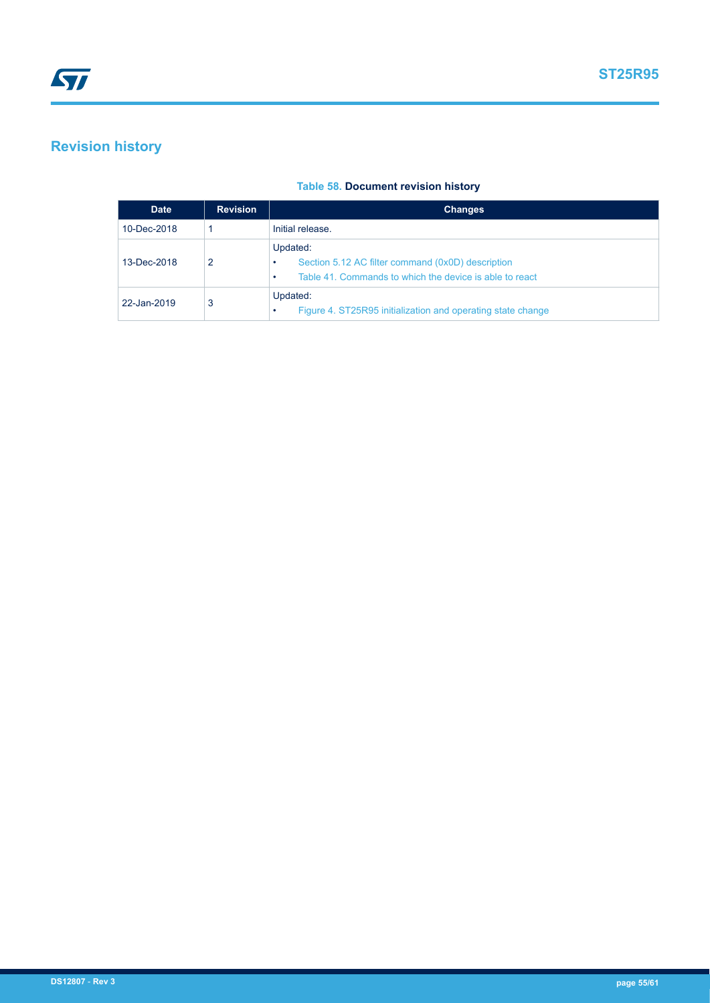# <span id="page-54-0"></span>**Revision history**

# **Table 58. Document revision history**

| <b>Date</b> | <b>Revision</b> | <b>Changes</b>                                                                                                                     |
|-------------|-----------------|------------------------------------------------------------------------------------------------------------------------------------|
| 10-Dec-2018 |                 | Initial release.                                                                                                                   |
| 13-Dec-2018 | 2               | Updated:<br>Section 5.12 AC filter command (0x0D) description<br>٠<br>Table 41. Commands to which the device is able to react<br>٠ |
| 22-Jan-2019 | 3               | Updated:<br>Figure 4. ST25R95 initialization and operating state change<br>٠                                                       |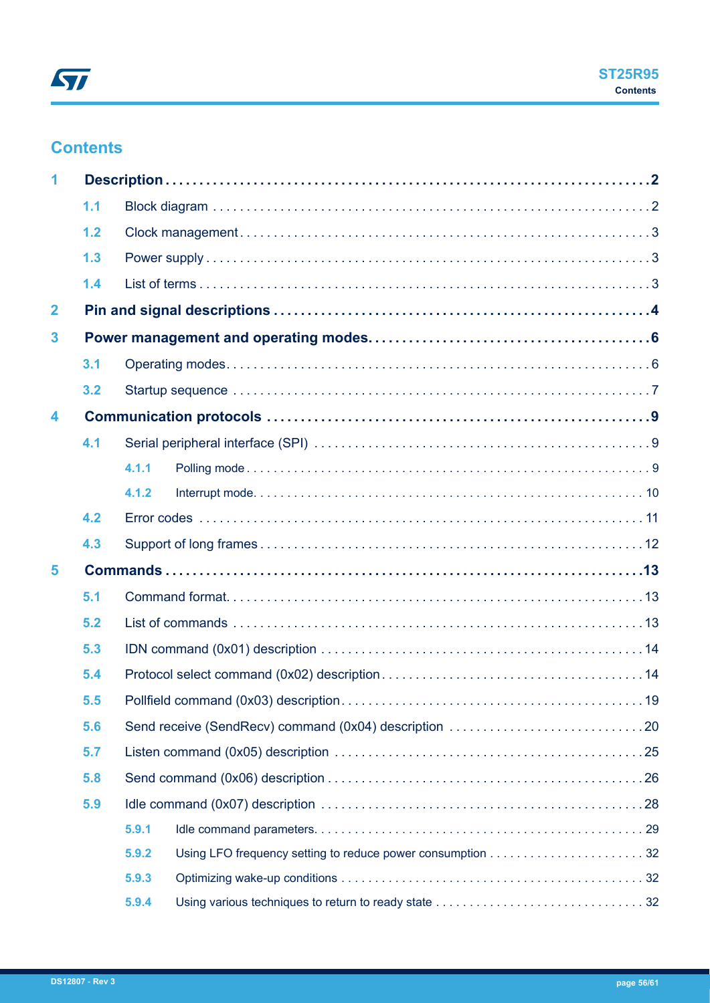# <span id="page-55-0"></span>**Contents**

| 1                       |     |       |  |
|-------------------------|-----|-------|--|
|                         | 1.1 |       |  |
|                         | 1.2 |       |  |
|                         | 1.3 |       |  |
|                         | 1.4 |       |  |
| $\overline{\mathbf{2}}$ |     |       |  |
| 3                       |     |       |  |
|                         | 3.1 |       |  |
|                         | 3.2 |       |  |
| 4                       |     |       |  |
|                         | 4.1 |       |  |
|                         |     | 4.1.1 |  |
|                         |     | 4.1.2 |  |
|                         | 4.2 |       |  |
|                         | 4.3 |       |  |
| 5                       |     |       |  |
|                         | 5.1 |       |  |
|                         | 5.2 |       |  |
|                         | 5.3 |       |  |
|                         | 5.4 |       |  |
|                         | 5.5 |       |  |
|                         | 5.6 |       |  |
|                         | 5.7 |       |  |
|                         | 5.8 |       |  |
|                         | 5.9 |       |  |
|                         |     | 5.9.1 |  |
|                         |     | 5.9.2 |  |
|                         |     | 5.9.3 |  |
|                         |     | 5.9.4 |  |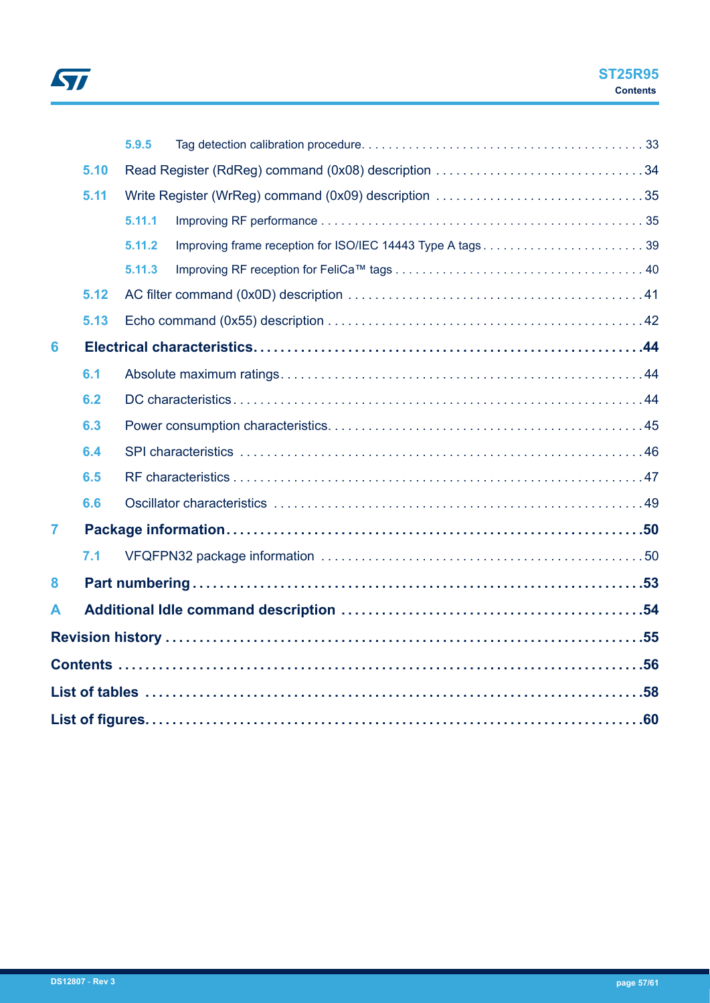

|                |      | 5.9.5  |                                                           |  |
|----------------|------|--------|-----------------------------------------------------------|--|
|                | 5.10 |        | Read Register (RdReg) command (0x08) description 34       |  |
|                | 5.11 |        |                                                           |  |
|                |      | 5.11.1 |                                                           |  |
|                |      | 5.11.2 | Improving frame reception for ISO/IEC 14443 Type A tags39 |  |
|                |      | 5.11.3 |                                                           |  |
|                | 5.12 |        |                                                           |  |
|                | 5.13 |        |                                                           |  |
| 6              |      |        |                                                           |  |
|                | 6.1  |        |                                                           |  |
|                | 6.2  |        |                                                           |  |
|                | 6.3  |        |                                                           |  |
|                | 6.4  |        |                                                           |  |
|                | 6.5  |        |                                                           |  |
|                | 6.6  |        |                                                           |  |
| $\overline{7}$ |      |        |                                                           |  |
|                | 7.1  |        |                                                           |  |
| 8              |      |        |                                                           |  |
| A              |      |        |                                                           |  |
|                |      |        |                                                           |  |
|                |      |        |                                                           |  |
|                |      |        |                                                           |  |
|                |      |        |                                                           |  |
|                |      |        |                                                           |  |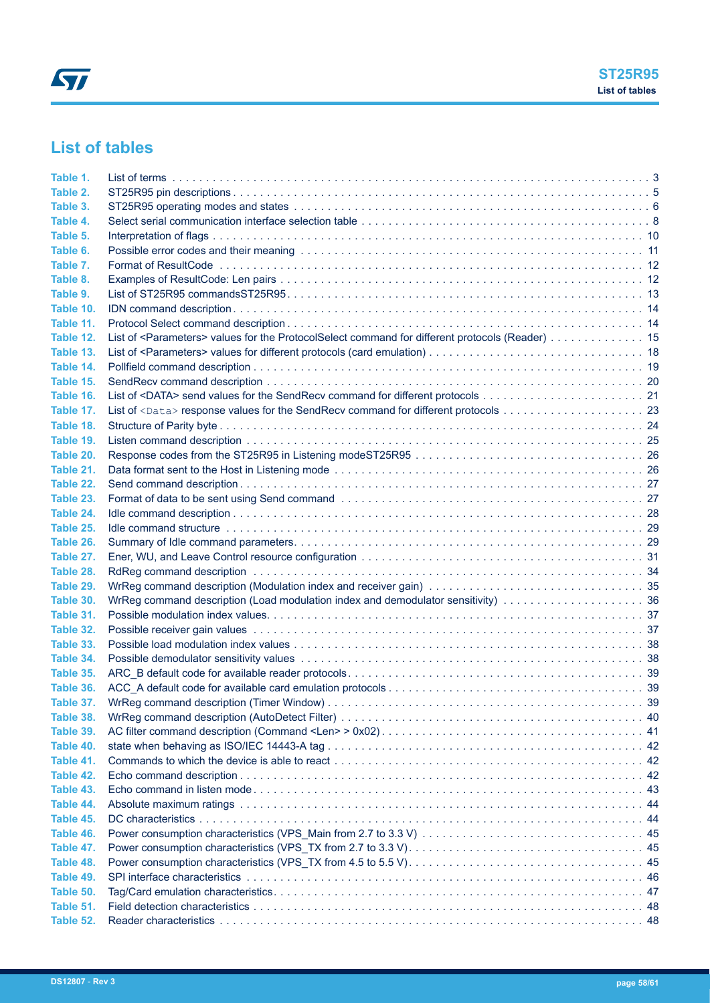# <span id="page-57-0"></span>**List of tables**

| Table 1.  |                                                                                                             |  |
|-----------|-------------------------------------------------------------------------------------------------------------|--|
| Table 2.  |                                                                                                             |  |
| Table 3.  |                                                                                                             |  |
| Table 4.  |                                                                                                             |  |
| Table 5.  |                                                                                                             |  |
| Table 6.  |                                                                                                             |  |
| Table 7.  |                                                                                                             |  |
| Table 8.  |                                                                                                             |  |
| Table 9.  |                                                                                                             |  |
| Table 10. |                                                                                                             |  |
| Table 11. |                                                                                                             |  |
| Table 12. | List of <parameters> values for the ProtocolSelect command for different protocols (Reader) 15</parameters> |  |
| Table 13. |                                                                                                             |  |
| Table 14. |                                                                                                             |  |
| Table 15. |                                                                                                             |  |
| Table 16. |                                                                                                             |  |
| Table 17. |                                                                                                             |  |
| Table 18. |                                                                                                             |  |
| Table 19. |                                                                                                             |  |
| Table 20. |                                                                                                             |  |
| Table 21. |                                                                                                             |  |
| Table 22. |                                                                                                             |  |
| Table 23. |                                                                                                             |  |
| Table 24. |                                                                                                             |  |
| Table 25. |                                                                                                             |  |
| Table 26. |                                                                                                             |  |
| Table 27. |                                                                                                             |  |
| Table 28. |                                                                                                             |  |
| Table 29. |                                                                                                             |  |
| Table 30. |                                                                                                             |  |
| Table 31. |                                                                                                             |  |
| Table 32. |                                                                                                             |  |
| Table 33. |                                                                                                             |  |
| Table 34. |                                                                                                             |  |
| Table 35. |                                                                                                             |  |
| Table 36. |                                                                                                             |  |
| Table 37. |                                                                                                             |  |
| Table 38. |                                                                                                             |  |
| Table 39. |                                                                                                             |  |
| Table 40. |                                                                                                             |  |
| Table 41. |                                                                                                             |  |
| Table 42. |                                                                                                             |  |
| Table 43. |                                                                                                             |  |
| Table 44. |                                                                                                             |  |
| Table 45. |                                                                                                             |  |
| Table 46. |                                                                                                             |  |
| Table 47. |                                                                                                             |  |
| Table 48. |                                                                                                             |  |
| Table 49. |                                                                                                             |  |
| Table 50. |                                                                                                             |  |
| Table 51. |                                                                                                             |  |
| Table 52. |                                                                                                             |  |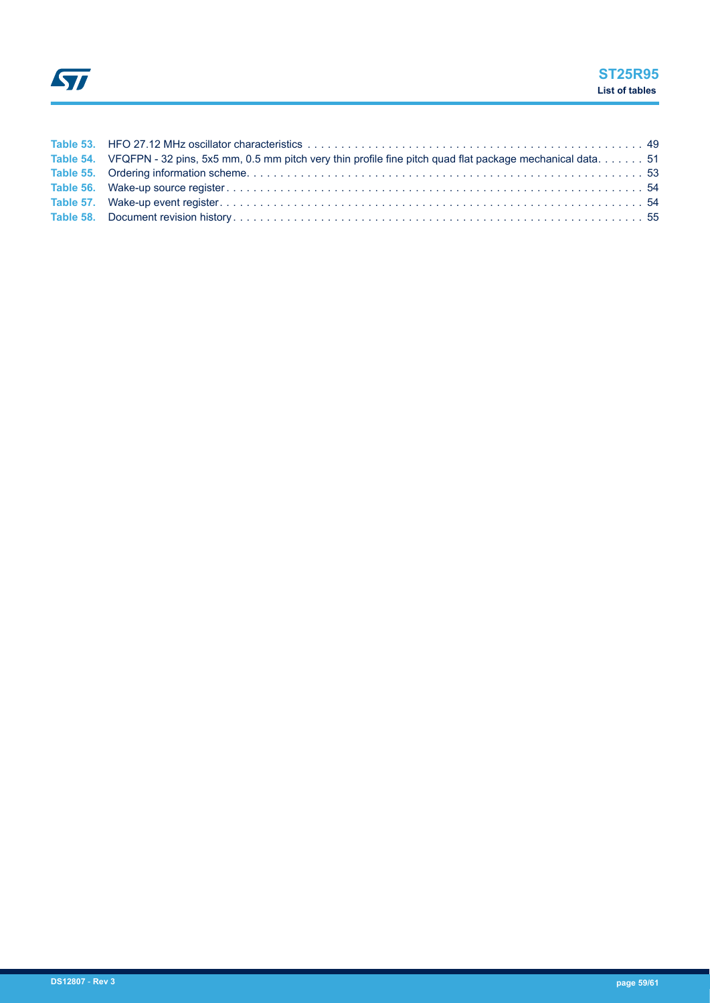| Table 54. VFQFPN - 32 pins, 5x5 mm, 0.5 mm pitch very thin profile fine pitch quad flat package mechanical data 51 |  |
|--------------------------------------------------------------------------------------------------------------------|--|
|                                                                                                                    |  |
|                                                                                                                    |  |
|                                                                                                                    |  |
|                                                                                                                    |  |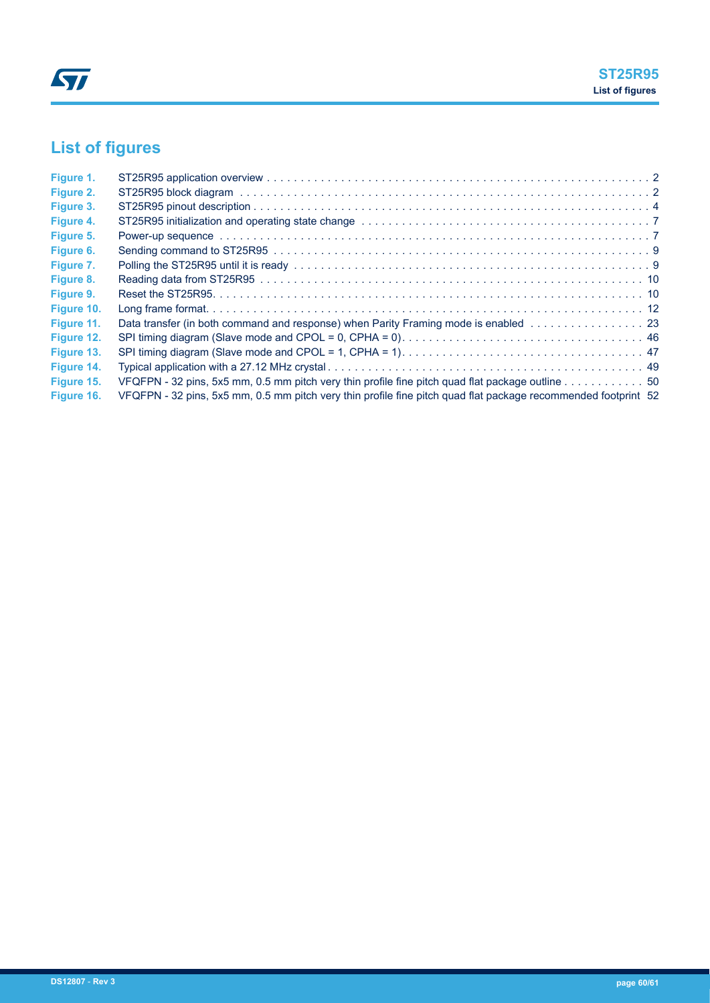# <span id="page-59-0"></span>**List of figures**

| Figure 1.  |                                                                                                                                                                                                                                |  |
|------------|--------------------------------------------------------------------------------------------------------------------------------------------------------------------------------------------------------------------------------|--|
| Figure 2.  |                                                                                                                                                                                                                                |  |
| Figure 3.  |                                                                                                                                                                                                                                |  |
| Figure 4.  |                                                                                                                                                                                                                                |  |
| Figure 5.  | Power-up sequence with the contract of the contract of the contract of the contract of the contract of the contract of the contract of the contract of the contract of the contract of the contract of the contract of the con |  |
| Figure 6.  |                                                                                                                                                                                                                                |  |
| Figure 7.  |                                                                                                                                                                                                                                |  |
| Figure 8.  |                                                                                                                                                                                                                                |  |
| Figure 9.  |                                                                                                                                                                                                                                |  |
| Figure 10. |                                                                                                                                                                                                                                |  |
| Figure 11. | Data transfer (in both command and response) when Parity Framing mode is enabled 23                                                                                                                                            |  |
| Figure 12. |                                                                                                                                                                                                                                |  |
| Figure 13. |                                                                                                                                                                                                                                |  |
| Figure 14. |                                                                                                                                                                                                                                |  |
| Figure 15. |                                                                                                                                                                                                                                |  |
| Figure 16. | VFQFPN - 32 pins, 5x5 mm, 0.5 mm pitch very thin profile fine pitch quad flat package recommended footprint 52                                                                                                                 |  |